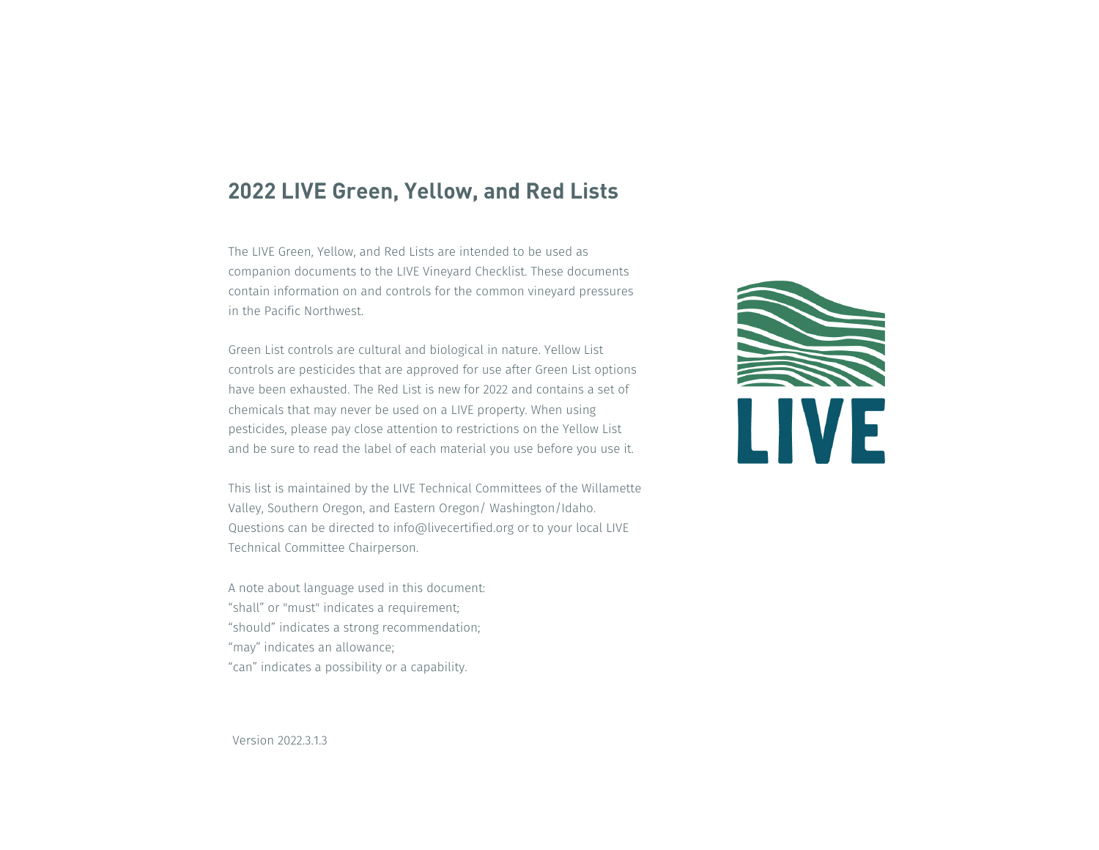### **2022 LIVE Green, Yellow, and Red Lists**

The LIVE Green, Yellow, and Red Lists are intended to be used as companion documents to the LIVE Vineyard Checklist. These documents contain information on and controls for the common vineyard pressures in the Pacific Northwest.

Green List controls are cultural and biological in nature. Yellow List controls are pesticides that are approved for use after Green List options have been exhausted. The Red List is new for 2022 and contains a set of chemicals that may never be used on a LIVE property. When using pesticides, please pay close attention to restrictions on the Yellow List and be sure to read the label of each material you use before you use it.

This list is maintained by the LIVE Technical Committees of the Willamette Valley, Southern Oregon, and Eastern Oregon/ Washington/Idaho. Questions can be directed to info@livecertified.org or to your local LIVE Technical Committee Chairperson.

A note about language used in this document: "shall" or "must" indicates a requirement; "should" indicates a strong recommendation; "may" indicates an allowance; "can" indicates a possibility or a capability.



Version 2022.3.1.3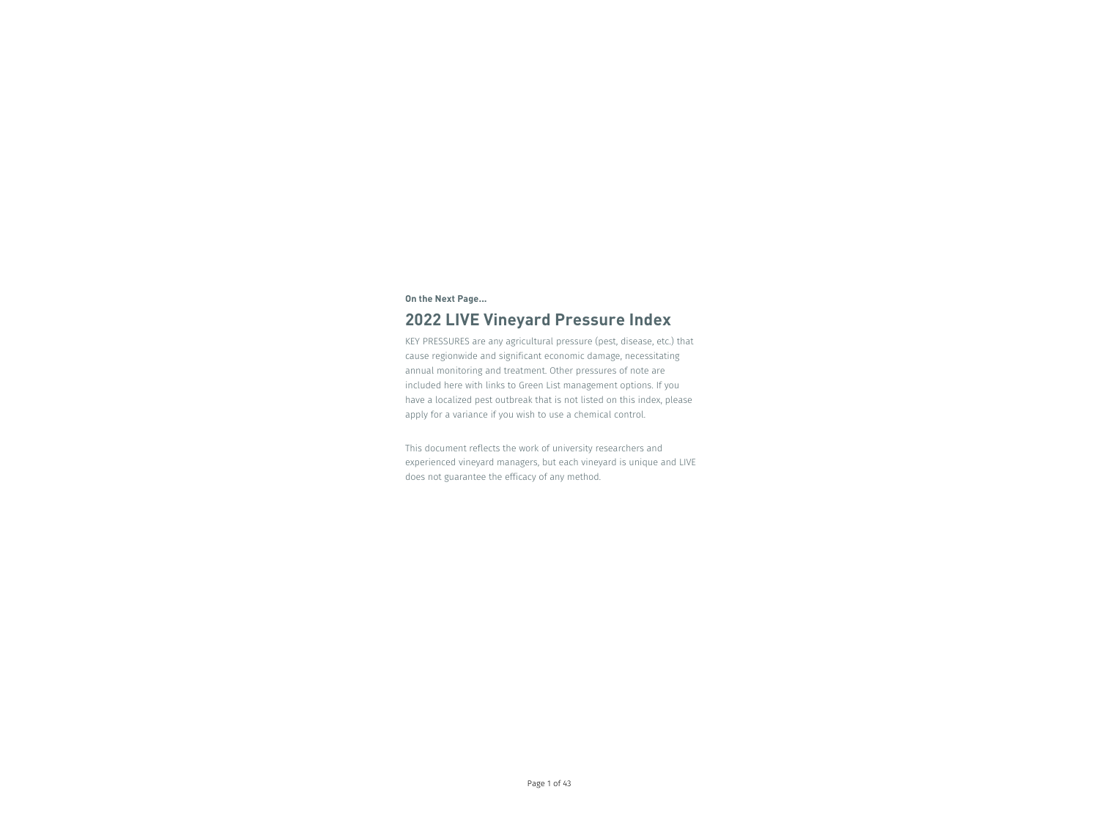### **On the Next Page...**

# **2022 LIVE Vineyard Pressure Index**

KEY PRESSURES are any agricultural pressure (pest, disease, etc.) that cause regionwide and significant economic damage, necessitating annual monitoring and treatment. Other pressures of note are included here with links to Green List management options. If you have a localized pest outbreak that is not listed on this index, please apply for a variance if you wish to use a chemical control.

This document reflects the work of university researchers and experienced vineyard managers, but each vineyard is unique and LIVE does not guarantee the efficacy of any method.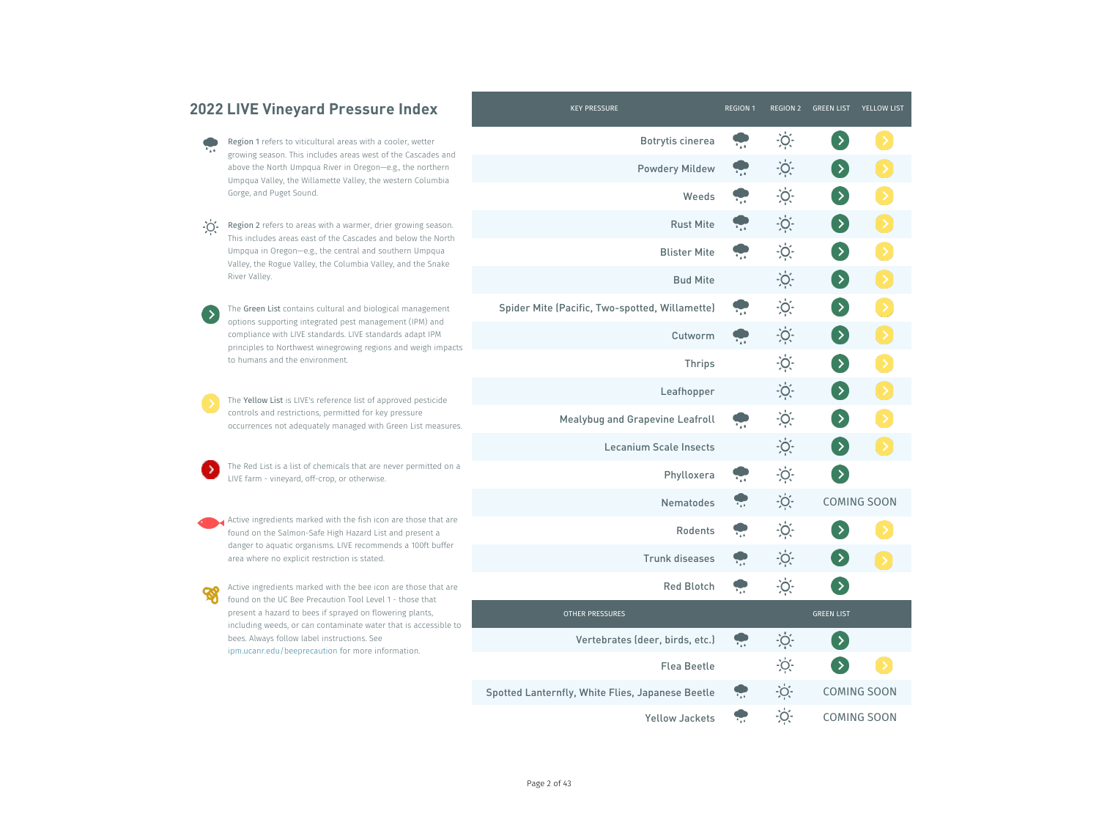|                             | <b>2022 LIVE Vineyard Pressure Index</b>                                                                                                                                                                                                                                                    | <b>KEY PRESSURE</b>                              | <b>REGION 1</b> | REGION 2          | <b>GREEN LIST</b> | <b>YELLOW LIST</b> |
|-----------------------------|---------------------------------------------------------------------------------------------------------------------------------------------------------------------------------------------------------------------------------------------------------------------------------------------|--------------------------------------------------|-----------------|-------------------|-------------------|--------------------|
| $^{\bullet}$ a $^{\bullet}$ | Region 1 refers to viticultural areas with a cooler, wetter                                                                                                                                                                                                                                 | <b>Botrytis cinerea</b>                          |                 | $\frac{1}{2}$     |                   |                    |
|                             | growing season. This includes areas west of the Cascades and<br>above the North Umpqua River in Oregon-e.g., the northern                                                                                                                                                                   | <b>Powdery Mildew</b>                            |                 | $\ddot{O}$        | $\rightarrow$     |                    |
|                             | Umpqua Valley, the Willamette Valley, the western Columbia<br>Gorge, and Puget Sound.                                                                                                                                                                                                       | Weeds                                            |                 | $\frac{1}{2}$     | $\rightarrow$     |                    |
| $-O$                        | Region 2 refers to areas with a warmer, drier growing season.                                                                                                                                                                                                                               | <b>Rust Mite</b>                                 |                 | $\ddot{O}$        | $\rightarrow$     |                    |
|                             | This includes areas east of the Cascades and below the North<br>Umpqua in Oregon-e.g., the central and southern Umpqua                                                                                                                                                                      | <b>Blister Mite</b>                              |                 | $\ddot{O}$        | $\rightarrow$     |                    |
|                             | Valley, the Rogue Valley, the Columbia Valley, and the Snake<br>River Valley.                                                                                                                                                                                                               | <b>Bud Mite</b>                                  |                 | $\cdot$ O $\cdot$ | $\rightarrow$     |                    |
| $\rightarrow$               | The Green List contains cultural and biological management                                                                                                                                                                                                                                  | Spider Mite (Pacific, Two-spotted, Willamette)   |                 | $\overline{O}$ .  | $\rightarrow$     |                    |
|                             | options supporting integrated pest management (IPM) and<br>compliance with LIVE standards. LIVE standards adapt IPM<br>principles to Northwest winegrowing regions and weigh impacts<br>to humans and the environment.                                                                      | Cutworm                                          |                 | $\cdot O$         | $\rightarrow$     |                    |
|                             |                                                                                                                                                                                                                                                                                             | <b>Thrips</b>                                    |                 | $\ddot{O}$        | $\rightarrow$     |                    |
|                             | The Yellow List is LIVE's reference list of approved pesticide<br>controls and restrictions, permitted for key pressure<br>occurrences not adequately managed with Green List measures.                                                                                                     | Leafhopper                                       |                 | $\cdot O$         | $\rightarrow$     |                    |
|                             |                                                                                                                                                                                                                                                                                             | <b>Mealybug and Grapevine Leafroll</b>           |                 | $\overline{O}$ .  | $\rightarrow$     |                    |
|                             |                                                                                                                                                                                                                                                                                             | <b>Lecanium Scale Insects</b>                    |                 | $\ddot{O}$        | $\rightarrow$     |                    |
|                             | The Red List is a list of chemicals that are never permitted on a<br>LIVE farm - vineyard, off-crop, or otherwise.                                                                                                                                                                          | Phylloxera                                       |                 | O                 | $\rightarrow$     |                    |
|                             |                                                                                                                                                                                                                                                                                             | <b>Nematodes</b>                                 | $\frac{1}{2}$   | $\ddot{O}$        |                   | <b>COMING SOON</b> |
|                             | Active ingredients marked with the fish icon are those that are<br>found on the Salmon-Safe High Hazard List and present a<br>danger to aquatic organisms. LIVE recommends a 100ft buffer<br>area where no explicit restriction is stated.                                                  | <b>Rodents</b>                                   |                 | $-0$              |                   |                    |
|                             |                                                                                                                                                                                                                                                                                             | Trunk diseases                                   |                 | $\frac{1}{2}$     |                   |                    |
|                             | Active ingredients marked with the bee icon are those that are                                                                                                                                                                                                                              | <b>Red Blotch</b>                                |                 | $\frac{1}{2}$     |                   |                    |
|                             | found on the UC Bee Precaution Tool Level 1 - those that<br>present a hazard to bees if sprayed on flowering plants,<br>including weeds, or can contaminate water that is accessible to<br>bees. Always follow label instructions. See<br>ipm.ucanr.edu/beeprecaution for more information. | <b>OTHER PRESSURES</b>                           |                 |                   | <b>GREEN LIST</b> |                    |
|                             |                                                                                                                                                                                                                                                                                             | Vertebrates (deer, birds, etc.)                  |                 | $\ddot{O}$        | $\rightarrow$     |                    |
|                             |                                                                                                                                                                                                                                                                                             | <b>Flea Beetle</b>                               |                 | $\overline{O}$ .  |                   |                    |
|                             |                                                                                                                                                                                                                                                                                             | Spotted Lanternfly, White Flies, Japanese Beetle |                 | $\sum_{i=1}^{n}$  |                   | <b>COMING SOON</b> |
|                             |                                                                                                                                                                                                                                                                                             | <b>Yellow Jackets</b>                            | $\blacksquare$  | $\frac{1}{2}O$ .  |                   | <b>COMING SOON</b> |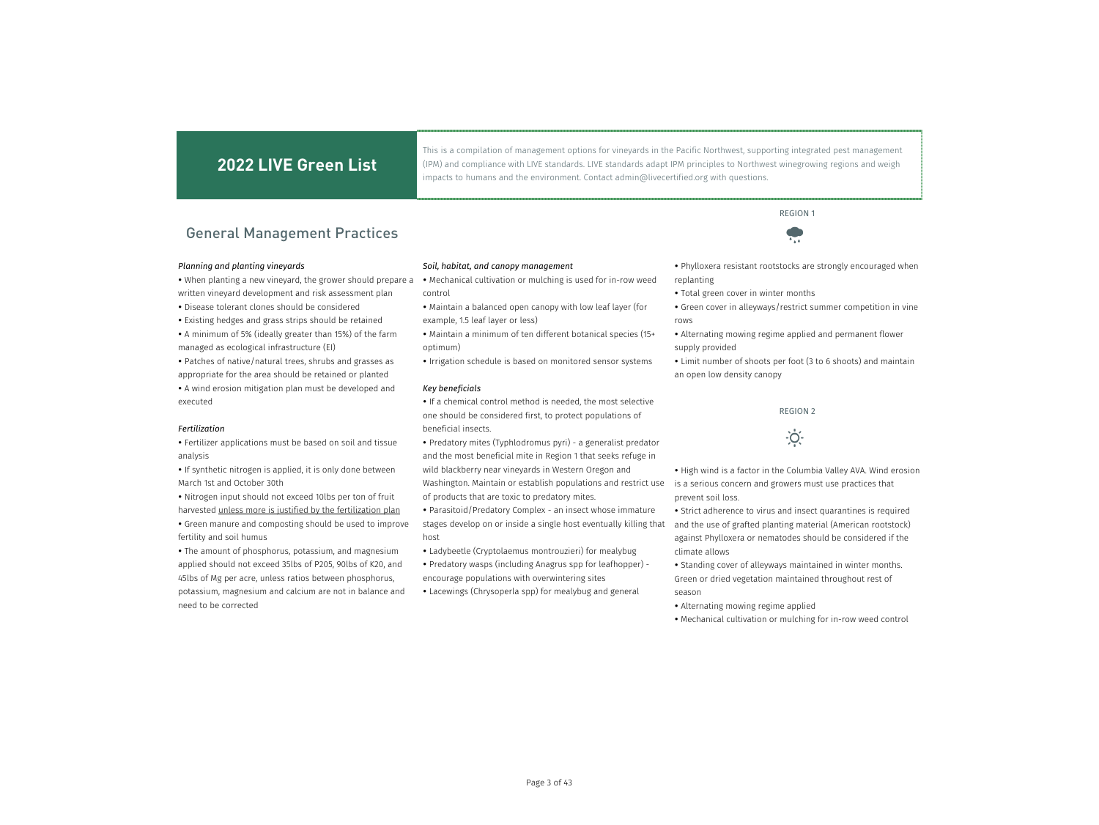This is a compilation of management options for vineyards in the Pacific Northwest, supporting integrated pest management (IPM) and compliance with LIVE standards. LIVE standards adapt IPM principles to Northwest winegrowing regions and weigh impacts to humans and the environment. Contact admin@livecertified.org with questions.

### General Management Practices

### *Planning and planting vineyards*

 When planting a new vineyard, the grower should prepare a written vineyard development and risk assessment plan

- Disease tolerant clones should be considered
- Existing hedges and grass strips should be retained • A minimum of 5% (ideally greater than 15%) of the farm managed as ecological infrastructure (EI)

 Patches of native/natural trees, shrubs and grasses as appropriate for the area should be retained or planted A wind erosion mitigation plan must be developed and executed

#### *Fertilization*

 Fertilizer applications must be based on soil and tissue analysis

• If synthetic nitrogen is applied, it is only done between March 1st and October 30th

 Nitrogen input should not exceed 10lbs per ton of fruit harvested unless more is justified by the fertilization plan Green manure and composting should be used to improve fertility and soil humus

 The amount of phosphorus, potassium, and magnesium applied should not exceed 35lbs of P205, 90lbs of K20, and 45lbs of Mg per acre, unless ratios between phosphorus, potassium, magnesium and calcium are not in balance and need to be corrected

#### *Soil, habitat, and canopy management*

- Mechanical cultivation or mulching is used for in-row weed control
- Maintain a balanced open canopy with low leaf layer (for example, 1.5 leaf layer or less)
- Maintain a minimum of ten different botanical species (15+ optimum)
- Irrigation schedule is based on monitored sensor systems

#### *Key beneficials*

 If a chemical control method is needed, the most selective one should be considered first, to protect populations of beneficial insects.

 Predatory mites (Typhlodromus pyri) - a generalist predator and the most beneficial mite in Region 1 that seeks refuge in wild blackberry near vineyards in Western Oregon and Washington. Maintain or establish populations and restrict use

of products that are toxic to predatory mites.

 Parasitoid/Predatory Complex - an insect whose immature stages develop on or inside a single host eventually killing that host

 Ladybeetle (Cryptolaemus montrouzieri) for mealybug Predatory wasps (including Anagrus spp for leafhopper) encourage populations with overwintering sites

Lacewings (Chrysoperla spp) for mealybug and general

 Phylloxera resistant rootstocks are strongly encouraged when replanting

 $\frac{1}{2}$ 

- Total green cover in winter months
- Green cover in alleyways/restrict summer competition in vine rows
- Alternating mowing regime applied and permanent flower supply provided

 Limit number of shoots per foot (3 to 6 shoots) and maintain an open low density canopy

### REGION 2

# $\dot{O}$

• High wind is a factor in the Columbia Valley AVA. Wind erosion is a serious concern and growers must use practices that prevent soil loss.

• Strict adherence to virus and insect quarantines is required and the use of grafted planting material (American rootstock) against Phylloxera or nematodes should be considered if the climate allows

• Standing cover of alleyways maintained in winter months. Green or dried vegetation maintained throughout rest of season

- Alternating mowing regime applied
- Mechanical cultivation or mulching for in-row weed control

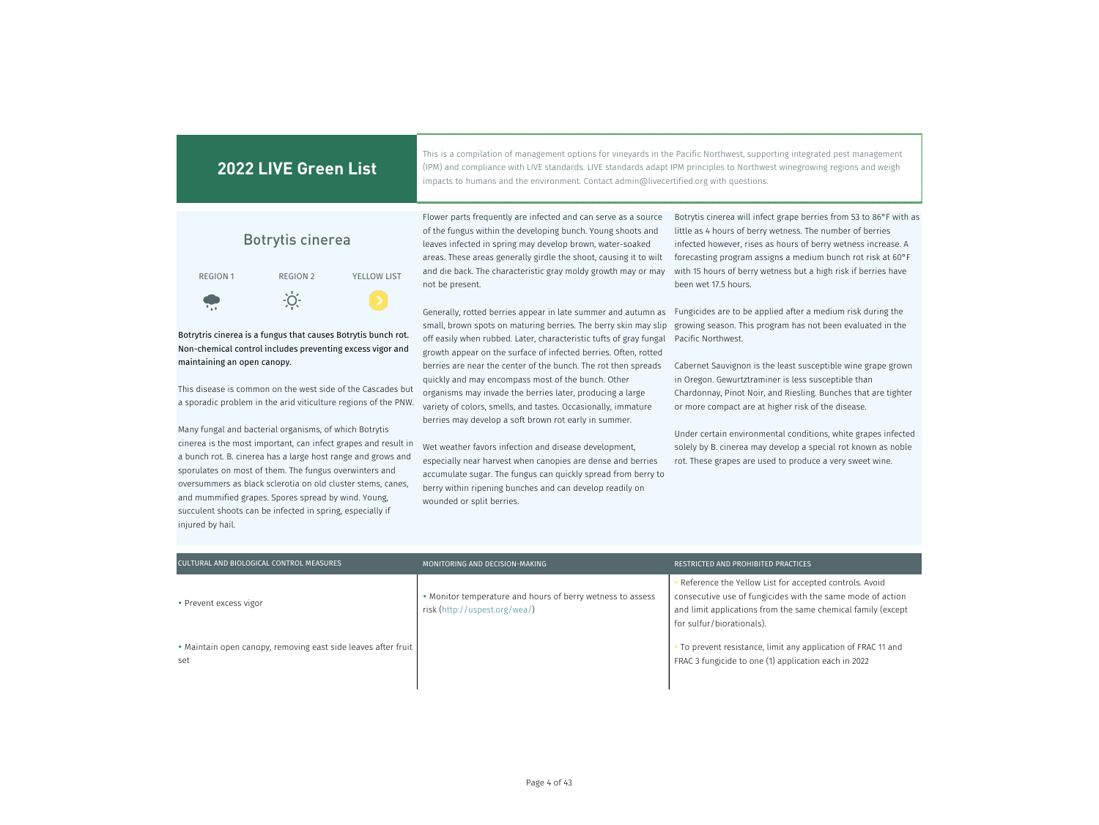| <b>2022 LIVE Green List</b>                                                                                                                                                                                                                                                                                                                                                                                                                                                                                                                                                                                                                                                                                                                             | This is a compilation of management options for vineyards in the Pacific Northwest, supporting integrated pest management<br>(IPM) and compliance with LIVE standards. LIVE standards adapt IPM principles to Northwest winegrowing regions and weigh<br>impacts to humans and the environment. Contact admin@livecertified.org with questions.                                                                                                                                                                                                                                                                                                                                                                                                                                                                                                                            |                                                                                                                                                                                                                                                                                                                                                                                                                                                                                                                                                                                              |
|---------------------------------------------------------------------------------------------------------------------------------------------------------------------------------------------------------------------------------------------------------------------------------------------------------------------------------------------------------------------------------------------------------------------------------------------------------------------------------------------------------------------------------------------------------------------------------------------------------------------------------------------------------------------------------------------------------------------------------------------------------|----------------------------------------------------------------------------------------------------------------------------------------------------------------------------------------------------------------------------------------------------------------------------------------------------------------------------------------------------------------------------------------------------------------------------------------------------------------------------------------------------------------------------------------------------------------------------------------------------------------------------------------------------------------------------------------------------------------------------------------------------------------------------------------------------------------------------------------------------------------------------|----------------------------------------------------------------------------------------------------------------------------------------------------------------------------------------------------------------------------------------------------------------------------------------------------------------------------------------------------------------------------------------------------------------------------------------------------------------------------------------------------------------------------------------------------------------------------------------------|
| <b>Botrytis cinerea</b><br><b>REGION 2</b><br><b>YELLOW LIST</b><br><b>REGION 1</b>                                                                                                                                                                                                                                                                                                                                                                                                                                                                                                                                                                                                                                                                     | Flower parts frequently are infected and can serve as a source<br>of the fungus within the developing bunch. Young shoots and<br>leaves infected in spring may develop brown, water-soaked<br>areas. These areas generally girdle the shoot, causing it to wilt<br>and die back. The characteristic gray moldy growth may or may<br>not be present.                                                                                                                                                                                                                                                                                                                                                                                                                                                                                                                        | Botrytis cinerea will infect grape berries from 53 to 86°F with as<br>little as 4 hours of berry wetness. The number of berries<br>infected however, rises as hours of berry wetness increase. A<br>forecasting program assigns a medium bunch rot risk at 60°F<br>with 15 hours of berry wetness but a high risk if berries have<br>been wet 17.5 hours.                                                                                                                                                                                                                                    |
| Botrytris cinerea is a fungus that causes Botrytis bunch rot.<br>Non-chemical control includes preventing excess vigor and<br>maintaining an open canopy.<br>This disease is common on the west side of the Cascades but<br>a sporadic problem in the arid viticulture regions of the PNW.<br>Many fungal and bacterial organisms, of which Botrytis<br>cinerea is the most important, can infect grapes and result in<br>a bunch rot. B. cinerea has a large host range and grows and<br>sporulates on most of them. The fungus overwinters and<br>oversummers as black sclerotia on old cluster stems, canes,<br>and mummified grapes. Spores spread by wind. Young,<br>succulent shoots can be infected in spring, especially if<br>injured by hail. | Generally, rotted berries appear in late summer and autumn as<br>small, brown spots on maturing berries. The berry skin may slip<br>off easily when rubbed. Later, characteristic tufts of gray fungal<br>growth appear on the surface of infected berries. Often, rotted<br>berries are near the center of the bunch. The rot then spreads<br>quickly and may encompass most of the bunch. Other<br>organisms may invade the berries later, producing a large<br>variety of colors, smells, and tastes. Occasionally, immature<br>berries may develop a soft brown rot early in summer.<br>Wet weather favors infection and disease development,<br>especially near harvest when canopies are dense and berries<br>accumulate sugar. The fungus can quickly spread from berry to<br>berry within ripening bunches and can develop readily on<br>wounded or split berries. | Fungicides are to be applied after a medium risk during the<br>growing season. This program has not been evaluated in the<br>Pacific Northwest.<br>Cabernet Sauvignon is the least susceptible wine grape grown<br>in Oregon. Gewurtztraminer is less susceptible than<br>Chardonnay, Pinot Noir, and Riesling. Bunches that are tighter<br>or more compact are at higher risk of the disease.<br>Under certain environmental conditions, white grapes infected<br>solely by B. cinerea may develop a special rot known as noble<br>rot. These grapes are used to produce a very sweet wine. |

| CULTURAL AND BIOLOGICAL CONTROL MEASURES                             | MONITORING AND DECISION-MAKING                                                              | RESTRICTED AND PROHIBITED PRACTICES                                                                                                                                                                               |
|----------------------------------------------------------------------|---------------------------------------------------------------------------------------------|-------------------------------------------------------------------------------------------------------------------------------------------------------------------------------------------------------------------|
| • Prevent excess vigor                                               | • Monitor temperature and hours of berry wetness to assess<br>risk (http://uspest.org/wea/) | Reference the Yellow List for accepted controls. Avoid<br>consecutive use of fungicides with the same mode of action<br>and limit applications from the same chemical family (except<br>for sulfur/biorationals). |
| • Maintain open canopy, removing east side leaves after fruit<br>set |                                                                                             | • To prevent resistance, limit any application of FRAC 11 and<br>FRAC 3 fungicide to one (1) application each in 2022                                                                                             |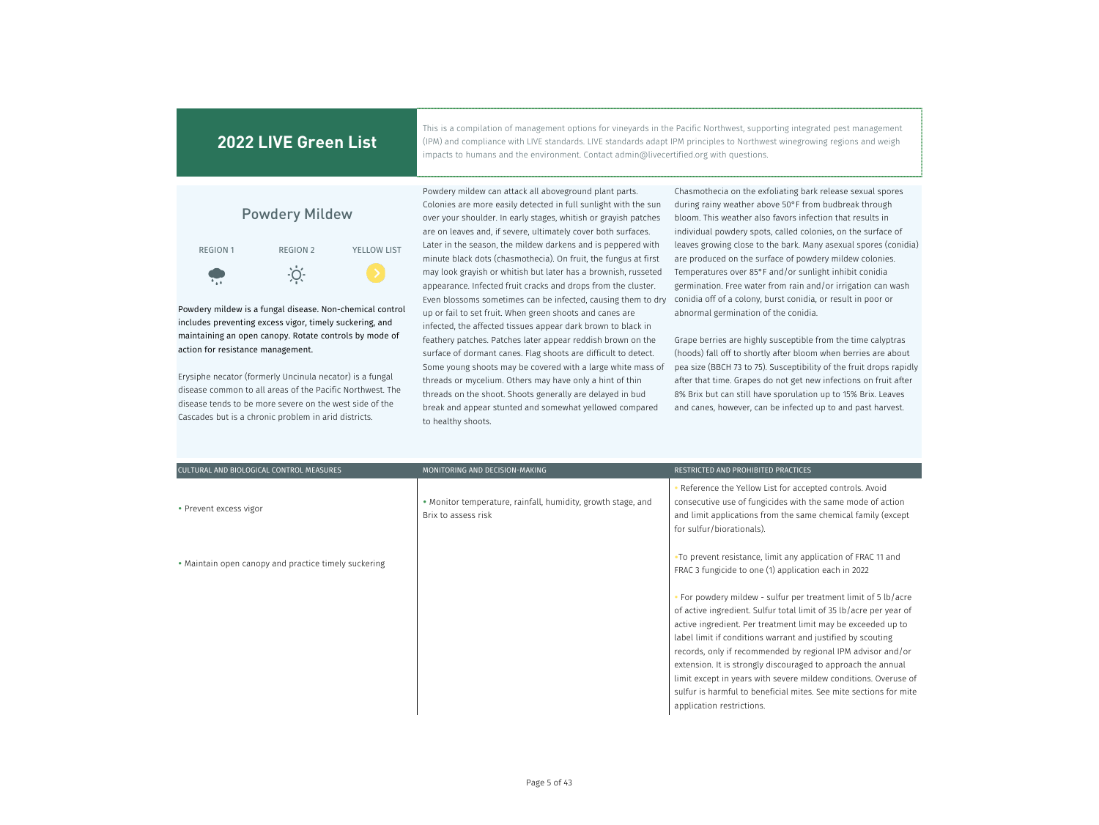This is a compilation of management options for vineyards in the Pacific Northwest, supporting integrated pest management (IPM) and compliance with LIVE standards. LIVE standards adapt IPM principles to Northwest winegrowing regions and weigh impacts to humans and the environment. Contact admin@livecertified.org with questions.



Powdery mildew is a fungal disease. Non-chemical control includes preventing excess vigor, timely suckering, and maintaining an open canopy. Rotate controls by mode of action for resistance management.

Erysiphe necator (formerly Uncinula necator) is a fungal disease common to all areas of the Pacific Northwest. The disease tends to be more severe on the west side of the Cascades but is a chronic problem in arid districts.

Powdery mildew can attack all aboveground plant parts. Colonies are more easily detected in full sunlight with the sun over your shoulder. In early stages, whitish or grayish patches are on leaves and, if severe, ultimately cover both surfaces. Later in the season, the mildew darkens and is peppered with minute black dots (chasmothecia). On fruit, the fungus at first may look grayish or whitish but later has a brownish, russeted appearance. Infected fruit cracks and drops from the cluster. Even blossoms sometimes can be infected, causing them to dry up or fail to set fruit. When green shoots and canes are infected, the affected tissues appear dark brown to black in feathery patches. Patches later appear reddish brown on the surface of dormant canes. Flag shoots are difficult to detect. Some young shoots may be covered with a large white mass of threads or mycelium. Others may have only a hint of thin threads on the shoot. Shoots generally are delayed in bud break and appear stunted and somewhat yellowed compared to healthy shoots.

Chasmothecia on the exfoliating bark release sexual spores during rainy weather above 50°F from budbreak through bloom. This weather also favors infection that results in individual powdery spots, called colonies, on the surface of leaves growing close to the bark. Many asexual spores (conidia) are produced on the surface of powdery mildew colonies. Temperatures over 85°F and/or sunlight inhibit conidia germination. Free water from rain and/or irrigation can wash conidia off of a colony, burst conidia, or result in poor or abnormal germination of the conidia.

Grape berries are highly susceptible from the time calyptras (hoods) fall off to shortly after bloom when berries are about pea size (BBCH 73 to 75). Susceptibility of the fruit drops rapidly after that time. Grapes do not get new infections on fruit after 8% Brix but can still have sporulation up to 15% Brix. Leaves and canes, however, can be infected up to and past harvest.

| CULTURAL AND BIOLOGICAL CONTROL MEASURES             | MONITORING AND DECISION-MAKING                                                      | RESTRICTED AND PROHIBITED PRACTICES                                                                                                                                                                                                                                                                                                                                                                                                                                                                                                                                     |
|------------------------------------------------------|-------------------------------------------------------------------------------------|-------------------------------------------------------------------------------------------------------------------------------------------------------------------------------------------------------------------------------------------------------------------------------------------------------------------------------------------------------------------------------------------------------------------------------------------------------------------------------------------------------------------------------------------------------------------------|
| • Prevent excess vigor                               | • Monitor temperature, rainfall, humidity, growth stage, and<br>Brix to assess risk | Reference the Yellow List for accepted controls. Avoid<br>consecutive use of fungicides with the same mode of action<br>and limit applications from the same chemical family (except<br>for sulfur/biorationals).                                                                                                                                                                                                                                                                                                                                                       |
| • Maintain open canopy and practice timely suckering |                                                                                     | •To prevent resistance, limit any application of FRAC 11 and<br>FRAC 3 fungicide to one (1) application each in 2022                                                                                                                                                                                                                                                                                                                                                                                                                                                    |
|                                                      |                                                                                     | • For powdery mildew - sulfur per treatment limit of 5 lb/acre<br>of active ingredient. Sulfur total limit of 35 lb/acre per year of<br>active ingredient. Per treatment limit may be exceeded up to<br>label limit if conditions warrant and justified by scouting<br>records, only if recommended by regional IPM advisor and/or<br>extension. It is strongly discouraged to approach the annual<br>limit except in years with severe mildew conditions. Overuse of<br>sulfur is harmful to beneficial mites. See mite sections for mite<br>application restrictions. |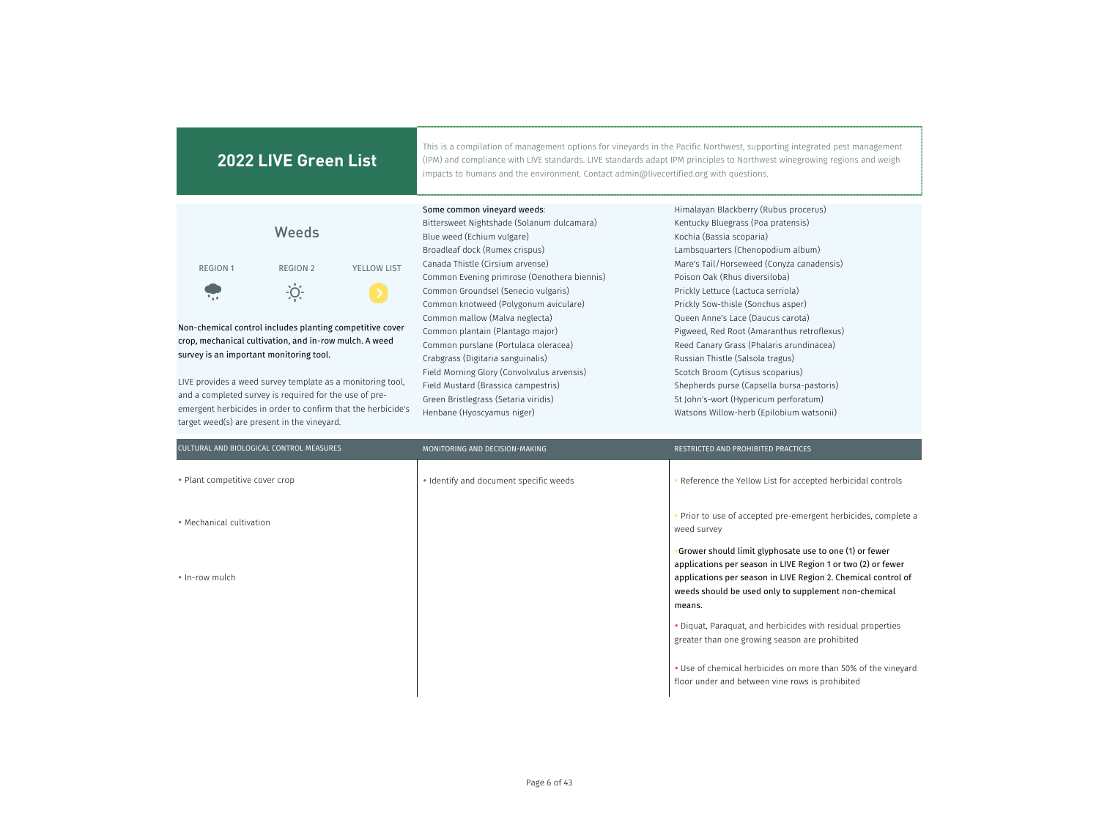| 2022 LIVE Green List                                                                                                                                                                                                                                                                                                                                                                                                                                                            | This is a compilation of management options for vineyards in the Pacific Northwest, supporting integrated pest management<br>(IPM) and compliance with LIVE standards. LIVE standards adapt IPM principles to Northwest winegrowing regions and weigh<br>impacts to humans and the environment. Contact admin@livecertified.org with questions.                                                                                                                                                                                                                                                                            |                                                                                                                                                                                                                                                                                                                                                                                                                                                                                                                                                                                                                                                 |
|---------------------------------------------------------------------------------------------------------------------------------------------------------------------------------------------------------------------------------------------------------------------------------------------------------------------------------------------------------------------------------------------------------------------------------------------------------------------------------|----------------------------------------------------------------------------------------------------------------------------------------------------------------------------------------------------------------------------------------------------------------------------------------------------------------------------------------------------------------------------------------------------------------------------------------------------------------------------------------------------------------------------------------------------------------------------------------------------------------------------|-------------------------------------------------------------------------------------------------------------------------------------------------------------------------------------------------------------------------------------------------------------------------------------------------------------------------------------------------------------------------------------------------------------------------------------------------------------------------------------------------------------------------------------------------------------------------------------------------------------------------------------------------|
| Weeds<br>YELLOW LIST<br><b>REGION 1</b><br><b>REGION 2</b><br>$\dot{O}$<br>Non-chemical control includes planting competitive cover<br>crop, mechanical cultivation, and in-row mulch. A weed<br>survey is an important monitoring tool.<br>LIVE provides a weed survey template as a monitoring tool,<br>and a completed survey is required for the use of pre-<br>emergent herbicides in order to confirm that the herbicide's<br>target weed(s) are present in the vineyard. | Some common vineyard weeds:<br>Bittersweet Nightshade (Solanum dulcamara)<br>Blue weed (Echium vulgare)<br>Broadleaf dock (Rumex crispus)<br>Canada Thistle (Cirsium arvense)<br>Common Evening primrose (Oenothera biennis)<br>Common Groundsel (Senecio vulgaris)<br>Common knotweed (Polygonum aviculare)<br>Common mallow (Malva neglecta)<br>Common plantain (Plantago major)<br>Common purslane (Portulaca oleracea)<br>Crabgrass (Digitaria sanguinalis)<br>Field Morning Glory (Convolvulus arvensis)<br>Field Mustard (Brassica campestris)<br>Green Bristlegrass (Setaria viridis)<br>Henbane (Hyoscyamus niger) | Himalayan Blackberry (Rubus procerus)<br>Kentucky Bluegrass (Poa pratensis)<br>Kochia (Bassia scoparia)<br>Lambsquarters (Chenopodium album)<br>Mare's Tail/Horseweed (Conyza canadensis)<br>Poison Oak (Rhus diversiloba)<br>Prickly Lettuce (Lactuca serriola)<br>Prickly Sow-thisle (Sonchus asper)<br>Oueen Anne's Lace (Daucus carota)<br>Pigweed, Red Root (Amaranthus retroflexus)<br>Reed Canary Grass (Phalaris arundinacea)<br>Russian Thistle (Salsola tragus)<br>Scotch Broom (Cytisus scoparius)<br>Shepherds purse (Capsella bursa-pastoris)<br>St John's-wort (Hypericum perforatum)<br>Watsons Willow-herb (Epilobium watsonii) |
| CULTURAL AND BIOLOGICAL CONTROL MEASURES                                                                                                                                                                                                                                                                                                                                                                                                                                        | MONITORING AND DECISION-MAKING                                                                                                                                                                                                                                                                                                                                                                                                                                                                                                                                                                                             | RESTRICTED AND PROHIBITED PRACTICES                                                                                                                                                                                                                                                                                                                                                                                                                                                                                                                                                                                                             |

| CULTURAL AND BIOLOGICAL CONTROL MEASURES | MONITORING AND DECISION-MAKING         | RESTRICTED AND PROHIBITED PRACTICES                                                                                                                                                                                                                         |
|------------------------------------------|----------------------------------------|-------------------------------------------------------------------------------------------------------------------------------------------------------------------------------------------------------------------------------------------------------------|
| • Plant competitive cover crop           | • Identify and document specific weeds | Reference the Yellow List for accepted herbicidal controls                                                                                                                                                                                                  |
| • Mechanical cultivation                 |                                        | Prior to use of accepted pre-emergent herbicides, complete a<br>weed survey                                                                                                                                                                                 |
| • In-row mulch                           |                                        | Grower should limit glyphosate use to one (1) or fewer •<br>applications per season in LIVE Region 1 or two (2) or fewer<br>applications per season in LIVE Region 2. Chemical control of<br>weeds should be used only to supplement non-chemical<br>means. |
|                                          |                                        | • Diquat, Paraquat, and herbicides with residual properties<br>greater than one growing season are prohibited                                                                                                                                               |
|                                          |                                        | • Use of chemical herbicides on more than 50% of the vineyard<br>floor under and between vine rows is prohibited                                                                                                                                            |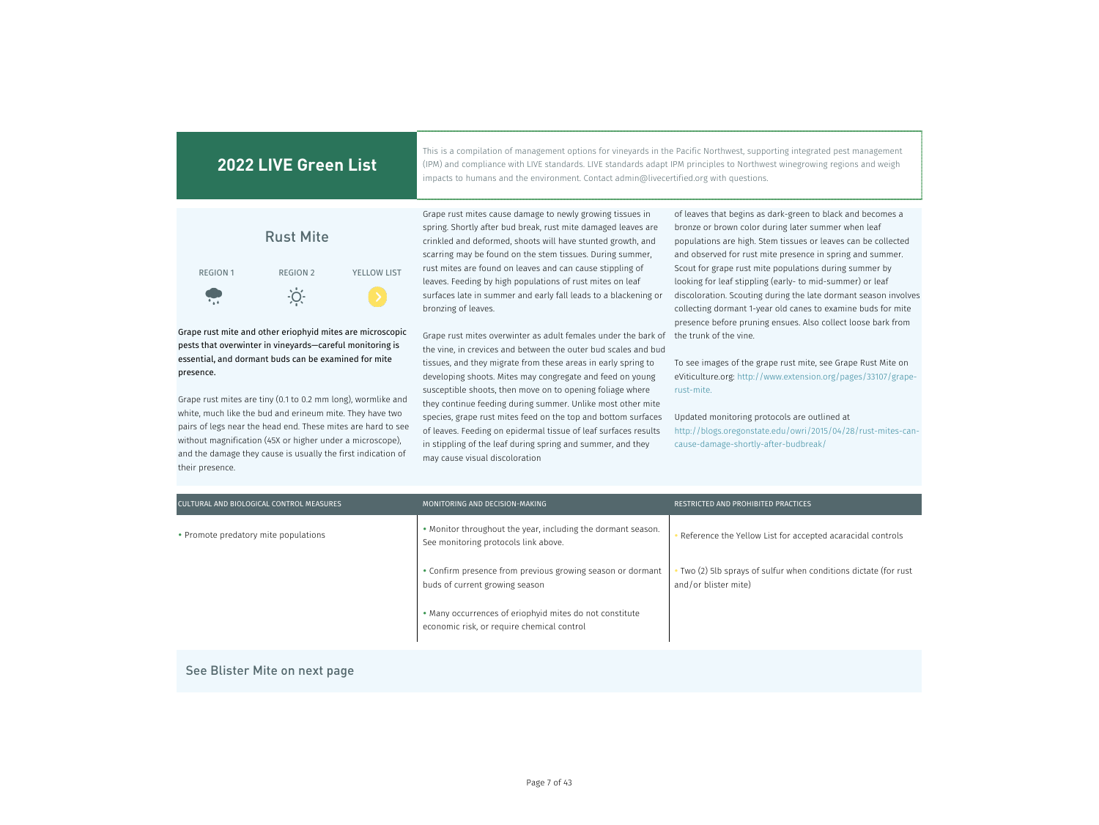| 2022 LIVE Green List                                                                                                                                                                                                                                                                                                                                                                                                                                                                                                |                  |                    | impacts to humans and the environment. Contact admin@livecertified.org with questions.                                                                                                                                                                                                           | This is a compilation of management options for vineyards in the Pacific Northwest, supporting integrated pest management<br>(IPM) and compliance with LIVE standards. LIVE standards adapt IPM principles to Northwest winegrowing regions and weigh |  |
|---------------------------------------------------------------------------------------------------------------------------------------------------------------------------------------------------------------------------------------------------------------------------------------------------------------------------------------------------------------------------------------------------------------------------------------------------------------------------------------------------------------------|------------------|--------------------|--------------------------------------------------------------------------------------------------------------------------------------------------------------------------------------------------------------------------------------------------------------------------------------------------|-------------------------------------------------------------------------------------------------------------------------------------------------------------------------------------------------------------------------------------------------------|--|
|                                                                                                                                                                                                                                                                                                                                                                                                                                                                                                                     | <b>Rust Mite</b> |                    | Grape rust mites cause damage to newly growing tissues in<br>spring. Shortly after bud break, rust mite damaged leaves are<br>crinkled and deformed, shoots will have stunted growth, and<br>scarring may be found on the stem tissues. During summer,                                           | of leaves that begins as dark-green to black and becomes a<br>bronze or brown color during later summer when leaf<br>populations are high. Stem tissues or leaves can be collected<br>and observed for rust mite presence in spring and summer.       |  |
| <b>REGION 1</b>                                                                                                                                                                                                                                                                                                                                                                                                                                                                                                     | <b>REGION 2</b>  | <b>YELLOW LIST</b> | rust mites are found on leaves and can cause stippling of<br>leaves. Feeding by high populations of rust mites on leaf                                                                                                                                                                           | Scout for grape rust mite populations during summer by<br>looking for leaf stippling (early-to mid-summer) or leaf                                                                                                                                    |  |
| $\ddot{\bullet}$                                                                                                                                                                                                                                                                                                                                                                                                                                                                                                    | $\overline{O}$ . |                    | surfaces late in summer and early fall leads to a blackening or<br>bronzing of leaves.                                                                                                                                                                                                           | discoloration. Scouting during the late dormant season involves<br>collecting dormant 1-year old canes to examine buds for mite<br>presence before pruning ensues. Also collect loose bark from                                                       |  |
| Grape rust mite and other eriophyid mites are microscopic<br>pests that overwinter in vineyards-careful monitoring is<br>essential, and dormant buds can be examined for mite<br>presence.<br>Grape rust mites are tiny (0.1 to 0.2 mm long), wormlike and<br>white, much like the bud and erineum mite. They have two<br>pairs of legs near the head end. These mites are hard to see<br>without magnification (45X or higher under a microscope),<br>and the damage they cause is usually the first indication of |                  |                    | Grape rust mites overwinter as adult females under the bark of                                                                                                                                                                                                                                   | the trunk of the vine.                                                                                                                                                                                                                                |  |
|                                                                                                                                                                                                                                                                                                                                                                                                                                                                                                                     |                  |                    | the vine, in crevices and between the outer bud scales and bud<br>tissues, and they migrate from these areas in early spring to<br>developing shoots. Mites may congregate and feed on young<br>susceptible shoots, then move on to opening foliage where                                        | To see images of the grape rust mite, see Grape Rust Mite on<br>eViticulture.org: http://www.extension.org/pages/33107/grape-<br>rust-mite.                                                                                                           |  |
|                                                                                                                                                                                                                                                                                                                                                                                                                                                                                                                     |                  |                    | they continue feeding during summer. Unlike most other mite<br>species, grape rust mites feed on the top and bottom surfaces<br>of leaves. Feeding on epidermal tissue of leaf surfaces results<br>in stippling of the leaf during spring and summer, and they<br>may cause visual discoloration | Updated monitoring protocols are outlined at<br>http://blogs.oregonstate.edu/owri/2015/04/28/rust-mites-can-<br>cause-damage-shortly-after-budbreak/                                                                                                  |  |

| CULTURAL AND BIOLOGICAL CONTROL MEASURES | MONITORING AND DECISION-MAKING                                                                        | RESTRICTED AND PROHIBITED PRACTICES                                                      |
|------------------------------------------|-------------------------------------------------------------------------------------------------------|------------------------------------------------------------------------------------------|
| • Promote predatory mite populations     | • Monitor throughout the year, including the dormant season.<br>See monitoring protocols link above.  | Reference the Yellow List for accepted acaracidal controls                               |
|                                          | • Confirm presence from previous growing season or dormant<br>buds of current growing season          | • Two (2) 5lb sprays of sulfur when conditions dictate (for rust<br>and/or blister mite) |
|                                          | • Many occurrences of eriophyid mites do not constitute<br>economic risk, or require chemical control |                                                                                          |

See Blister Mite on next page

their presence.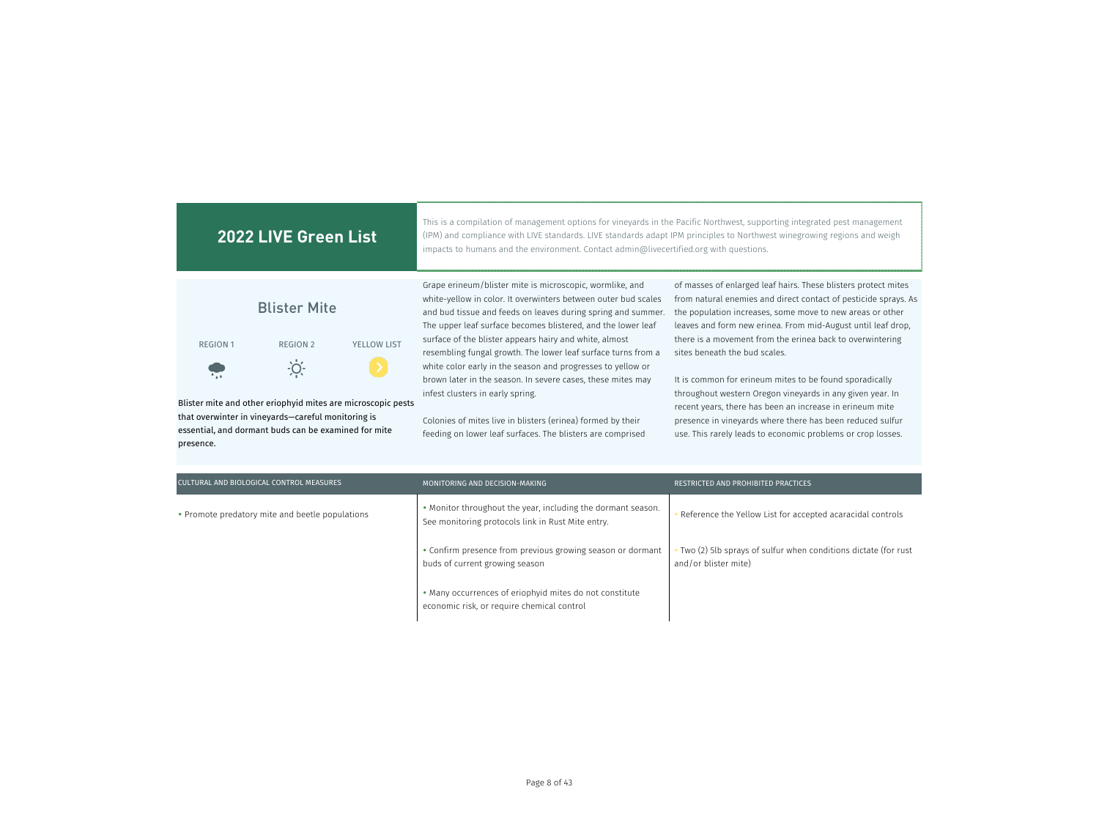| 2022 LIVE Green List                                                                                                    |                     |                    | This is a compilation of management options for vineyards in the Pacific Northwest, supporting integrated pest management<br>(IPM) and compliance with LIVE standards. LIVE standards adapt IPM principles to Northwest winegrowing regions and weigh<br>impacts to humans and the environment. Contact admin@livecertified.org with questions. |                                                                                                                                                                                                                                                                |
|-------------------------------------------------------------------------------------------------------------------------|---------------------|--------------------|-------------------------------------------------------------------------------------------------------------------------------------------------------------------------------------------------------------------------------------------------------------------------------------------------------------------------------------------------|----------------------------------------------------------------------------------------------------------------------------------------------------------------------------------------------------------------------------------------------------------------|
|                                                                                                                         | <b>Blister Mite</b> |                    | Grape erineum/blister mite is microscopic, wormlike, and<br>white-yellow in color. It overwinters between outer bud scales<br>and bud tissue and feeds on leaves during spring and summer.<br>The upper leaf surface becomes blistered, and the lower leaf                                                                                      | of masses of enlarged leaf hairs. These blisters protect mites<br>from natural enemies and direct contact of pesticide sprays. As<br>the population increases, some move to new areas or other<br>leaves and form new erinea. From mid-August until leaf drop, |
| <b>REGION 1</b>                                                                                                         | REGION 2            | <b>YELLOW LIST</b> | surface of the blister appears hairy and white, almost<br>resembling fungal growth. The lower leaf surface turns from a                                                                                                                                                                                                                         | there is a movement from the erinea back to overwintering<br>sites beneath the bud scales.                                                                                                                                                                     |
|                                                                                                                         | -Ö.                 |                    | white color early in the season and progresses to yellow or<br>brown later in the season. In severe cases, these mites may<br>infest clusters in early spring.                                                                                                                                                                                  | It is common for erineum mites to be found sporadically<br>throughout western Oregon vineyards in any given year. In                                                                                                                                           |
| Blister mite and other eriophyid mites are microscopic pests                                                            |                     |                    |                                                                                                                                                                                                                                                                                                                                                 | recent years, there has been an increase in erineum mite                                                                                                                                                                                                       |
| that overwinter in vineyards—careful monitoring is<br>essential, and dormant buds can be examined for mite<br>presence. |                     |                    | Colonies of mites live in blisters (erinea) formed by their<br>feeding on lower leaf surfaces. The blisters are comprised                                                                                                                                                                                                                       | presence in vineyards where there has been reduced sulfur<br>use. This rarely leads to economic problems or crop losses.                                                                                                                                       |

| CULTURAL AND BIOLOGICAL CONTROL MEASURES        | MONITORING AND DECISION-MAKING                                                                                    | RESTRICTED AND PROHIBITED PRACTICES                                                      |
|-------------------------------------------------|-------------------------------------------------------------------------------------------------------------------|------------------------------------------------------------------------------------------|
| • Promote predatory mite and beetle populations | • Monitor throughout the year, including the dormant season.<br>See monitoring protocols link in Rust Mite entry. | Reference the Yellow List for accepted acaracidal controls                               |
|                                                 | • Confirm presence from previous growing season or dormant<br>buds of current growing season                      | • Two (2) 5lb sprays of sulfur when conditions dictate (for rust<br>and/or blister mite) |
|                                                 | • Many occurrences of eriophyid mites do not constitute<br>economic risk, or require chemical control             |                                                                                          |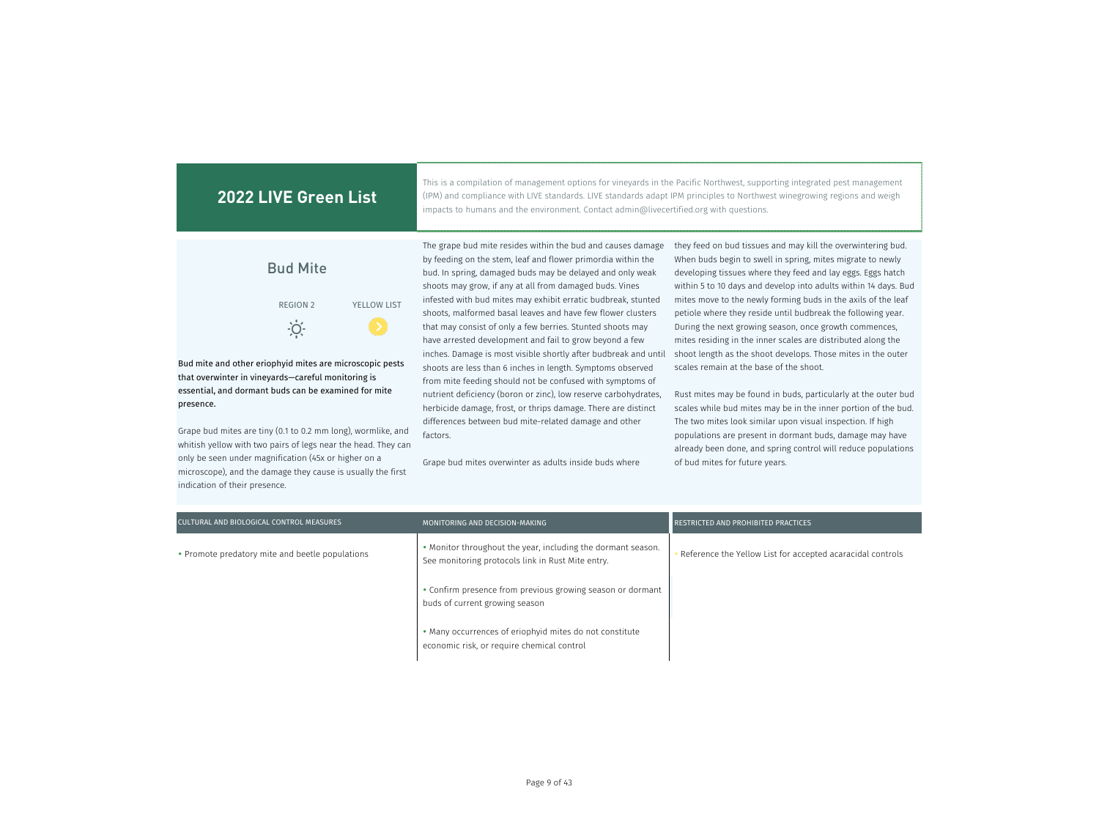| <b>2022 LIVE Green List</b>                                                                                         | This is a compilation of management options for vineyards in the Pacific Northwest, supporting integrated pest management<br>(IPM) and compliance with LIVE standards. LIVE standards adapt IPM principles to Northwest winegrowing regions and weigh<br>impacts to humans and the environment. Contact admin@livecertified.org with questions.                                     |                                                                                                                                                                                                                                                                                                                                                                                               |
|---------------------------------------------------------------------------------------------------------------------|-------------------------------------------------------------------------------------------------------------------------------------------------------------------------------------------------------------------------------------------------------------------------------------------------------------------------------------------------------------------------------------|-----------------------------------------------------------------------------------------------------------------------------------------------------------------------------------------------------------------------------------------------------------------------------------------------------------------------------------------------------------------------------------------------|
| <b>Bud Mite</b><br><b>YELLOW LIST</b><br><b>REGION 2</b>                                                            | The grape bud mite resides within the bud and causes damage<br>by feeding on the stem, leaf and flower primordia within the<br>bud. In spring, damaged buds may be delayed and only weak<br>shoots may grow, if any at all from damaged buds. Vines<br>infested with bud mites may exhibit erratic budbreak, stunted<br>shoots, malformed basal leaves and have few flower clusters | they feed on bud tissues and may kill the overwintering bud.<br>When buds begin to swell in spring, mites migrate to newly<br>developing tissues where they feed and lay eggs. Eggs hatch<br>within 5 to 10 days and develop into adults within 14 days. Bud<br>mites move to the newly forming buds in the axils of the leaf<br>petiole where they reside until budbreak the following year. |
| O<br>Bud mite and other eriophyid mites are microscopic pests<br>that overwinter in vineyards-careful monitoring is | that may consist of only a few berries. Stunted shoots may<br>have arrested development and fail to grow beyond a few<br>inches. Damage is most visible shortly after budbreak and until<br>shoots are less than 6 inches in length. Symptoms observed<br>from mite feeding should not be confused with symptoms of                                                                 | During the next growing season, once growth commences,<br>mites residing in the inner scales are distributed along the<br>shoot length as the shoot develops. Those mites in the outer<br>scales remain at the base of the shoot.                                                                                                                                                             |

nutrient deficiency (boron or zinc), low reserve carbohydrates, herbicide damage, frost, or thrips damage. There are distinct differences between bud mite-related damage and other

Grape bud mites overwinter as adults inside buds where

factors.

essential, and dormant buds can be examined for mite

Grape bud mites are tiny (0.1 to 0.2 mm long), wormlike, and whitish yellow with two pairs of legs near the head. They can only be seen under magnification (45x or higher on a microscope), and the damage they cause is usually the first

presence.

indication of their presence.

Rust mites may be found in buds, particularly at the outer bud scales while bud mites may be in the inner portion of the bud. The two mites look similar upon visual inspection. If high populations are present in dormant buds, damage may have already been done, and spring control will reduce populations of bud mites for future years.

MONITORING AND DECISION-MAKING RESTRICTED AND PROHIBITED PRACTICES Monitor throughout the year, including the dormant season. See monitoring protocols link in Rust Mite entry. Confirm presence from previous growing season or dormant buds of current growing season Many occurrences of eriophyid mites do not constitute economic risk, or require chemical control CULTURAL AND BIOLOGICAL CONTROL MEASURES • Promote predatory mite and beetle populations

Page 9 of 43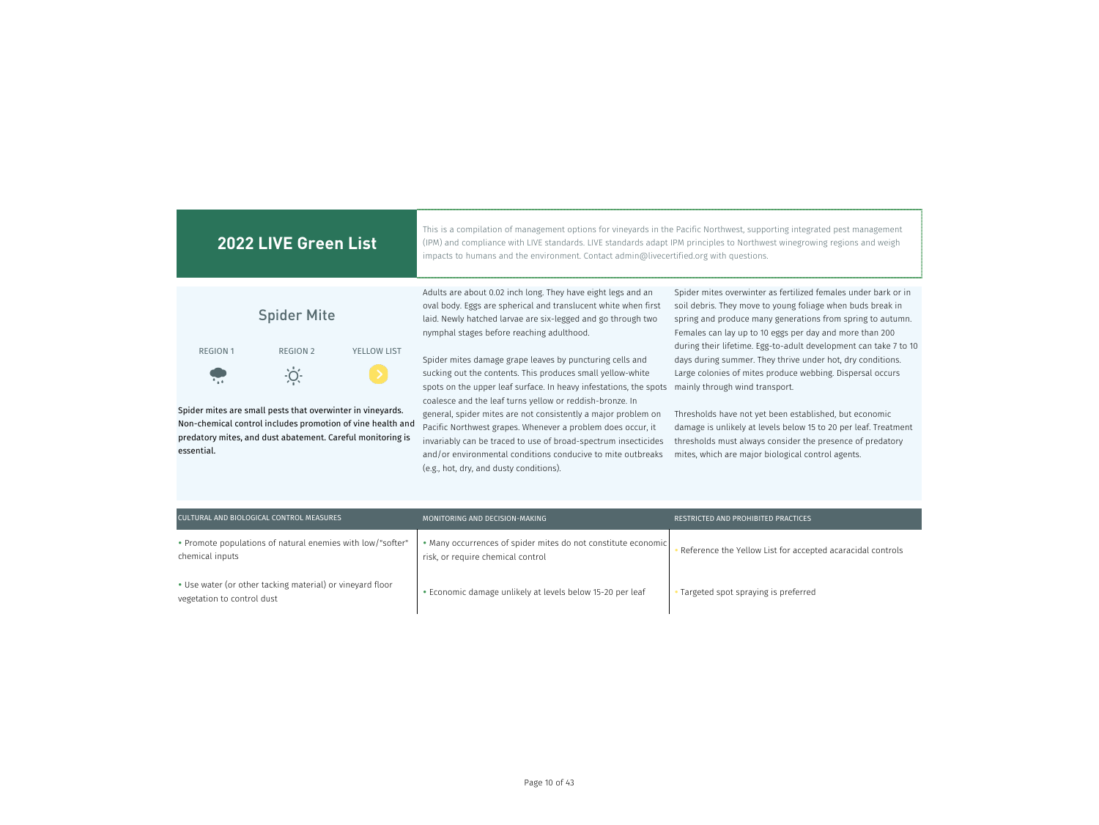| <b>2022 LIVE Green List</b>                                                                                                                                                                          | This is a compilation of management options for vineyards in the Pacific Northwest, supporting integrated pest management<br>(IPM) and compliance with LIVE standards. LIVE standards adapt IPM principles to Northwest winegrowing regions and weigh<br>impacts to humans and the environment. Contact admin@livecertified.org with questions.                                                                                           |                                                                                                                                                                                                                                                                               |  |
|------------------------------------------------------------------------------------------------------------------------------------------------------------------------------------------------------|-------------------------------------------------------------------------------------------------------------------------------------------------------------------------------------------------------------------------------------------------------------------------------------------------------------------------------------------------------------------------------------------------------------------------------------------|-------------------------------------------------------------------------------------------------------------------------------------------------------------------------------------------------------------------------------------------------------------------------------|--|
| <b>Spider Mite</b>                                                                                                                                                                                   | Adults are about 0.02 inch long. They have eight legs and an<br>oval body. Eggs are spherical and translucent white when first<br>laid. Newly hatched larvae are six-legged and go through two<br>nymphal stages before reaching adulthood.                                                                                                                                                                                               | Spider mites overwinter as fertilized females under bark or in<br>soil debris. They move to young foliage when buds break in<br>spring and produce many generations from spring to autumn.<br>Females can lay up to 10 eggs per day and more than 200                         |  |
| <b>REGION 1</b><br><b>REGION 2</b><br><b>YELLOW LIST</b>                                                                                                                                             | Spider mites damage grape leaves by puncturing cells and<br>sucking out the contents. This produces small yellow-white                                                                                                                                                                                                                                                                                                                    | during their lifetime. Egg-to-adult development can take 7 to 10<br>days during summer. They thrive under hot, dry conditions.<br>Large colonies of mites produce webbing. Dispersal occurs                                                                                   |  |
| Spider mites are small pests that overwinter in vineyards.<br>Non-chemical control includes promotion of vine health and<br>predatory mites, and dust abatement. Careful monitoring is<br>essential. | spots on the upper leaf surface. In heavy infestations, the spots<br>coalesce and the leaf turns yellow or reddish-bronze. In<br>general, spider mites are not consistently a major problem on<br>Pacific Northwest grapes. Whenever a problem does occur, it<br>invariably can be traced to use of broad-spectrum insecticides<br>and/or environmental conditions conducive to mite outbreaks<br>(e.g., hot, dry, and dusty conditions). | mainly through wind transport.<br>Thresholds have not yet been established, but economic<br>damage is unlikely at levels below 15 to 20 per leaf. Treatment<br>thresholds must always consider the presence of predatory<br>mites, which are major biological control agents. |  |

| CULTURAL AND BIOLOGICAL CONTROL MEASURES                                                | MONITORING AND DECISION-MAKING                                                                     | RESTRICTED AND PROHIBITED PRACTICES                        |
|-----------------------------------------------------------------------------------------|----------------------------------------------------------------------------------------------------|------------------------------------------------------------|
| • Promote populations of natural enemies with low/"softer"<br>chemical inputs           | • Many occurrences of spider mites do not constitute economic<br>risk, or require chemical control | Reference the Yellow List for accepted acaracidal controls |
| • Use water (or other tacking material) or vineyard floor<br>vegetation to control dust | • Economic damage unlikely at levels below 15-20 per leaf                                          | Targeted spot spraying is preferred                        |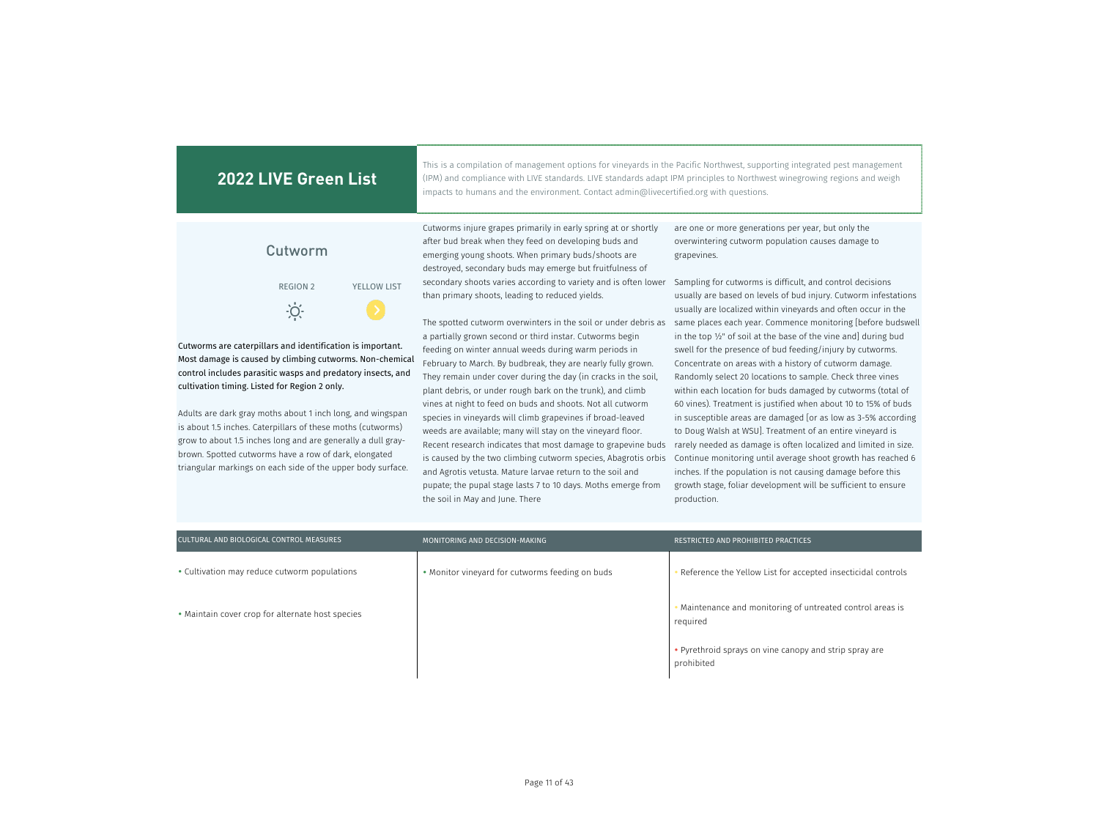This is a compilation of management options for vineyards in the Pacific Northwest, supporting integrated pest management (IPM) and compliance with LIVE standards. LIVE standards adapt IPM principles to Northwest winegrowing regions and weigh impacts to humans and the environment. Contact admin@livecertified.org with questions.

# Cutworm REGION 2 YELLOW LIST  $\cdot O$

Cutworms are caterpillars and identification is important. Most damage is caused by climbing cutworms. Non-chemical control includes parasitic wasps and predatory insects, and cultivation timing. Listed for Region 2 only.

Adults are dark gray moths about 1 inch long, and wingspan is about 1.5 inches. Caterpillars of these moths (cutworms) grow to about 1.5 inches long and are generally a dull graybrown. Spotted cutworms have a row of dark, elongated triangular markings on each side of the upper body surface. Cutworms injure grapes primarily in early spring at or shortly after bud break when they feed on developing buds and emerging young shoots. When primary buds/shoots are destroyed, secondary buds may emerge but fruitfulness of secondary shoots varies according to variety and is often lower Sampling for cutworms is difficult, and control decisions than primary shoots, leading to reduced yields.

a partially grown second or third instar. Cutworms begin feeding on winter annual weeds during warm periods in February to March. By budbreak, they are nearly fully grown. They remain under cover during the day (in cracks in the soil, plant debris, or under rough bark on the trunk), and climb vines at night to feed on buds and shoots. Not all cutworm species in vineyards will climb grapevines if broad-leaved weeds are available; many will stay on the vineyard floor. Recent research indicates that most damage to grapevine buds is caused by the two climbing cutworm species, Abagrotis orbis and Agrotis vetusta. Mature larvae return to the soil and pupate; the pupal stage lasts 7 to 10 days. Moths emerge from the soil in May and June. There

are one or more generations per year, but only the overwintering cutworm population causes damage to grapevines.

The spotted cutworm overwinters in the soil or under debris as same places each year. Commence monitoring [before budswell usually are based on levels of bud injury. Cutworm infestations usually are localized within vineyards and often occur in the in the top ½" of soil at the base of the vine and] during bud swell for the presence of bud feeding/injury by cutworms. Concentrate on areas with a history of cutworm damage. Randomly select 20 locations to sample. Check three vines within each location for buds damaged by cutworms (total of 60 vines). Treatment is justified when about 10 to 15% of buds in susceptible areas are damaged [or as low as 3-5% according to Doug Walsh at WSU]. Treatment of an entire vineyard is rarely needed as damage is often localized and limited in size. Continue monitoring until average shoot growth has reached 6 inches. If the population is not causing damage before this growth stage, foliar development will be sufficient to ensure production.

| CULTURAL AND BIOLOGICAL CONTROL MEASURES         | MONITORING AND DECISION-MAKING                  | RESTRICTED AND PROHIBITED PRACTICES                                    |
|--------------------------------------------------|-------------------------------------------------|------------------------------------------------------------------------|
| • Cultivation may reduce cutworm populations     | • Monitor vineyard for cutworms feeding on buds | Reference the Yellow List for accepted insecticidal controls           |
| • Maintain cover crop for alternate host species |                                                 | • Maintenance and monitoring of untreated control areas is<br>required |
|                                                  |                                                 | • Pyrethroid sprays on vine canopy and strip spray are<br>prohibited   |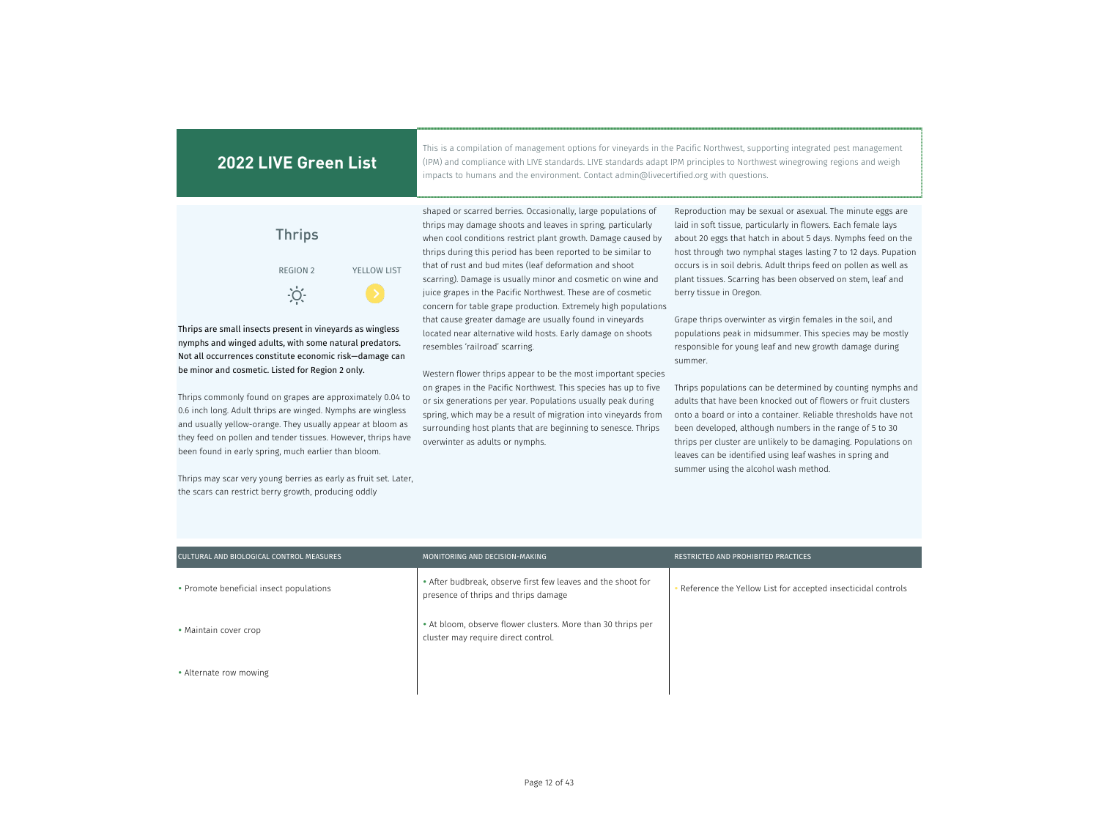This is a compilation of management options for vineyards in the Pacific Northwest, supporting integrated pest management (IPM) and compliance with LIVE standards. LIVE standards adapt IPM principles to Northwest winegrowing regions and weigh impacts to humans and the environment. Contact admin@livecertified.org with questions.

| <b>Thrips</b>   |                    |
|-----------------|--------------------|
| <b>REGION 2</b> | <b>YELLOW LIST</b> |
|                 |                    |

Thrips are small insects present in vineyards as wingless nymphs and winged adults, with some natural predators. Not all occurrences constitute economic risk—damage can be minor and cosmetic. Listed for Region 2 only.

Thrips commonly found on grapes are approximately 0.04 to 0.6 inch long. Adult thrips are winged. Nymphs are wingless and usually yellow-orange. They usually appear at bloom as they feed on pollen and tender tissues. However, thrips have been found in early spring, much earlier than bloom.

Thrips may scar very young berries as early as fruit set. Later, the scars can restrict berry growth, producing oddly

shaped or scarred berries. Occasionally, large populations of thrips may damage shoots and leaves in spring, particularly when cool conditions restrict plant growth. Damage caused by thrips during this period has been reported to be similar to that of rust and bud mites (leaf deformation and shoot scarring). Damage is usually minor and cosmetic on wine and juice grapes in the Pacific Northwest. These are of cosmetic concern for table grape production. Extremely high populations that cause greater damage are usually found in vineyards located near alternative wild hosts. Early damage on shoots resembles 'railroad' scarring.

Western flower thrips appear to be the most important species on grapes in the Pacific Northwest. This species has up to five or six generations per year. Populations usually peak during spring, which may be a result of migration into vineyards from surrounding host plants that are beginning to senesce. Thrips overwinter as adults or nymphs.

Reproduction may be sexual or asexual. The minute eggs are laid in soft tissue, particularly in flowers. Each female lays about 20 eggs that hatch in about 5 days. Nymphs feed on the host through two nymphal stages lasting 7 to 12 days. Pupation occurs is in soil debris. Adult thrips feed on pollen as well as plant tissues. Scarring has been observed on stem, leaf and berry tissue in Oregon.

Grape thrips overwinter as virgin females in the soil, and populations peak in midsummer. This species may be mostly responsible for young leaf and new growth damage during summer.

Thrips populations can be determined by counting nymphs and adults that have been knocked out of flowers or fruit clusters onto a board or into a container. Reliable thresholds have not been developed, although numbers in the range of 5 to 30 thrips per cluster are unlikely to be damaging. Populations on leaves can be identified using leaf washes in spring and summer using the alcohol wash method.

| CULTURAL AND BIOLOGICAL CONTROL MEASURES | MONITORING AND DECISION-MAKING                                                                       | RESTRICTED AND PROHIBITED PRACTICES                          |
|------------------------------------------|------------------------------------------------------------------------------------------------------|--------------------------------------------------------------|
| • Promote beneficial insect populations  | • After budbreak, observe first few leaves and the shoot for<br>presence of thrips and thrips damage | Reference the Yellow List for accepted insecticidal controls |
| • Maintain cover crop                    | • At bloom, observe flower clusters. More than 30 thrips per<br>cluster may require direct control.  |                                                              |
| • Alternate row mowing                   |                                                                                                      |                                                              |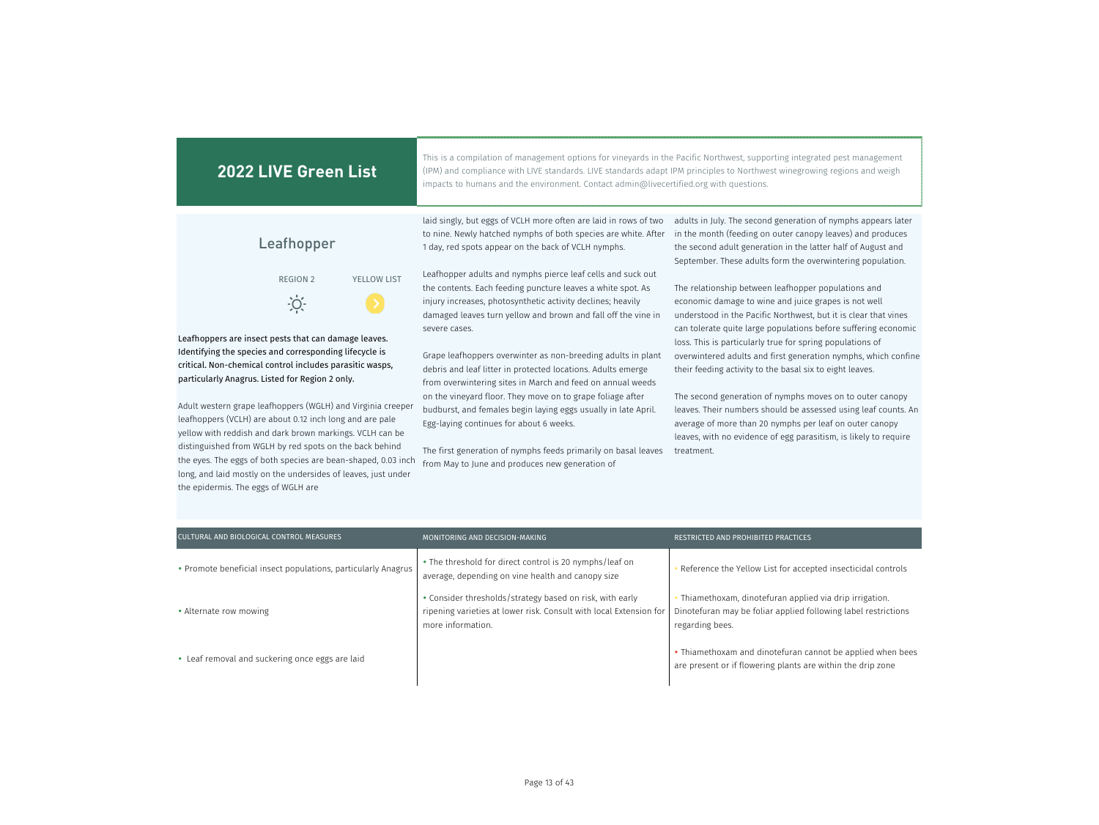| <b>2022 LIVE Green List</b>                                                                                                                                                                                                                                                                                                                                                                                                                                                                                                                                                                                                                                                                | This is a compilation of management options for vineyards in the Pacific Northwest, supporting integrated pest management<br>(IPM) and compliance with LIVE standards. LIVE standards adapt IPM principles to Northwest winegrowing regions and weigh<br>impacts to humans and the environment. Contact admin@livecertified.org with questions.                                                                                                                                                                                                                                                                                                                                                                                                                                                                                                                                                                                                                        |                                                                                                                                                                                                                                                                                                                                                                                                                                                                                                                                                                                                                                                                                                                                                                                                                                                                                                                                                                                     |
|--------------------------------------------------------------------------------------------------------------------------------------------------------------------------------------------------------------------------------------------------------------------------------------------------------------------------------------------------------------------------------------------------------------------------------------------------------------------------------------------------------------------------------------------------------------------------------------------------------------------------------------------------------------------------------------------|------------------------------------------------------------------------------------------------------------------------------------------------------------------------------------------------------------------------------------------------------------------------------------------------------------------------------------------------------------------------------------------------------------------------------------------------------------------------------------------------------------------------------------------------------------------------------------------------------------------------------------------------------------------------------------------------------------------------------------------------------------------------------------------------------------------------------------------------------------------------------------------------------------------------------------------------------------------------|-------------------------------------------------------------------------------------------------------------------------------------------------------------------------------------------------------------------------------------------------------------------------------------------------------------------------------------------------------------------------------------------------------------------------------------------------------------------------------------------------------------------------------------------------------------------------------------------------------------------------------------------------------------------------------------------------------------------------------------------------------------------------------------------------------------------------------------------------------------------------------------------------------------------------------------------------------------------------------------|
| Leafhopper<br><b>REGION 2</b><br><b>YELLOW LIST</b><br>$\overline{O}$<br>Leafhoppers are insect pests that can damage leaves.<br>Identifying the species and corresponding lifecycle is<br>critical. Non-chemical control includes parasitic wasps,<br>particularly Anagrus. Listed for Region 2 only.<br>Adult western grape leafhoppers (WGLH) and Virginia creeper<br>leafhoppers (VCLH) are about 0.12 inch long and are pale<br>yellow with reddish and dark brown markings. VCLH can be<br>distinguished from WGLH by red spots on the back behind<br>the eyes. The eggs of both species are bean-shaped, 0.03 inch<br>long, and laid mostly on the undersides of leaves, just under | laid singly, but eggs of VCLH more often are laid in rows of two<br>to nine. Newly hatched nymphs of both species are white. After<br>1 day, red spots appear on the back of VCLH nymphs.<br>Leafhopper adults and nymphs pierce leaf cells and suck out<br>the contents. Each feeding puncture leaves a white spot. As<br>injury increases, photosynthetic activity declines; heavily<br>damaged leaves turn yellow and brown and fall off the vine in<br>severe cases.<br>Grape leafhoppers overwinter as non-breeding adults in plant<br>debris and leaf litter in protected locations. Adults emerge<br>from overwintering sites in March and feed on annual weeds<br>on the vineyard floor. They move on to grape foliage after<br>budburst, and females begin laying eggs usually in late April.<br>Egg-laying continues for about 6 weeks.<br>The first generation of nymphs feeds primarily on basal leaves<br>from May to June and produces new generation of | adults in July. The second generation of nymphs appears later<br>in the month (feeding on outer canopy leaves) and produces<br>the second adult generation in the latter half of August and<br>September. These adults form the overwintering population.<br>The relationship between leafhopper populations and<br>economic damage to wine and juice grapes is not well<br>understood in the Pacific Northwest, but it is clear that vines<br>can tolerate quite large populations before suffering economic<br>loss. This is particularly true for spring populations of<br>overwintered adults and first generation nymphs, which confine<br>their feeding activity to the basal six to eight leaves.<br>The second generation of nymphs moves on to outer canopy<br>leaves. Their numbers should be assessed using leaf counts. An<br>average of more than 20 nymphs per leaf on outer canopy<br>leaves, with no evidence of egg parasitism, is likely to require<br>treatment. |
| the epidermis. The eggs of WGLH are<br>CULTURAL AND BIOLOGICAL CONTROL MEASURES                                                                                                                                                                                                                                                                                                                                                                                                                                                                                                                                                                                                            | MONITORING AND DECISION-MAKING                                                                                                                                                                                                                                                                                                                                                                                                                                                                                                                                                                                                                                                                                                                                                                                                                                                                                                                                         | RESTRICTED AND PROHIBITED PRACTICES                                                                                                                                                                                                                                                                                                                                                                                                                                                                                                                                                                                                                                                                                                                                                                                                                                                                                                                                                 |
| • Promote beneficial insect populations, particularly Anagrus                                                                                                                                                                                                                                                                                                                                                                                                                                                                                                                                                                                                                              | . The threshold for direct control is 20 nymphs/leaf on<br>average, depending on vine health and canopy size<br>· Consider thresholds/strategy based on risk, with early                                                                                                                                                                                                                                                                                                                                                                                                                                                                                                                                                                                                                                                                                                                                                                                               | Reference the Yellow List for accepted insecticidal controls<br>Thiamethoxam, dinotefuran applied via drip irrigation.                                                                                                                                                                                                                                                                                                                                                                                                                                                                                                                                                                                                                                                                                                                                                                                                                                                              |

Alternate row mowing

Leaf removal and suckering once eggs are laid

more information.

ripening varieties at lower risk. Consult with local Extension for Dinotefuran may be foliar applied following label restrictions

regarding bees.

 Thiamethoxam and dinotefuran cannot be applied when bees are present or if flowering plants are within the drip zone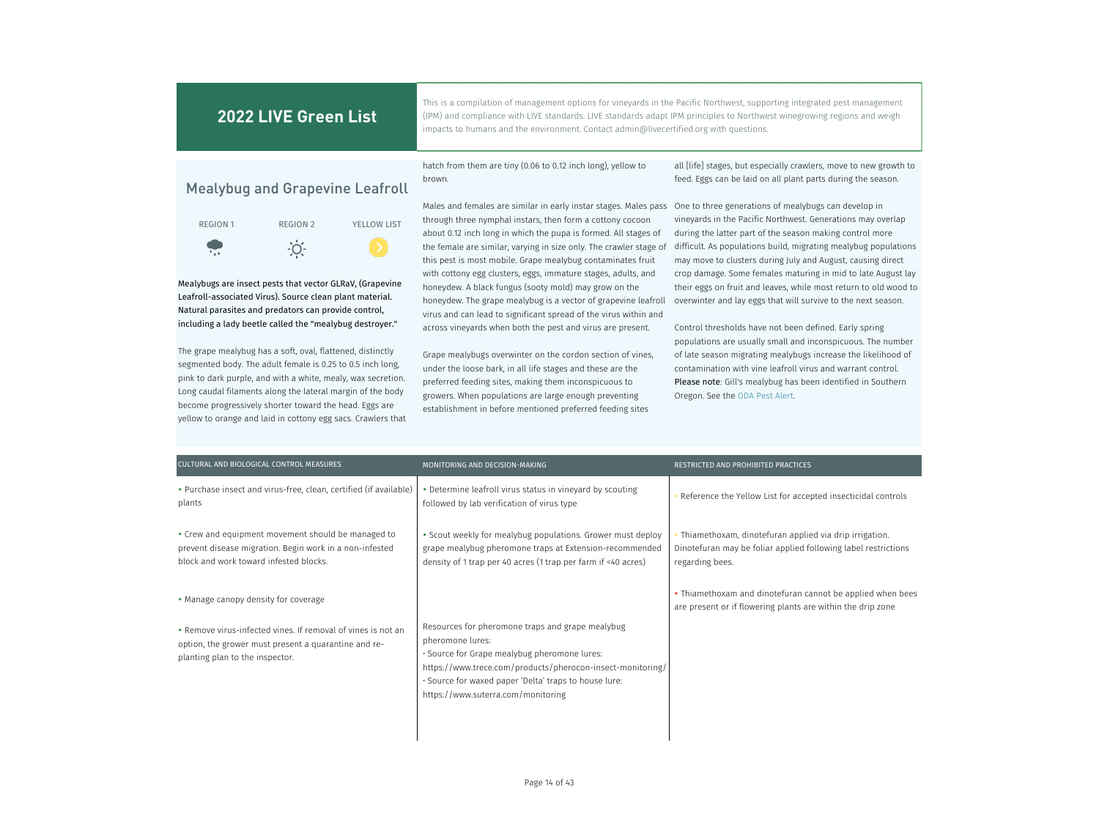This is a compilation of management options for vineyards in the Pacific Northwest, supporting integrated pest management (IPM) and compliance with LIVE standards. LIVE standards adapt IPM principles to Northwest winegrowing regions and weigh impacts to humans and the environment. Contact admin@livecertified.org with questions.

## Mealybug and Grapevine Leafroll



Mealybugs are insect pests that vector GLRaV, (Grapevine Leafroll-associated Virus). Source clean plant material. Natural parasites and predators can provide control, including a lady beetle called the "mealybug destroyer."

The grape mealybug has a soft, oval, flattened, distinctly segmented body. The adult female is 0.25 to 0.5 inch long, pink to dark purple, and with a white, mealy, wax secretion. Long caudal filaments along the lateral margin of the body become progressively shorter toward the head. Eggs are yellow to orange and laid in cottony egg sacs. Crawlers that hatch from them are tiny (0.06 to 0.12 inch long), yellow to brown.

Males and females are similar in early instar stages. Males pass One to three generations of mealybugs can develop in through three nymphal instars, then form a cottony cocoon about 0.12 inch long in which the pupa is formed. All stages of the female are similar, varying in size only. The crawler stage of this pest is most mobile. Grape mealybug contaminates fruit with cottony egg clusters, eggs, immature stages, adults, and honeydew. A black fungus (sooty mold) may grow on the honeydew. The grape mealybug is a vector of grapevine leafroll virus and can lead to significant spread of the virus within and across vineyards when both the pest and virus are present.

Grape mealybugs overwinter on the cordon section of vines, under the loose bark, in all life stages and these are the preferred feeding sites, making them inconspicuous to growers. When populations are large enough preventing establishment in before mentioned preferred feeding sites

all [life] stages, but especially crawlers, move to new growth to feed. Eggs can be laid on all plant parts during the season.

vineyards in the Pacific Northwest. Generations may overlap during the latter part of the season making control more difficult. As populations build, migrating mealybug populations may move to clusters during July and August, causing direct crop damage. Some females maturing in mid to late August lay their eggs on fruit and leaves, while most return to old wood to overwinter and lay eggs that will survive to the next season.

Control thresholds have not been defined. Early spring populations are usually small and inconspicuous. The number of late season migrating mealybugs increase the likelihood of contamination with vine leafroll virus and warrant control. Please note: Gill's mealybug has been identified in Southern Oregon. See the ODA Pest Alert.

| CULTURAL AND BIOLOGICAL CONTROL MEASURES                                                                                                                                                        | MONITORING AND DECISION-MAKING                                                                                                                                                                                                                                                    | RESTRICTED AND PROHIBITED PRACTICES                                                                                                         |
|-------------------------------------------------------------------------------------------------------------------------------------------------------------------------------------------------|-----------------------------------------------------------------------------------------------------------------------------------------------------------------------------------------------------------------------------------------------------------------------------------|---------------------------------------------------------------------------------------------------------------------------------------------|
| • Purchase insect and virus-free, clean, certified (if available)<br>plants                                                                                                                     | • Determine leafroll virus status in vineyard by scouting<br>followed by lab verification of virus type                                                                                                                                                                           | Reference the Yellow List for accepted insecticidal controls                                                                                |
| • Crew and equipment movement should be managed to<br>prevent disease migration. Begin work in a non-infested<br>block and work toward infested blocks.                                         | • Scout weekly for mealybug populations. Grower must deploy<br>grape mealybug pheromone traps at Extension-recommended<br>density of 1 trap per 40 acres (1 trap per farm if <40 acres)                                                                                           | Thiamethoxam, dinotefuran applied via drip irrigation.<br>Dinotefuran may be foliar applied following label restrictions<br>regarding bees. |
| • Manage canopy density for coverage<br>• Remove virus-infected vines. If removal of vines is not an<br>option, the grower must present a quarantine and re-<br>planting plan to the inspector. | Resources for pheromone traps and grape mealybug<br>pheromone lures:<br>· Source for Grape mealybug pheromone lures:<br>https://www.trece.com/products/pherocon-insect-monitoring/<br>. Source for waxed paper 'Delta' traps to house lure:<br>https://www.suterra.com/monitoring | • Thiamethoxam and dinotefuran cannot be applied when bees<br>are present or if flowering plants are within the drip zone                   |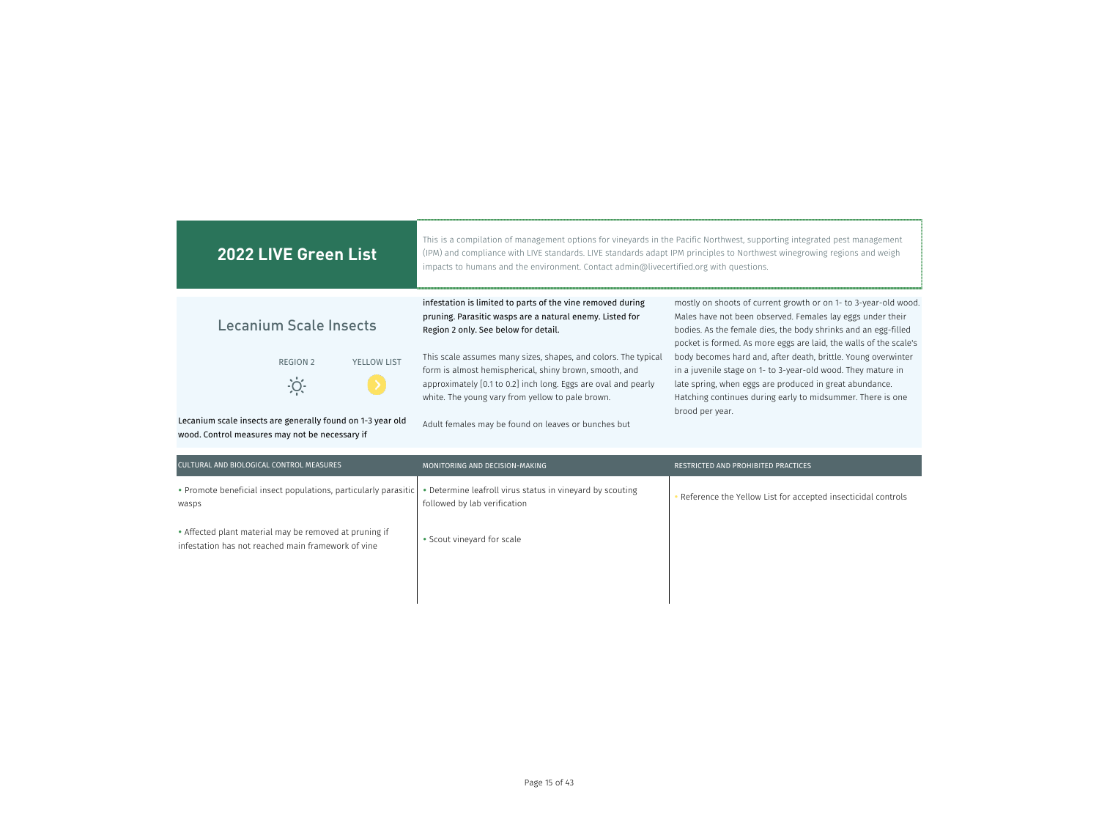| <b>2022 LIVE Green List</b>                                                                                  | This is a compilation of management options for vineyards in the Pacific Northwest, supporting integrated pest management<br>(IPM) and compliance with LIVE standards. LIVE standards adapt IPM principles to Northwest winegrowing regions and weigh<br>impacts to humans and the environment. Contact admin@livecertified.org with questions. |                                                                                                                                                                                                                                                                           |
|--------------------------------------------------------------------------------------------------------------|-------------------------------------------------------------------------------------------------------------------------------------------------------------------------------------------------------------------------------------------------------------------------------------------------------------------------------------------------|---------------------------------------------------------------------------------------------------------------------------------------------------------------------------------------------------------------------------------------------------------------------------|
| Lecanium Scale Insects                                                                                       | infestation is limited to parts of the vine removed during<br>pruning. Parasitic wasps are a natural enemy. Listed for<br>Region 2 only. See below for detail.                                                                                                                                                                                  | mostly on shoots of current growth or on 1- to 3-year-old wood.<br>Males have not been observed. Females lay eggs under their<br>bodies. As the female dies, the body shrinks and an egg-filled<br>pocket is formed. As more eggs are laid, the walls of the scale's      |
| <b>YELLOW LIST</b><br>REGION 2                                                                               | This scale assumes many sizes, shapes, and colors. The typical<br>form is almost hemispherical, shiny brown, smooth, and<br>approximately [0.1 to 0.2] inch long. Eggs are oval and pearly<br>white. The young vary from yellow to pale brown.                                                                                                  | body becomes hard and, after death, brittle. Young overwinter<br>in a juvenile stage on 1- to 3-year-old wood. They mature in<br>late spring, when eggs are produced in great abundance.<br>Hatching continues during early to midsummer. There is one<br>brood per year. |
| Lecanium scale insects are generally found on 1-3 year old<br>wood. Control measures may not be necessary if | Adult females may be found on leaves or bunches but                                                                                                                                                                                                                                                                                             |                                                                                                                                                                                                                                                                           |

| CULTURAL AND BIOLOGICAL CONTROL MEASURES                                                                     | MONITORING AND DECISION-MAKING                                                            | RESTRICTED AND PROHIBITED PRACTICES                          |
|--------------------------------------------------------------------------------------------------------------|-------------------------------------------------------------------------------------------|--------------------------------------------------------------|
| • Promote beneficial insect populations, particularly parasitic<br>wasps                                     | • Determine leafroll virus status in vineyard by scouting<br>followed by lab verification | Reference the Yellow List for accepted insecticidal controls |
| • Affected plant material may be removed at pruning if<br>infestation has not reached main framework of vine | • Scout vineyard for scale                                                                |                                                              |
|                                                                                                              |                                                                                           |                                                              |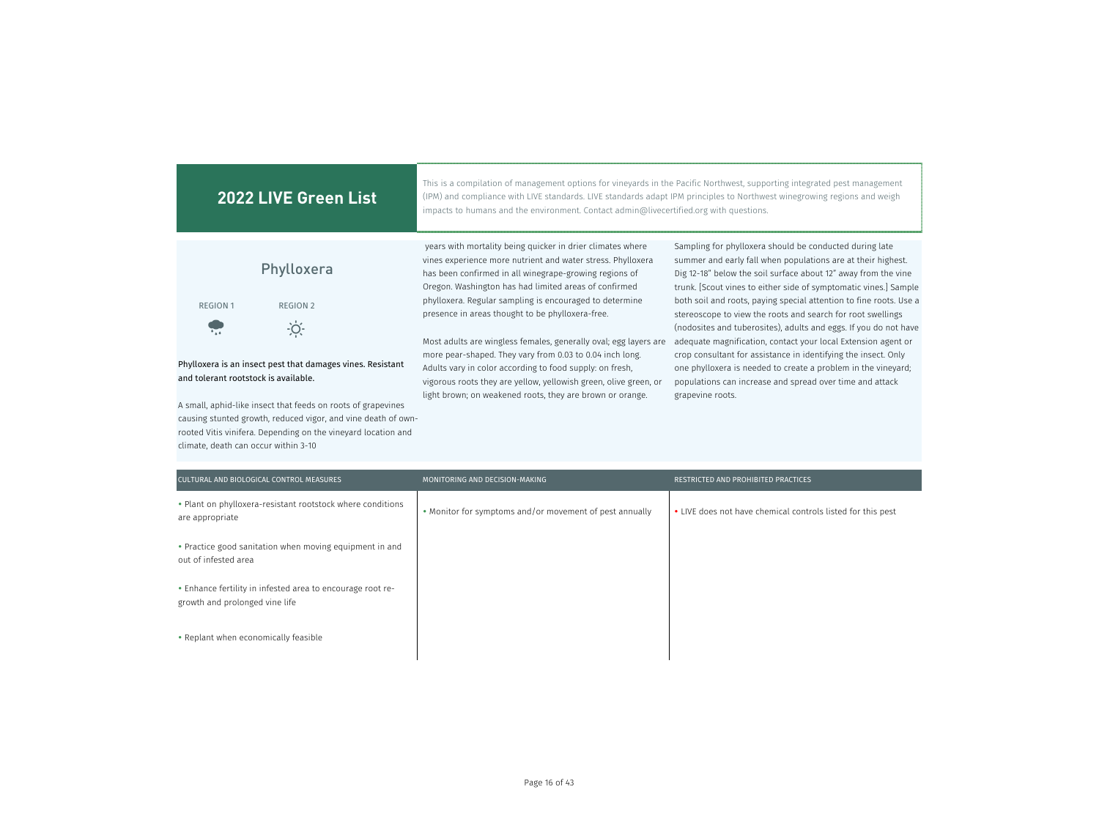| <b>2022 LIVE Green List</b>                                                                                                                                                                                                         | This is a compilation of management options for vineyards in the Pacific Northwest, supporting integrated pest management<br>(IPM) and compliance with LIVE standards. LIVE standards adapt IPM principles to Northwest winegrowing regions and weigh<br>impacts to humans and the environment. Contact admin@livecertified.org with questions. |                                                                                                                                                                                                                                                                                                                                     |
|-------------------------------------------------------------------------------------------------------------------------------------------------------------------------------------------------------------------------------------|-------------------------------------------------------------------------------------------------------------------------------------------------------------------------------------------------------------------------------------------------------------------------------------------------------------------------------------------------|-------------------------------------------------------------------------------------------------------------------------------------------------------------------------------------------------------------------------------------------------------------------------------------------------------------------------------------|
| Phylloxera                                                                                                                                                                                                                          | years with mortality being quicker in drier climates where<br>vines experience more nutrient and water stress. Phylloxera<br>has been confirmed in all winegrape-growing regions of<br>Oregon. Washington has had limited areas of confirmed<br>phylloxera. Regular sampling is encouraged to determine                                         | Sampling for phylloxera should be conducted during late<br>summer and early fall when populations are at their highest.<br>Dig 12-18" below the soil surface about 12" away from the vine<br>trunk. [Scout vines to either side of symptomatic vines.] Sample<br>both soil and roots, paying special attention to fine roots. Use a |
| <b>REGION 1</b><br><b>REGION 2</b><br>O                                                                                                                                                                                             | presence in areas thought to be phylloxera-free.                                                                                                                                                                                                                                                                                                | stereoscope to view the roots and search for root swellings<br>(nodosites and tuberosites), adults and eggs. If you do not have                                                                                                                                                                                                     |
| Phylloxera is an insect pest that damages vines. Resistant<br>and tolerant rootstock is available.<br>A small, aphid-like insect that feeds on roots of grapevines<br>causing stunted growth, reduced vigor, and vine death of own- | Most adults are wingless females, generally oval; egg layers are<br>more pear-shaped. They vary from 0.03 to 0.04 inch long.<br>Adults vary in color according to food supply: on fresh,<br>vigorous roots they are yellow, yellowish green, olive green, or<br>light brown; on weakened roots, they are brown or orange.                       | adequate magnification, contact your local Extension agent or<br>crop consultant for assistance in identifying the insect. Only<br>one phylloxera is needed to create a problem in the vineyard;<br>populations can increase and spread over time and attack<br>grapevine roots.                                                    |

| CULTURAL AND BIOLOGICAL CONTROL MEASURES                                                     | MONITORING AND DECISION-MAKING                          | <b>RESTRICTED AND PROHIBITED PRACTICES</b>                  |
|----------------------------------------------------------------------------------------------|---------------------------------------------------------|-------------------------------------------------------------|
| • Plant on phylloxera-resistant rootstock where conditions<br>are appropriate                | • Monitor for symptoms and/or movement of pest annually | • LIVE does not have chemical controls listed for this pest |
| • Practice good sanitation when moving equipment in and<br>out of infested area              |                                                         |                                                             |
| • Enhance fertility in infested area to encourage root re-<br>growth and prolonged vine life |                                                         |                                                             |
| • Replant when economically feasible                                                         |                                                         |                                                             |

rooted Vitis vinifera. Depending on the vineyard location and

climate, death can occur within 3-10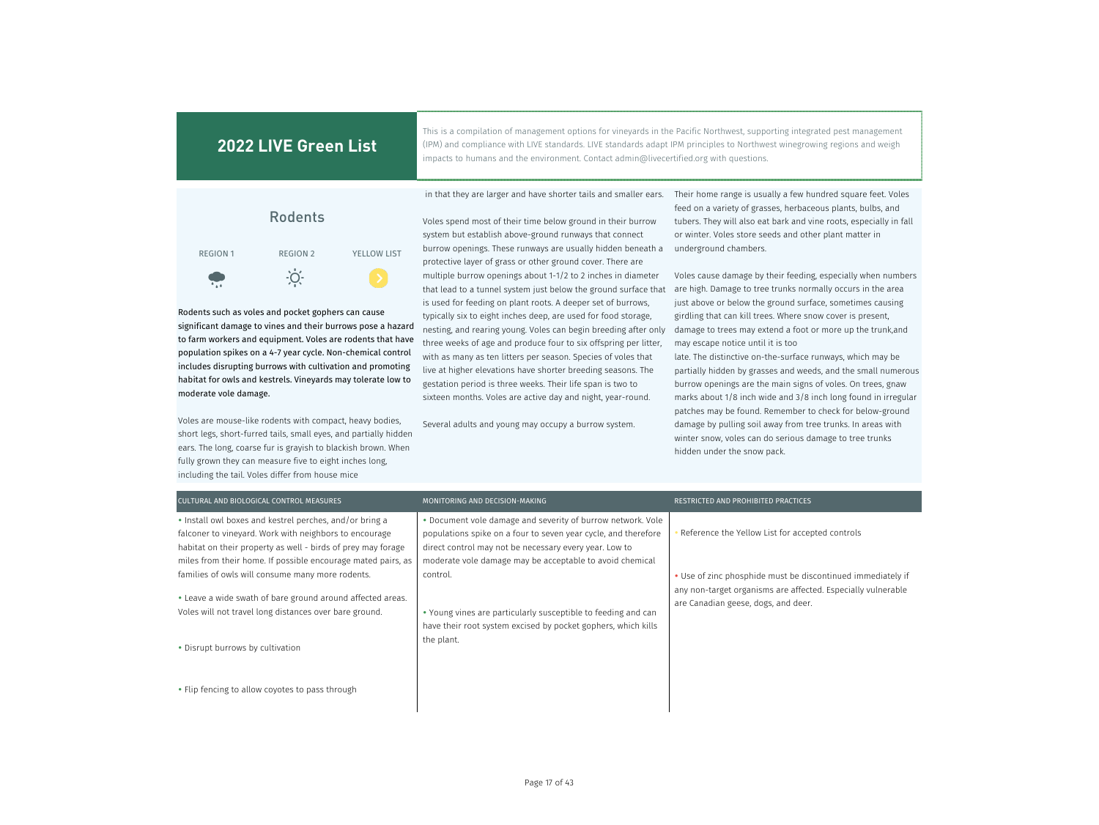This is a compilation of management options for vineyards in the Pacific Northwest, supporting integrated pest management (IPM) and compliance with LIVE standards. LIVE standards adapt IPM principles to Northwest winegrowing regions and weigh impacts to humans and the environment. Contact admin@livecertified.org with questions.



Rodents such as voles and pocket gophers can cause significant damage to vines and their burrows pose a hazard to farm workers and equipment. Voles are rodents that have population spikes on a 4-7 year cycle. Non-chemical control includes disrupting burrows with cultivation and promoting habitat for owls and kestrels. Vineyards may tolerate low to moderate vole damage.

Voles are mouse-like rodents with compact, heavy bodies, short legs, short-furred tails, small eyes, and partially hidden ears. The long, coarse fur is grayish to blackish brown. When fully grown they can measure five to eight inches long, including the tail. Voles differ from house mice

Voles spend most of their time below ground in their burrow system but establish above-ground runways that connect burrow openings. These runways are usually hidden beneath a protective layer of grass or other ground cover. There are multiple burrow openings about 1-1/2 to 2 inches in diameter that lead to a tunnel system just below the ground surface that is used for feeding on plant roots. A deeper set of burrows, typically six to eight inches deep, are used for food storage, nesting, and rearing young. Voles can begin breeding after only three weeks of age and produce four to six offspring per litter, with as many as ten litters per season. Species of voles that live at higher elevations have shorter breeding seasons. The gestation period is three weeks. Their life span is two to sixteen months. Voles are active day and night, year-round.

Several adults and young may occupy a burrow system.

 in that they are larger and have shorter tails and smaller ears. Their home range is usually a few hundred square feet. Voles feed on a variety of grasses, herbaceous plants, bulbs, and tubers. They will also eat bark and vine roots, especially in fall or winter. Voles store seeds and other plant matter in underground chambers.

> Voles cause damage by their feeding, especially when numbers are high. Damage to tree trunks normally occurs in the area just above or below the ground surface, sometimes causing girdling that can kill trees. Where snow cover is present, damage to trees may extend a foot or more up the trunk,and may escape notice until it is too

late. The distinctive on-the-surface runways, which may be partially hidden by grasses and weeds, and the small numerous burrow openings are the main signs of voles. On trees, gnaw marks about 1/8 inch wide and 3/8 inch long found in irregular patches may be found. Remember to check for below-ground damage by pulling soil away from tree trunks. In areas with winter snow, voles can do serious damage to tree trunks hidden under the snow pack.

| CULTURAL AND BIOLOGICAL CONTROL MEASURES                                                                                                                                                                                                          | MONITORING AND DECISION-MAKING                                                                                                                                                                                                                      | RESTRICTED AND PROHIBITED PRACTICES                                                                                                                                |
|---------------------------------------------------------------------------------------------------------------------------------------------------------------------------------------------------------------------------------------------------|-----------------------------------------------------------------------------------------------------------------------------------------------------------------------------------------------------------------------------------------------------|--------------------------------------------------------------------------------------------------------------------------------------------------------------------|
| • Install owl boxes and kestrel perches, and/or bring a<br>falconer to vineyard. Work with neighbors to encourage<br>habitat on their property as well - birds of prey may forage<br>miles from their home. If possible encourage mated pairs, as | . Document vole damage and severity of burrow network. Vole<br>populations spike on a four to seven year cycle, and therefore<br>direct control may not be necessary every year. Low to<br>moderate vole damage may be acceptable to avoid chemical | Reference the Yellow List for accepted controls                                                                                                                    |
| families of owls will consume many more rodents.<br>• Leave a wide swath of bare ground around affected areas.<br>Voles will not travel long distances over bare ground.                                                                          | control.<br>• Young vines are particularly susceptible to feeding and can<br>have their root system excised by pocket gophers, which kills                                                                                                          | • Use of zinc phosphide must be discontinued immediately if<br>any non-target organisms are affected. Especially vulnerable<br>are Canadian geese, dogs, and deer. |
| • Disrupt burrows by cultivation                                                                                                                                                                                                                  | the plant.                                                                                                                                                                                                                                          |                                                                                                                                                                    |
| • Flip fencing to allow coyotes to pass through                                                                                                                                                                                                   |                                                                                                                                                                                                                                                     |                                                                                                                                                                    |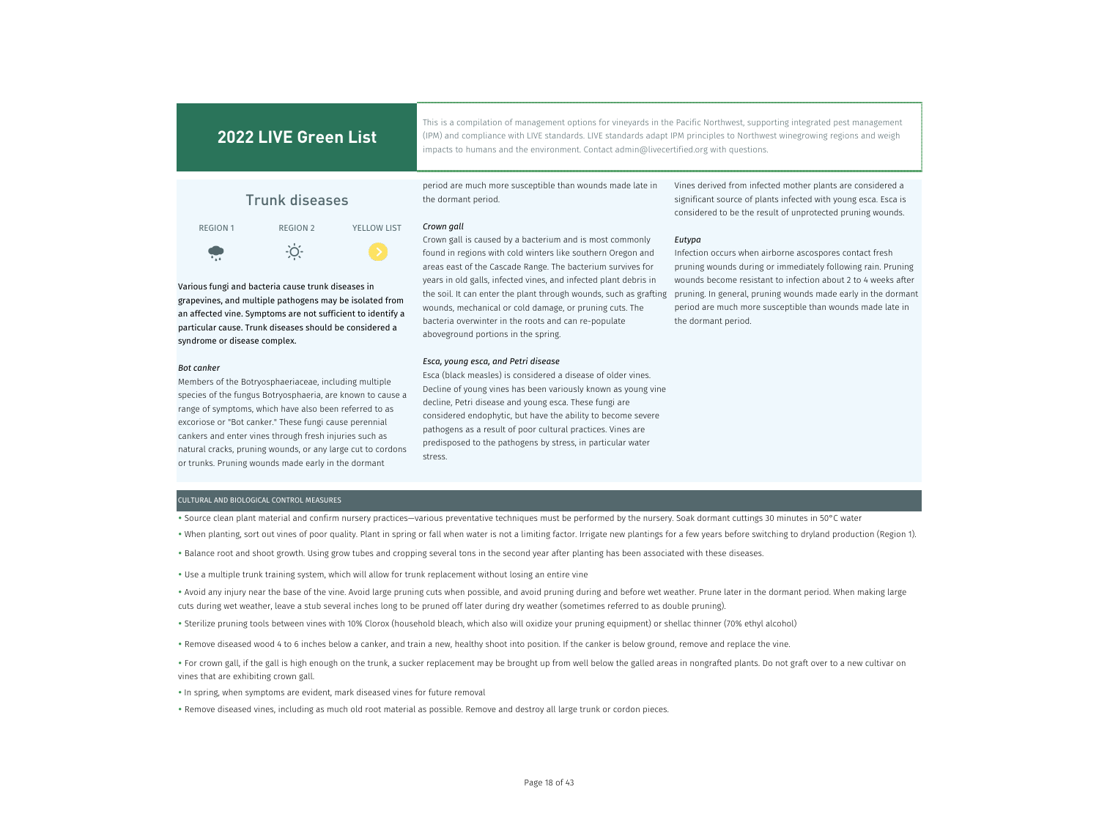This is a compilation of management options for vineyards in the Pacific Northwest, supporting integrated pest management (IPM) and compliance with LIVE standards. LIVE standards adapt IPM principles to Northwest winegrowing regions and weigh impacts to humans and the environment. Contact admin@livecertified.org with questions.

Trunk diseases

REGION 1 REGION 2 YELLOW LIST  $\cdot \circ \cdot$  $\bullet$ 

Various fungi and bacteria cause trunk diseases in grapevines, and multiple pathogens may be isolated from an affected vine. Symptoms are not sufficient to identify a particular cause. Trunk diseases should be considered a syndrome or disease complex.

#### *Bot canker*

Members of the Botryosphaeriaceae, including multiple species of the fungus Botryosphaeria, are known to cause a range of symptoms, which have also been referred to as excoriose or "Bot canker." These fungi cause perennial cankers and enter vines through fresh injuries such as natural cracks, pruning wounds, or any large cut to cordons or trunks. Pruning wounds made early in the dormant

period are much more susceptible than wounds made late in the dormant period.

### *Crown gall*

Crown gall is caused by a bacterium and is most commonly found in regions with cold winters like southern Oregon and areas east of the Cascade Range. The bacterium survives for years in old galls, infected vines, and infected plant debris in the soil. It can enter the plant through wounds, such as grafting wounds, mechanical or cold damage, or pruning cuts. The bacteria overwinter in the roots and can re-populate aboveground portions in the spring.

### *Esca, young esca, and Petri disease*

Esca (black measles) is considered a disease of older vines. Decline of young vines has been variously known as young vine decline, Petri disease and young esca. These fungi are considered endophytic, but have the ability to become severe pathogens as a result of poor cultural practices. Vines are predisposed to the pathogens by stress, in particular water stress.

Vines derived from infected mother plants are considered a significant source of plants infected with young esca. Esca is considered to be the result of unprotected pruning wounds.

### *Eutypa*

Infection occurs when airborne ascospores contact fresh pruning wounds during or immediately following rain. Pruning wounds become resistant to infection about 2 to 4 weeks after pruning. In general, pruning wounds made early in the dormant period are much more susceptible than wounds made late in the dormant period.

### CULTURAL AND BIOLOGICAL CONTROL MEASURES

- Source clean plant material and confirm nursery practices—various preventative techniques must be performed by the nursery. Soak dormant cuttings 30 minutes in 50°C water
- When planting, sort out vines of poor quality. Plant in spring or fall when water is not a limiting factor. Irrigate new plantings for a few years before switching to dryland production (Region 1).
- Balance root and shoot growth. Using grow tubes and cropping several tons in the second year after planting has been associated with these diseases.
- Use a multiple trunk training system, which will allow for trunk replacement without losing an entire vine
- Avoid any injury near the base of the vine. Avoid large pruning cuts when possible, and avoid pruning during and before wet weather. Prune later in the dormant period. When making large cuts during wet weather, leave a stub several inches long to be pruned off later during dry weather (sometimes referred to as double pruning).
- Sterilize pruning tools between vines with 10% Clorox (household bleach, which also will oxidize your pruning equipment) or shellac thinner (70% ethyl alcohol)
- Remove diseased wood 4 to 6 inches below a canker, and train a new, healthy shoot into position. If the canker is below ground, remove and replace the vine.
- For crown gall, if the gall is high enough on the trunk, a sucker replacement may be brought up from well below the galled areas in nongrafted plants. Do not graft over to a new cultivar on vines that are exhibiting crown gall.
- In spring, when symptoms are evident, mark diseased vines for future removal
- Remove diseased vines, including as much old root material as possible. Remove and destroy all large trunk or cordon pieces.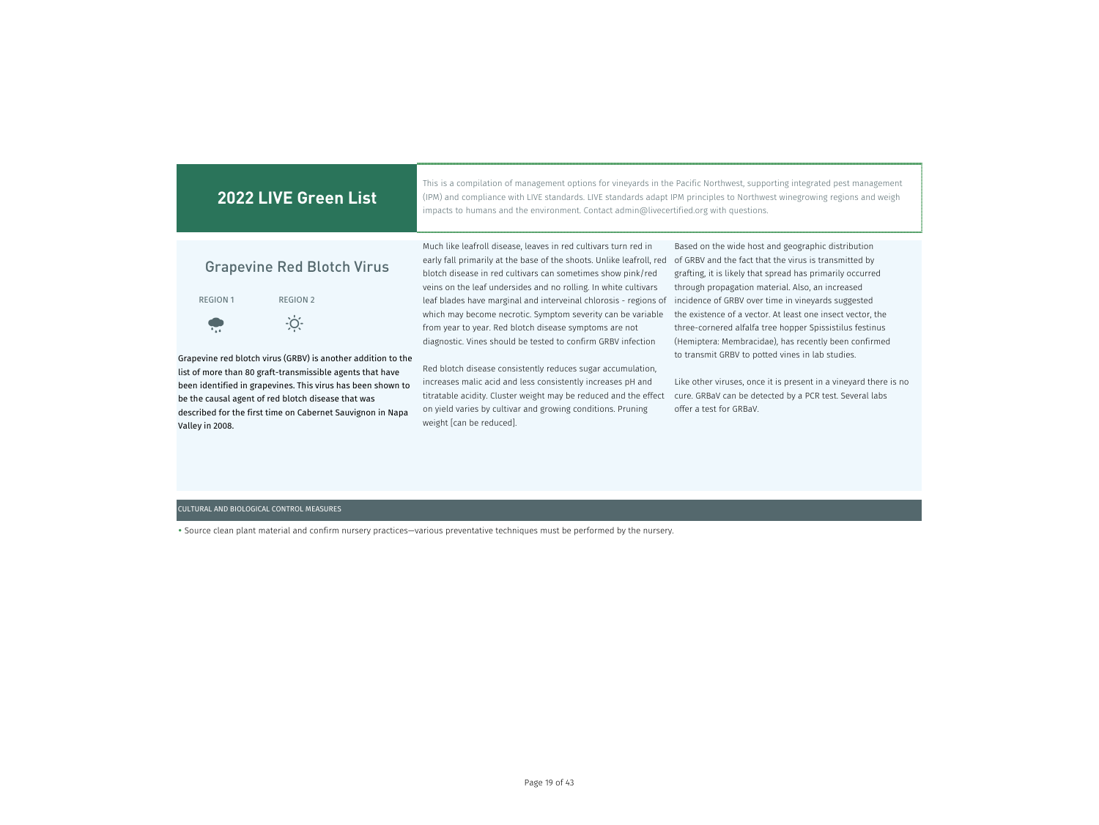| <b>2022 LIVE Green List</b>                                                                                                                                                                                                                                     | This is a compilation of management options for vineyards in the Pacific Northwest, supporting integrated pest management<br>(IPM) and compliance with LIVE standards. LIVE standards adapt IPM principles to Northwest winegrowing regions and weigh<br>impacts to humans and the environment. Contact admin@livecertified.org with questions. |                                                                                                                                                                                                                              |  |  |  |  |
|-----------------------------------------------------------------------------------------------------------------------------------------------------------------------------------------------------------------------------------------------------------------|-------------------------------------------------------------------------------------------------------------------------------------------------------------------------------------------------------------------------------------------------------------------------------------------------------------------------------------------------|------------------------------------------------------------------------------------------------------------------------------------------------------------------------------------------------------------------------------|--|--|--|--|
| <b>Grapevine Red Blotch Virus</b>                                                                                                                                                                                                                               | Much like leafroll disease, leaves in red cultivars turn red in<br>early fall primarily at the base of the shoots. Unlike leafroll, red<br>blotch disease in red cultivars can sometimes show pink/red<br>veins on the leaf undersides and no rolling. In white cultivars                                                                       | Based on the wide host and geographic distribution<br>of GRBV and the fact that the virus is transmitted by<br>grafting, it is likely that spread has primarily occurred<br>through propagation material. Also, an increased |  |  |  |  |
| <b>REGION 1</b><br><b>REGION 2</b>                                                                                                                                                                                                                              | leaf blades have marginal and interveinal chlorosis - regions of                                                                                                                                                                                                                                                                                | incidence of GRBV over time in vineyards suggested                                                                                                                                                                           |  |  |  |  |
|                                                                                                                                                                                                                                                                 | which may become necrotic. Symptom severity can be variable<br>from year to year. Red blotch disease symptoms are not<br>diagnostic. Vines should be tested to confirm GRBV infection                                                                                                                                                           | the existence of a vector. At least one insect vector, the<br>three-cornered alfalfa tree hopper Spissistilus festinus<br>(Hemiptera: Membracidae), has recently been confirmed                                              |  |  |  |  |
| Grapevine red blotch virus (GRBV) is another addition to the                                                                                                                                                                                                    |                                                                                                                                                                                                                                                                                                                                                 | to transmit GRBV to potted vines in lab studies.                                                                                                                                                                             |  |  |  |  |
| list of more than 80 graft-transmissible agents that have<br>been identified in grapevines. This virus has been shown to<br>be the causal agent of red blotch disease that was<br>described for the first time on Cabernet Sauvignon in Napa<br>Valley in 2008. | Red blotch disease consistently reduces sugar accumulation,<br>increases malic acid and less consistently increases pH and<br>titratable acidity. Cluster weight may be reduced and the effect<br>on yield varies by cultivar and growing conditions. Pruning<br>weight [can be reduced].                                                       | Like other viruses, once it is present in a vineyard there is no<br>cure. GRBaV can be detected by a PCR test. Several labs<br>offer a test for GRBaV.                                                                       |  |  |  |  |

### CULTURAL AND BIOLOGICAL CONTROL MEASURES

Source clean plant material and confirm nursery practices—various preventative techniques must be performed by the nursery.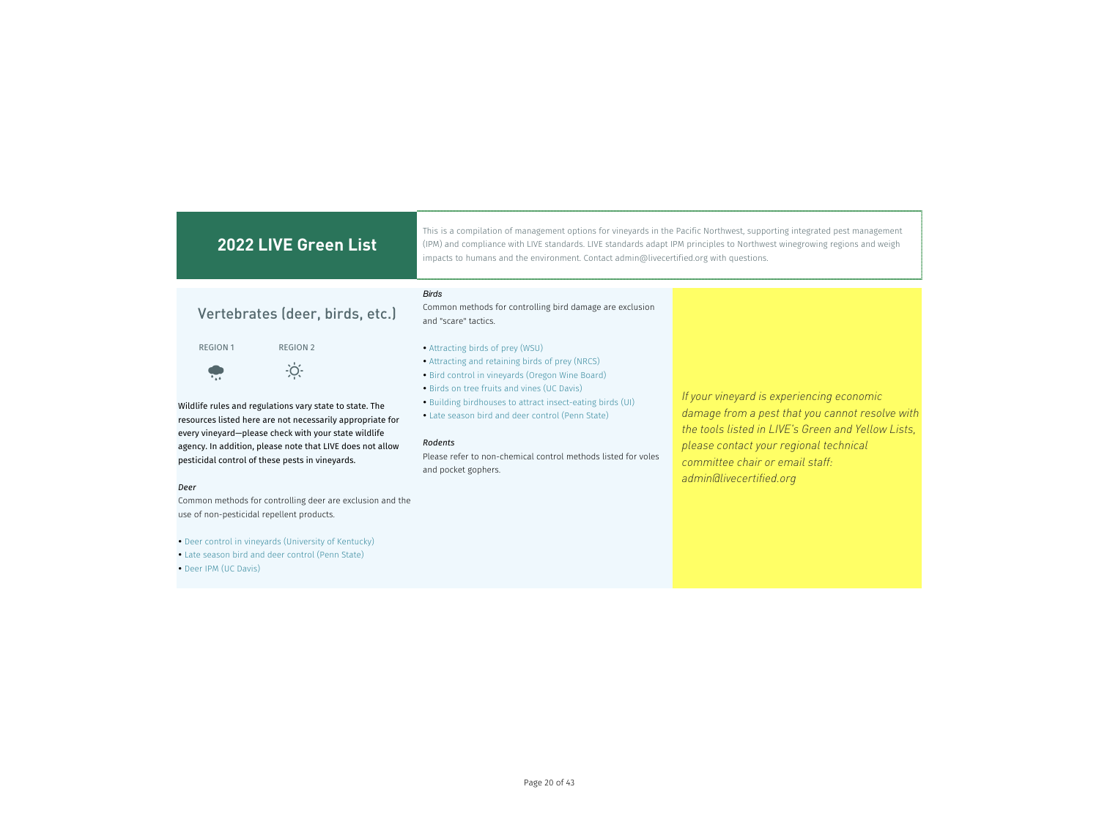#### This is a compilation of management options for vineyards in the Pacific Northwest, supporting integrated pest management **2022 LIVE Green List** (IPM) and compliance with LIVE standards. LIVE standards adapt IPM principles to Northwest winegrowing regions and weigh impacts to humans and the environment. Contact admin@livecertified.org with questions. *Birds* Common methods for controlling bird damage are exclusion Vertebrates (deer, birds, etc.) and "scare" tactics. REGION 1 REGION 2 Attracting birds of prey (WSU) Attracting and retaining birds of prey (NRCS)  $\therefore$ • Bird control in vineyards (Oregon Wine Board) • Birds on tree fruits and vines (UC Davis) *If your vineyard is experiencing economic*  Building birdhouses to attract insect-eating birds (UI) Wildlife rules and regulations vary state to state. The *damage from a pest that you cannot resolve with*  Late season bird and deer control (Penn State) resources listed here are not necessarily appropriate for *the tools listed in LIVE's Green and Yellow Lists,*  every vineyard—please check with your state wildlife *Rodents please contact your regional technical*  agency. In addition, please note that LIVE does not allow Please refer to non-chemical control methods listed for voles pesticidal control of these pests in vineyards. *committee chair or email staff:*  and pocket gophers. *admin@livecertified.org Deer* Common methods for controlling deer are exclusion and the use of non-pesticidal repellent products.

• Deer IPM (UC Davis)

 Deer control in vineyards (University of Kentucky) Late season bird and deer control (Penn State)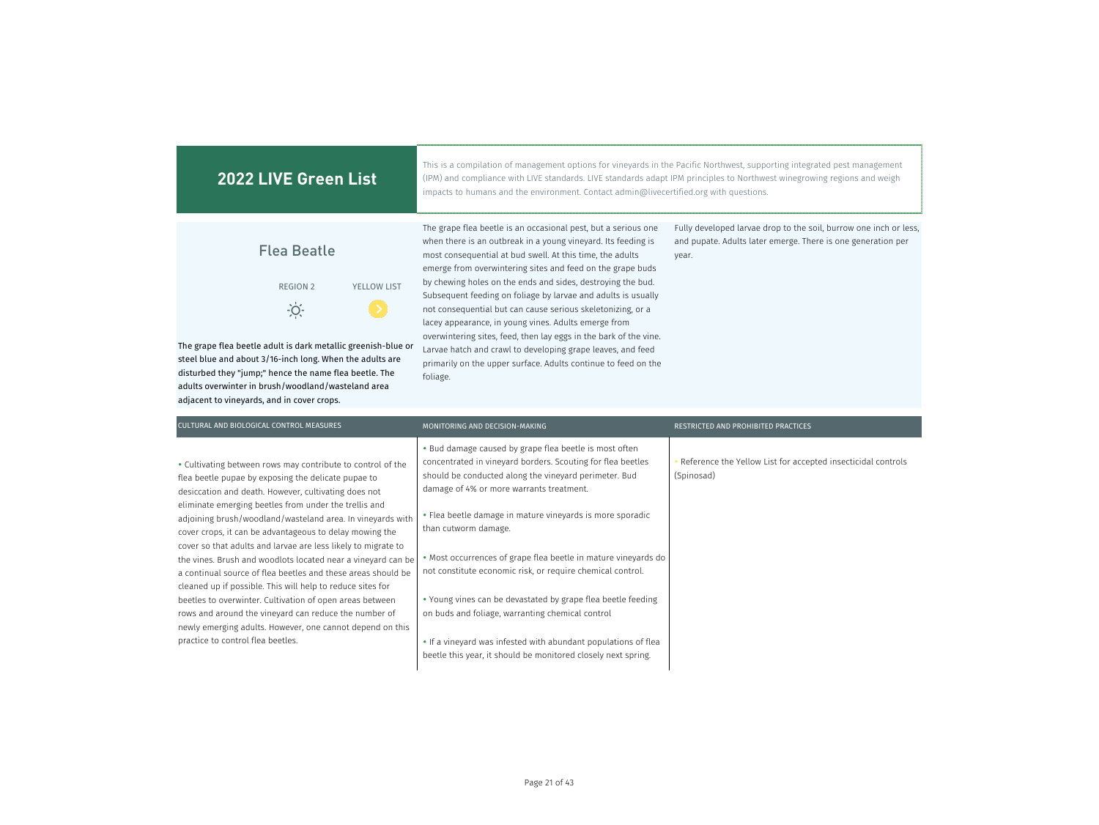| <b>2022 LIVE Green List</b>                                                                                               | This is a compilation of management options for vinevards in the Pacific Northwest, supporting integrated pest management<br>(IPM) and compliance with LIVE standards. LIVE standards adapt IPM principles to Northwest winegrowing regions and weigh<br>impacts to humans and the environment. Contact admin@livecertified.org with questions. |                                                                                                                                            |  |  |  |
|---------------------------------------------------------------------------------------------------------------------------|-------------------------------------------------------------------------------------------------------------------------------------------------------------------------------------------------------------------------------------------------------------------------------------------------------------------------------------------------|--------------------------------------------------------------------------------------------------------------------------------------------|--|--|--|
| <b>Flea Beatle</b>                                                                                                        | The grape flea beetle is an occasional pest, but a serious one<br>when there is an outbreak in a young vineyard. Its feeding is<br>most consequential at bud swell. At this time, the adults<br>emerge from overwintering sites and feed on the grape buds                                                                                      | Fully developed larvae drop to the soil, burrow one inch or less,<br>and pupate. Adults later emerge. There is one generation per<br>year. |  |  |  |
| <b>YELLOW LIST</b><br><b>REGION 2</b>                                                                                     | by chewing holes on the ends and sides, destroying the bud.<br>Subsequent feeding on foliage by larvae and adults is usually<br>not consequential but can cause serious skeletonizing, or a<br>lacey appearance, in young vines. Adults emerge from                                                                                             |                                                                                                                                            |  |  |  |
| The grape flea beetle adult is dark metallic greenish-blue or<br>steel blue and about 3/16-inch long. When the adults are | overwintering sites, feed, then lay eggs in the bark of the vine.<br>Larvae hatch and crawl to developing grape leaves, and feed<br>primarily on the upper surface. Adults continue to feed on the                                                                                                                                              |                                                                                                                                            |  |  |  |

foliage.

disturbed they "jump;" hence the name flea beetle. The adults overwinter in brush/woodland/wasteland area

adjacent to vineyards, and in cover crops.

MONITORING AND DECISION-MAKING RESTRICTED AND PROHIBITED PRACTICES • Bud damage caused by grape flea beetle is most often concentrated in vineyard borders. Scouting for flea beetles should be conducted along the vineyard perimeter. Bud damage of 4% or more warrants treatment. Reference the Yellow List for accepted insecticidal controls (Spinosad) Flea beetle damage in mature vineyards is more sporadic than cutworm damage. Most occurrences of grape flea beetle in mature vineyards do not constitute economic risk, or require chemical control. Young vines can be devastated by grape flea beetle feeding on buds and foliage, warranting chemical control • If a vineyard was infested with abundant populations of flea beetle this year, it should be monitored closely next spring. CULTURAL AND BIOLOGICAL CONTROL MEASURES Cultivating between rows may contribute to control of the flea beetle pupae by exposing the delicate pupae to desiccation and death. However, cultivating does not eliminate emerging beetles from under the trellis and adjoining brush/woodland/wasteland area. In vineyards with cover crops, it can be advantageous to delay mowing the cover so that adults and larvae are less likely to migrate to the vines. Brush and woodlots located near a vineyard can be a continual source of flea beetles and these areas should be cleaned up if possible. This will help to reduce sites for beetles to overwinter. Cultivation of open areas between rows and around the vineyard can reduce the number of newly emerging adults. However, one cannot depend on this practice to control flea beetles.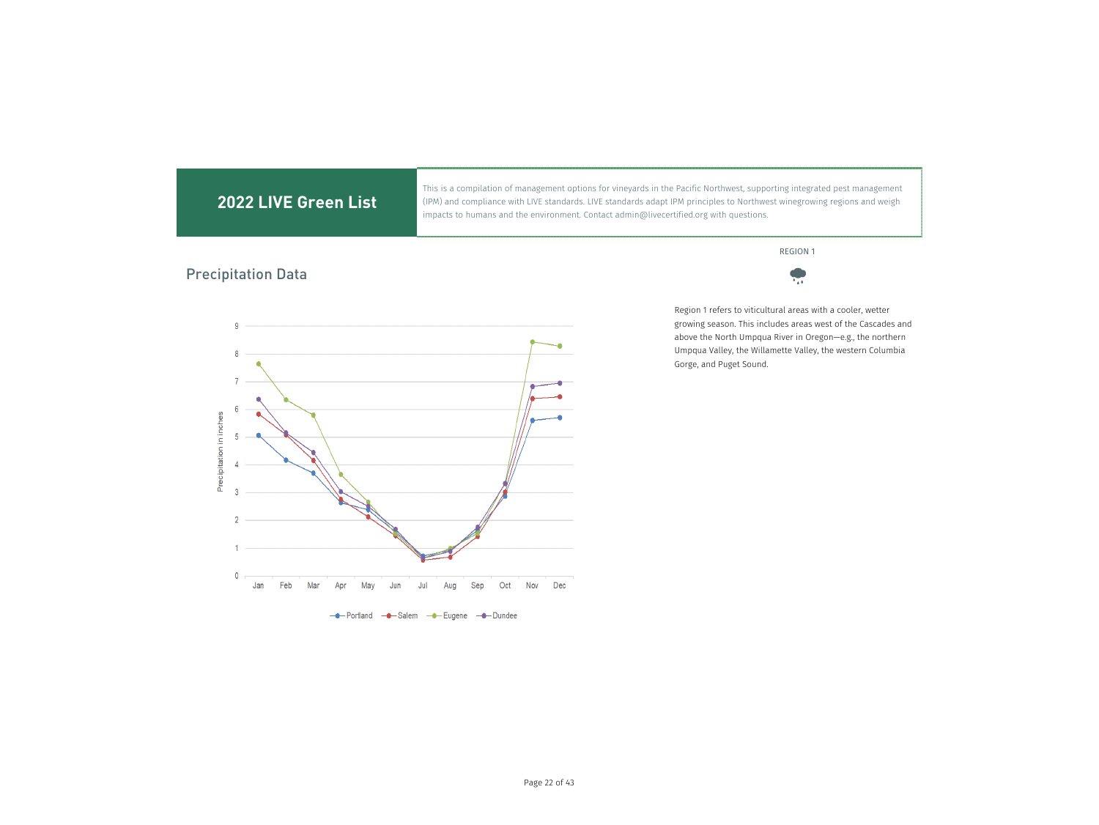This is a compilation of management options for vineyards in the Pacific Northwest, supporting integrated pest management (IPM) and compliance with LIVE standards. LIVE standards adapt IPM principles to Northwest winegrowing regions and weigh impacts to humans and the environment. Contact admin@livecertified.org with questions.

### REGION 1

# Precipitation Data





Region 1 refers to viticultural areas with a cooler, wetter growing season. This includes areas west of the Cascades and above the North Umpqua River in Oregon—e.g., the northern Umpqua Valley, the Willamette Valley, the western Columbia Gorge, and Puget Sound.

---Portland ---Salem ---Eugene ---Dundee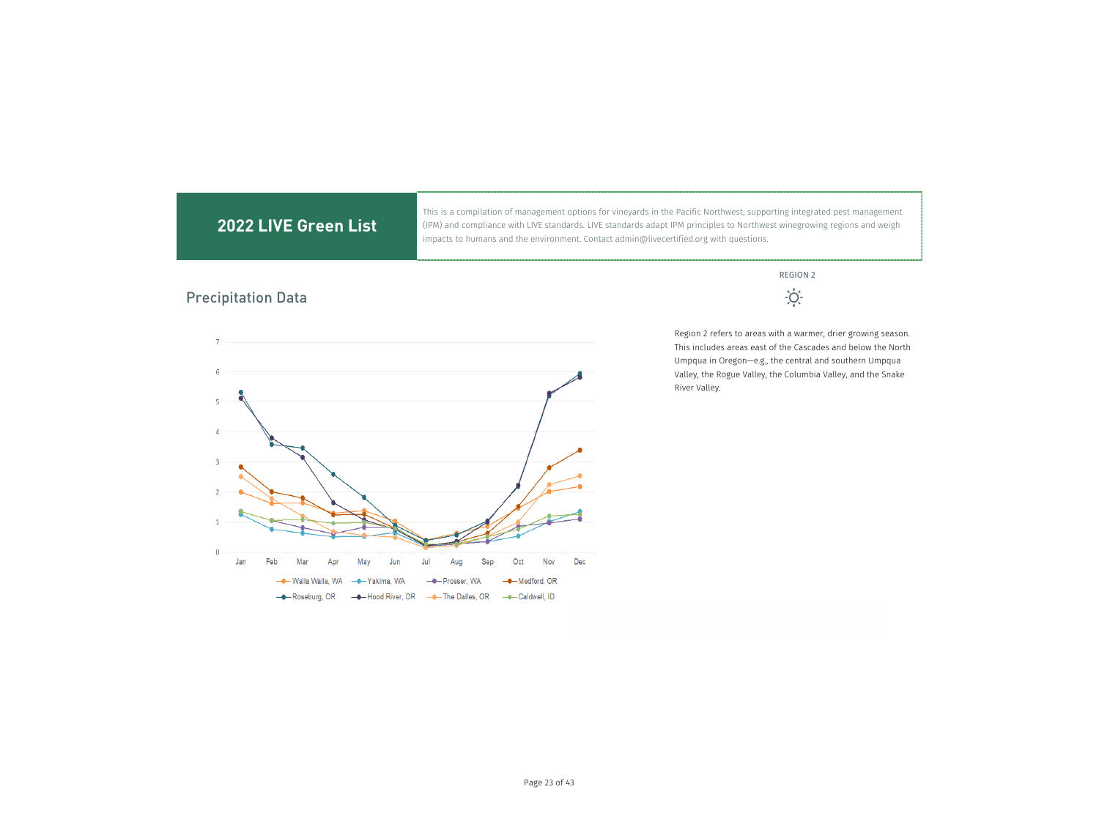### This is a compilation of management options for vineyards in the Pacific Northwest, supporting integrated pest management **2022 LIVE Green List** (IPM) and compliance with LIVE standards. LIVE standards adapt IPM principles to Northwest winegrowing regions and weigh impacts to humans and the environment. Contact admin@livecertified.org with questions. REGION 2  $\dot{\cdot}\dot{Q}\dot{\cdot}$ Precipitation DataRegion 2 refers to areas with a warmer, drier growing season.  $\overline{7}$ This includes areas east of the Cascades and below the North Umpqua in Oregon—e.g., the central and southern Umpqua  $\overline{6}$ Valley, the Rogue Valley, the Columbia Valley, and the Snake River Valley.  $\overline{4}$  $\overline{0}$ May Jun Sep Oct Nov Dec Jan Feb Mar Ap Jul Aug - Medford, OR - Walla Walla, WA -<sup>●</sup> Yakima, WA - Prosser, WA

---Caldwell, ID

- Roseburg, OR

- Hood River, OR

- The Dalles, OR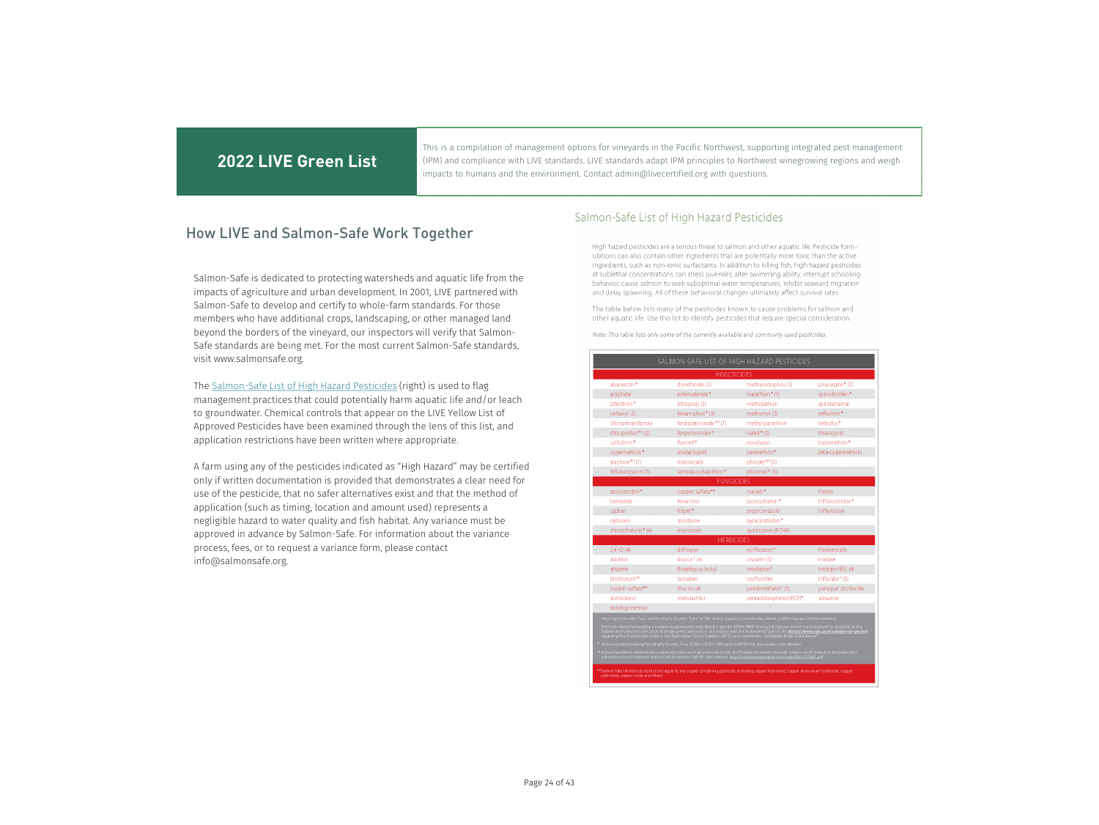This is a compilation of management options for vineyards in the Pacific Northwest, supporting integrated pest management (IPM) and compliance with LIVE standards. LIVE standards adapt IPM principles to Northwest winegrowing regions and weigh impacts to humans and the environment. Contact admin@livecertified.org with questions.

### How LIVE and Salmon-Safe Work Together

Salmon-Safe is dedicated to protecting watersheds and aquatic life from the impacts of agriculture and urban development. In 2001, LIVE partnered with Salmon-Safe to develop and certify to whole-farm standards. For those members who have additional crops, landscaping, or other managed land beyond the borders of the vineyard, our inspectors will verify that Salmon-Safe standards are being met. For the most current Salmon-Safe standards, visit www.salmonsafe.org.

The Salmon-Safe List of High Hazard Pesticides (right) is used to flag management practices that could potentially harm aquatic life and/or leach to groundwater. Chemical controls that appear on the LIVE Yellow List of Approved Pesticides have been examined through the lens of this list, and application restrictions have been written where appropriate.

A farm using any of the pesticides indicated as "High Hazard" may be certified only if written documentation is provided that demonstrates a clear need for use of the pesticide, that no safer alternatives exist and that the method of application (such as timing, location and amount used) represents a negligible hazard to water quality and fish habitat. Any variance must be approved in advance by Salmon-Safe. For information about the variance process, fees, or to request a variance form, please contact info@salmonsafe.org.

### Salmon-Safe List of High Hazard Pesticides

High hazard pesticides are a serious threat to salmon and other aquatic life. Pesticide formulations can also contain other ingredients that are potentially more toxic than the active ingredients, such as non-ionic surfactants. In addition to killing fish, high hazard pesticides at sublethal concentrations can stress juveniles, alter swimming ability, interrupt schooling behavior, cause salmon to seek suboptimal water temperatures, inhibit seaward migration and delay spawning. All of these behavioral changes ultimately affect survival rates.

The table below lists many of the pesticides known to cause problems for salmon and other aquatic life. Use this list to identify pesticides that require special consideration.

Note: This table lists only some of the currently available and commonly used pesticides.

|                     | <b>INSECTICIDES</b>     |                                |                     |
|---------------------|-------------------------|--------------------------------|---------------------|
| abamectin*          | dimethoate (3)          | methamidophos (3)              | propargite * (7)    |
| acephate            | esfenvalerate*          | malathion*(1)                  | spirodiclofen*      |
| bifenthrin*         | ethoprop (3)            | methidathion                   | spirotetramat       |
| carbaryl (2)        | fenamiphos* (3)         | methomyl (2)                   | tefluthrin*         |
| chlorantraniliprole | fenbutatin-oxide ** (7) | methyl parathion               | terbufos*           |
| chlorpyrifos** (2)  | fenpyroximate*          | naled*(3)                      | thiacloprid         |
| cyfluthrin*         | fipronil*               | novaluron                      | tralomethrin*       |
| cypermethrin*       | imidacloprid            | permethrin*                    | zeta-cypermethrin   |
| diazinon**(1)       | indoxacarb              | phorate ** (3)                 |                     |
| diflubenzuron (7)   | lambda-cyhalothrin*     | phosmet* (3)                   |                     |
|                     | <b>FUNGICIDES</b>       |                                |                     |
| azoxystrobin*       | copper sulfate**        | maneb*                         | thiram              |
| bensulide           | fenarimol               | picoxystrobin*                 | trifloxystrobin*    |
| captan              | folpet*                 | propiconazole                  | triflumizole        |
| carboxin            | iprodione               | pyraclostrobin*                |                     |
| chlorothalonil* (4) | mancozeb                | quintozene (PCNB)              |                     |
|                     | <b>HERBICIDES</b>       |                                |                     |
| $2A-D(4)$           | dithiopyr               | norflurazon <sup>+</sup>       | thiobencarb         |
| alachlor            | diuron <sup>+</sup> (4) | oryzalin (5)                   | triallate           |
| atrazine            | fluazifop-p-butyl       | oxadiazon*                     | triclopyr BEE (4)   |
| bromoxynil*         | isoxaben                | oxyfluorfen                    | trifluralin* (5)    |
| copper sulfate**    | linuron (4)             | pendimethalin <sup>+</sup> (5) | paraquat dichloride |
|                     | metolachlor             | pentachlorophenol (PCP)*       | simazine            |
| dichlohenil         |                         |                                |                     |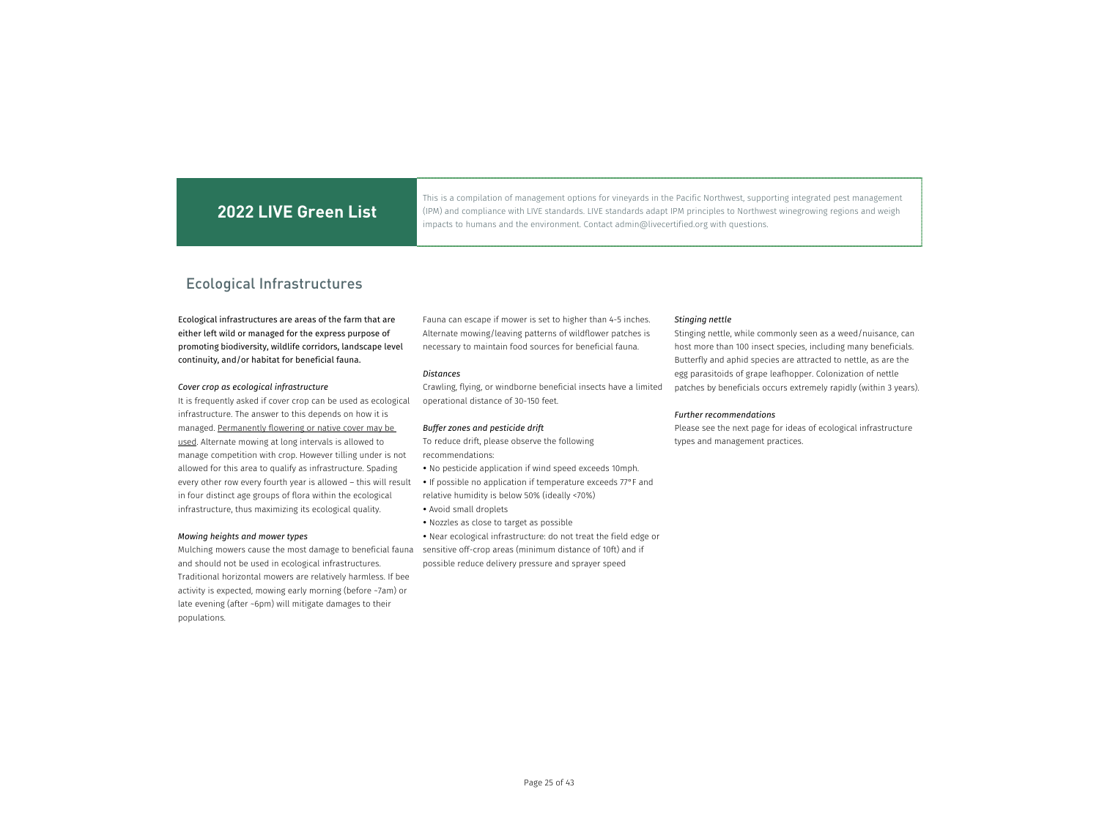This is a compilation of management options for vineyards in the Pacific Northwest, supporting integrated pest management (IPM) and compliance with LIVE standards. LIVE standards adapt IPM principles to Northwest winegrowing regions and weigh impacts to humans and the environment. Contact admin@livecertified.org with questions.

### Ecological Infrastructures

### Ecological infrastructures are areas of the farm that are either left wild or managed for the express purpose of promoting biodiversity, wildlife corridors, landscape level continuity, and/or habitat for beneficial fauna.

### *Cover crop as ecological infrastructure*

It is frequently asked if cover crop can be used as ecological infrastructure. The answer to this depends on how it is managed. Permanently flowering or native cover may be used. Alternate mowing at long intervals is allowed to manage competition with crop. However tilling under is not allowed for this area to qualify as infrastructure. Spading every other row every fourth year is allowed – this will result in four distinct age groups of flora within the ecological infrastructure, thus maximizing its ecological quality.

### *Mowing heights and mower types*

Mulching mowers cause the most damage to beneficial fauna and should not be used in ecological infrastructures. Traditional horizontal mowers are relatively harmless. If bee activity is expected, mowing early morning (before ~7am) or late evening (after ~6pm) will mitigate damages to their populations.

Fauna can escape if mower is set to higher than 4-5 inches. Alternate mowing/leaving patterns of wildflower patches is necessary to maintain food sources for beneficial fauna.

#### *Distances*

Crawling, flying, or windborne beneficial insects have a limited operational distance of 30-150 feet.

### *Buffer zones and pesticide drift*

To reduce drift, please observe the following recommendations:

- No pesticide application if wind speed exceeds 10mph.
- If possible no application if temperature exceeds 77°F and relative humidity is below 50% (ideally <70%)
- Avoid small droplets
- Nozzles as close to target as possible

 Near ecological infrastructure: do not treat the field edge or sensitive off-crop areas (minimum distance of 10ft) and if possible reduce delivery pressure and sprayer speed

#### *Stinging nettle*

Stinging nettle, while commonly seen as a weed/nuisance, can host more than 100 insect species, including many beneficials. Butterfly and aphid species are attracted to nettle, as are the egg parasitoids of grape leafhopper. Colonization of nettle patches by beneficials occurs extremely rapidly (within 3 years).

### *Further recommendations*

Please see the next page for ideas of ecological infrastructure types and management practices.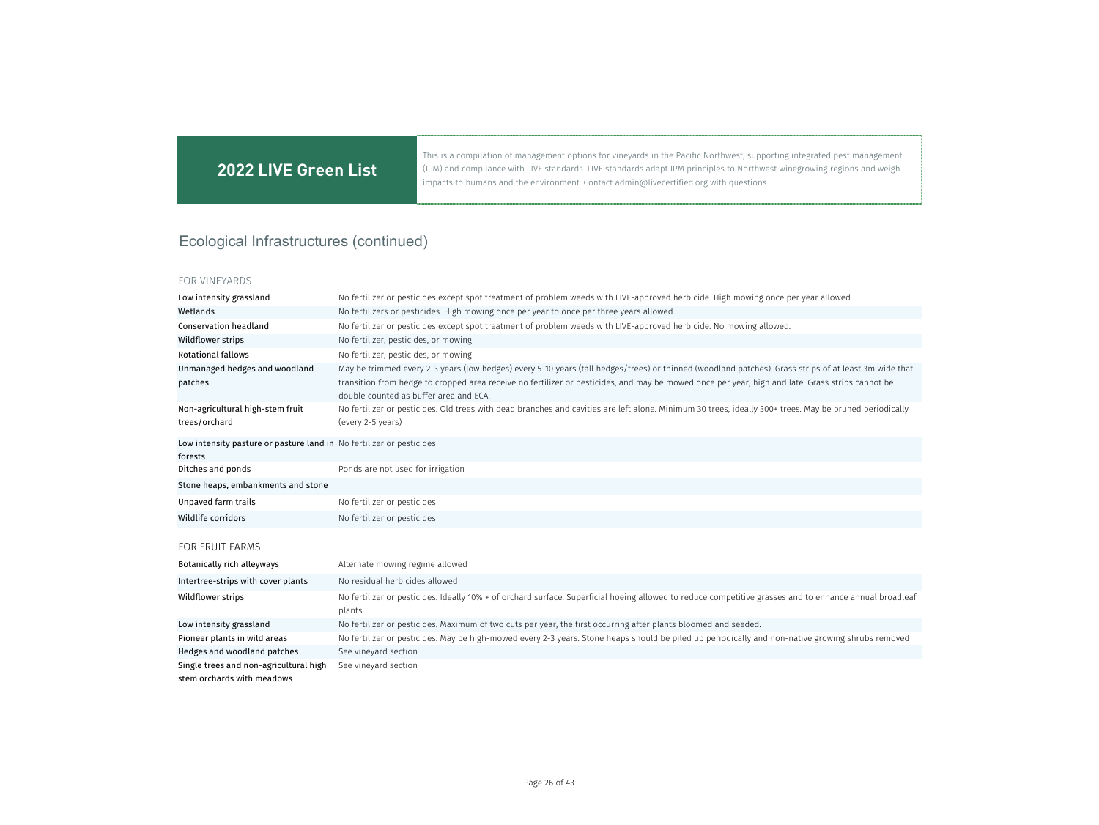This is a compilation of management options for vineyards in the Pacific Northwest, supporting integrated pest management (IPM) and compliance with LIVE standards. LIVE standards adapt IPM principles to Northwest winegrowing regions and weigh impacts to humans and the environment. Contact admin@livecertified.org with questions.

# Ecological Infrastructures (continued)

| Low intensity grassland                                                         | No fertilizer or pesticides except spot treatment of problem weeds with LIVE-approved herbicide. High mowing once per year allowed                                                         |
|---------------------------------------------------------------------------------|--------------------------------------------------------------------------------------------------------------------------------------------------------------------------------------------|
| Wetlands                                                                        | No fertilizers or pesticides. High mowing once per year to once per three years allowed                                                                                                    |
| <b>Conservation headland</b>                                                    | No fertilizer or pesticides except spot treatment of problem weeds with LIVE-approved herbicide. No mowing allowed.                                                                        |
| Wildflower strips                                                               | No fertilizer, pesticides, or mowing                                                                                                                                                       |
| <b>Rotational fallows</b>                                                       | No fertilizer, pesticides, or mowing                                                                                                                                                       |
| Unmanaged hedges and woodland                                                   | May be trimmed every 2-3 years (low hedges) every 5-10 years (tall hedges/trees) or thinned (woodland patches). Grass strips of at least 3m wide that                                      |
| patches                                                                         | transition from hedge to cropped area receive no fertilizer or pesticides, and may be mowed once per year, high and late. Grass strips cannot be<br>double counted as buffer area and ECA. |
| Non-agricultural high-stem fruit<br>trees/orchard                               | No fertilizer or pesticides. Old trees with dead branches and cavities are left alone. Minimum 30 trees, ideally 300+ trees. May be pruned periodically<br>(every 2-5 years)               |
| Low intensity pasture or pasture land in No fertilizer or pesticides<br>forests |                                                                                                                                                                                            |
| Ditches and ponds                                                               | Ponds are not used for irrigation                                                                                                                                                          |
| Stone heaps, embankments and stone                                              |                                                                                                                                                                                            |
| Unpaved farm trails                                                             | No fertilizer or pesticides                                                                                                                                                                |
| Wildlife corridors                                                              | No fertilizer or pesticides                                                                                                                                                                |
| <b>FOR FRUIT FARMS</b>                                                          |                                                                                                                                                                                            |
| Botanically rich alleyways                                                      | Alternate mowing regime allowed                                                                                                                                                            |
| Intertree-strips with cover plants                                              | No residual herbicides allowed                                                                                                                                                             |
| Wildflower strips                                                               | No fertilizer or pesticides. Ideally 10% + of orchard surface. Superficial hoeing allowed to reduce competitive grasses and to enhance annual broadleaf<br>plants.                         |
| Low intensity grassland                                                         | No fertilizer or pesticides. Maximum of two cuts per year, the first occurring after plants bloomed and seeded.                                                                            |
| Pioneer plants in wild areas                                                    | No fertilizer or pesticides. May be high-mowed every 2-3 years. Stone heaps should be piled up periodically and non-native growing shrubs removed                                          |
| Hedges and woodland patches                                                     | See vineyard section                                                                                                                                                                       |
| Single trees and non-agricultural high                                          | See vineyard section                                                                                                                                                                       |
| stem orchards with meadows                                                      |                                                                                                                                                                                            |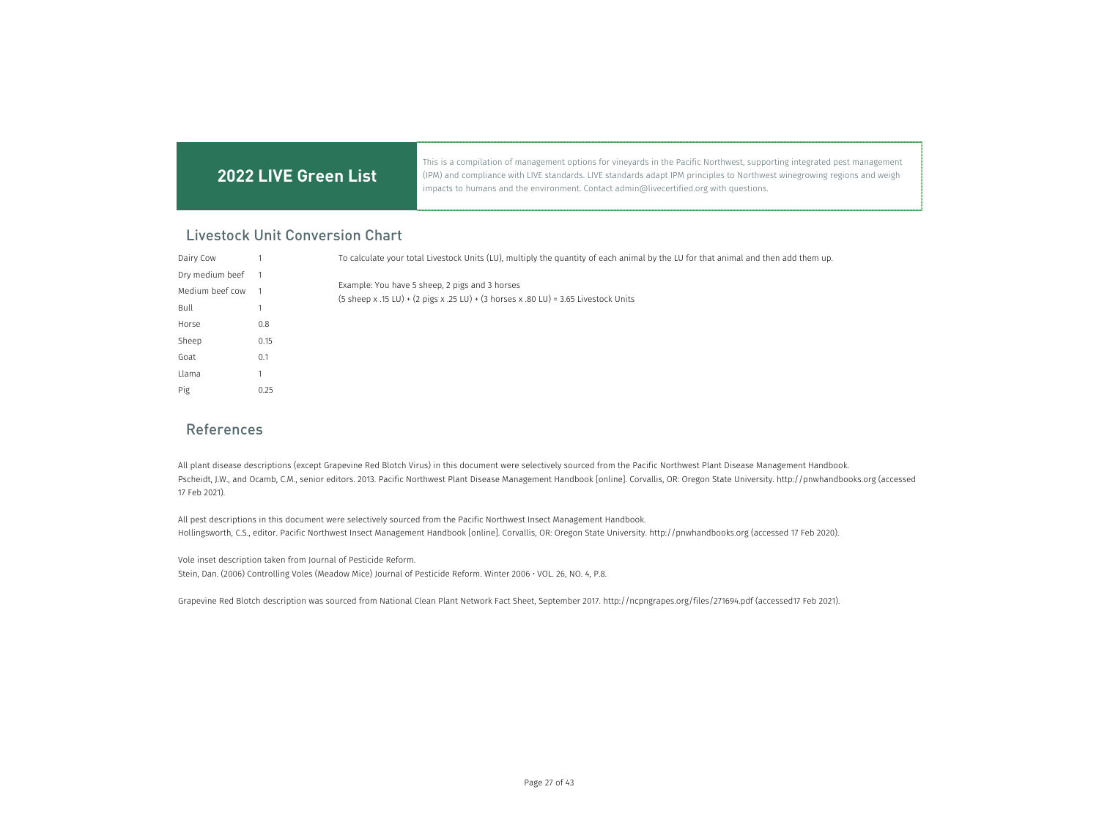This is a compilation of management options for vineyards in the Pacific Northwest, supporting integrated pest management (IPM) and compliance with LIVE standards. LIVE standards adapt IPM principles to Northwest winegrowing regions and weigh impacts to humans and the environment. Contact admin@livecertified.org with questions.

### Livestock Unit Conversion Chart

| Dairy Cow       |      | To calculate your total Livestock Units (LU), multiply the quantity of each animal by the LU for that animal and then add them up.    |
|-----------------|------|---------------------------------------------------------------------------------------------------------------------------------------|
| Dry medium beef |      |                                                                                                                                       |
| Medium beef cow |      | Example: You have 5 sheep, 2 pigs and 3 horses<br>(5 sheep x .15 LU) + (2 pigs x .25 LU) + (3 horses x .80 LU) = 3.65 Livestock Units |
| Bull            |      |                                                                                                                                       |
| Horse           | 0.8  |                                                                                                                                       |
| Sheep           | 0.15 |                                                                                                                                       |
| Goat            | 0.1  |                                                                                                                                       |
| Llama           |      |                                                                                                                                       |
| Pig             | 0.25 |                                                                                                                                       |

### References

All plant disease descriptions (except Grapevine Red Blotch Virus) in this document were selectively sourced from the Pacific Northwest Plant Disease Management Handbook. Pscheidt, J.W., and Ocamb, C.M., senior editors. 2013. Pacific Northwest Plant Disease Management Handbook [online]. Corvallis, OR: Oregon State University. http://pnwhandbooks.org (accessed 17 Feb 2021).

All pest descriptions in this document were selectively sourced from the Pacific Northwest Insect Management Handbook. Hollingsworth, C.S., editor. Pacific Northwest Insect Management Handbook [online]. Corvallis, OR: Oregon State University. http://pnwhandbooks.org (accessed 17 Feb 2020).

Vole inset description taken from Journal of Pesticide Reform. Stein, Dan. (2006) Controlling Voles (Meadow Mice) Journal of Pesticide Reform. Winter 2006 • VOL. 26, NO. 4, P.8.

Grapevine Red Blotch description was sourced from National Clean Plant Network Fact Sheet, September 2017. http://ncpngrapes.org/files/271694.pdf (accessed17 Feb 2021).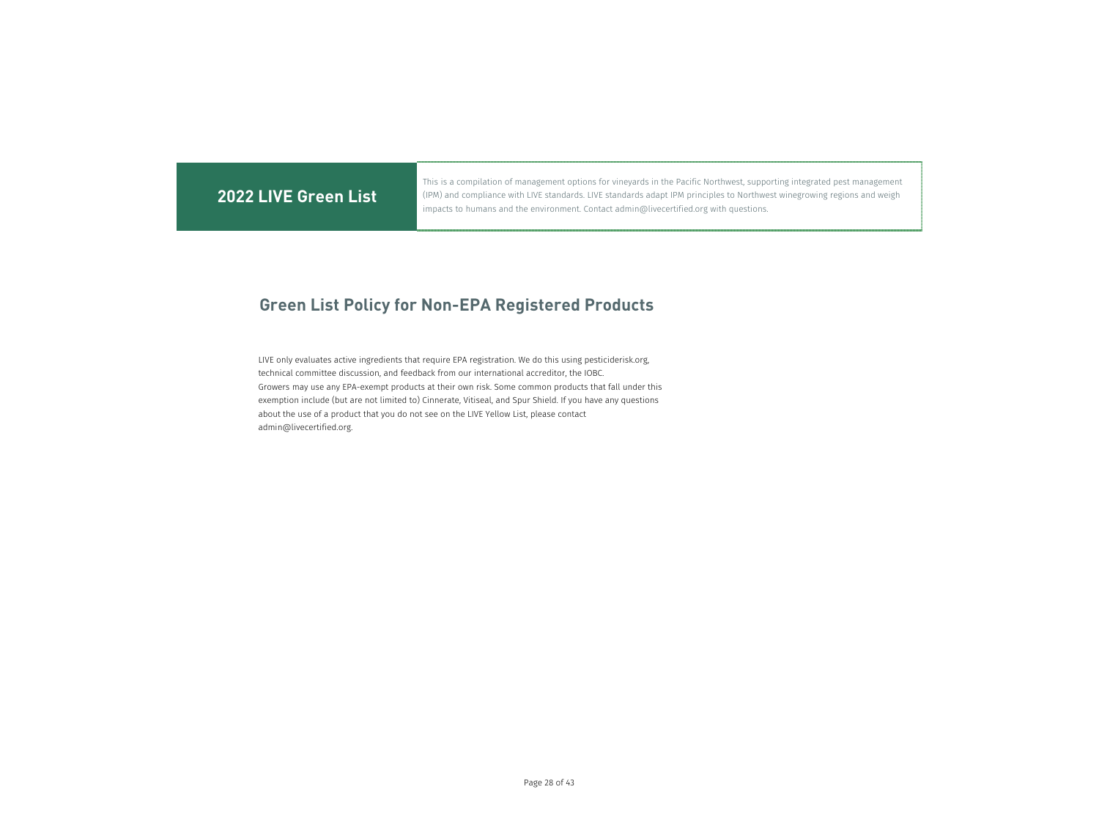This is a compilation of management options for vineyards in the Pacific Northwest, supporting integrated pest management (IPM) and compliance with LIVE standards. LIVE standards adapt IPM principles to Northwest winegrowing regions and weigh impacts to humans and the environment. Contact admin@livecertified.org with questions.

# **Green List Policy for Non-EPA Registered Products**

LIVE only evaluates active ingredients that require EPA registration. We do this using pesticiderisk.org, technical committee discussion, and feedback from our international accreditor, the IOBC. Growers may use any EPA-exempt products at their own risk. Some common products that fall under this exemption include (but are not limited to) Cinnerate, Vitiseal, and Spur Shield. If you have any questions about the use of a product that you do not see on the LIVE Yellow List, please contact admin@livecertified.org.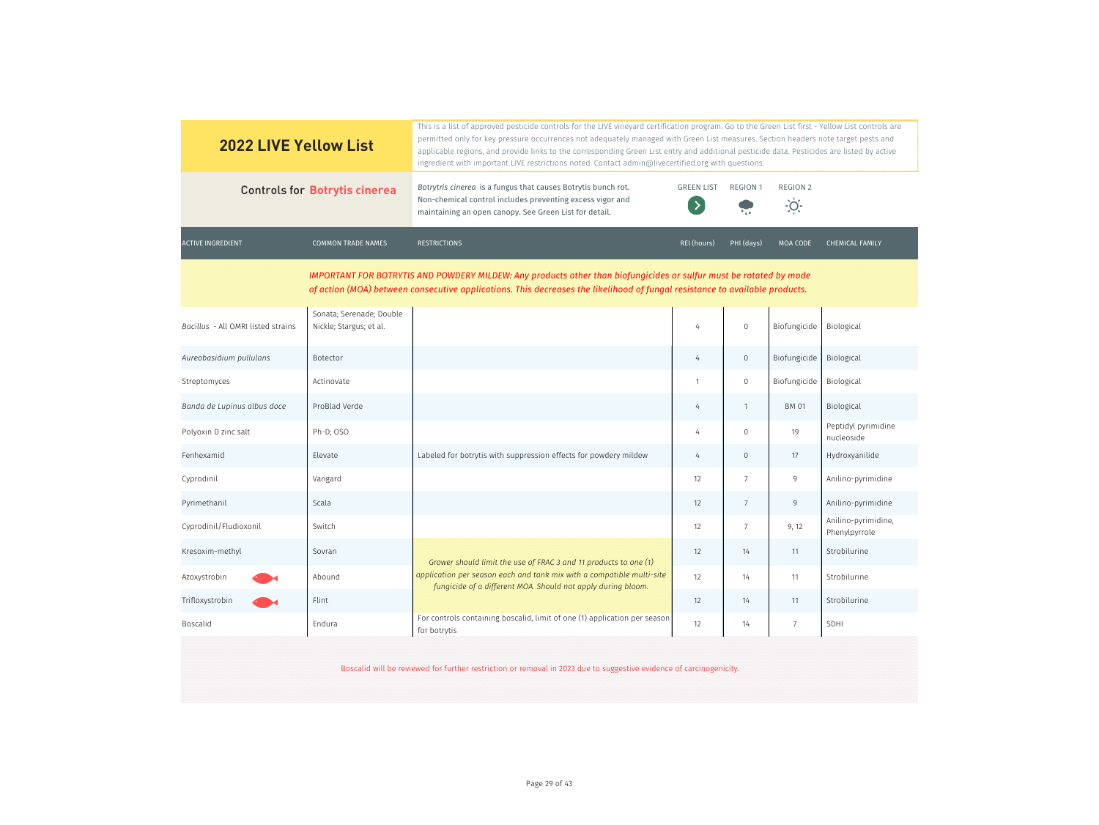| <b>2022 LIVE Yellow List</b>       |                                                     | This is a list of approved pesticide controls for the LIVE vineyard certification program. Go to the Green List first - Yellow List controls are<br>permitted only for key pressure occurrences not adequately managed with Green List measures. Section headers note target pests and<br>applicable regions, and provide links to the corresponding Green List entry and additional pesticide data. Pesticides are listed by active<br>ingredient with important LIVE restrictions noted. Contact admin@livecertified.org with questions. |                                    |                     |                                  |                                      |
|------------------------------------|-----------------------------------------------------|--------------------------------------------------------------------------------------------------------------------------------------------------------------------------------------------------------------------------------------------------------------------------------------------------------------------------------------------------------------------------------------------------------------------------------------------------------------------------------------------------------------------------------------------|------------------------------------|---------------------|----------------------------------|--------------------------------------|
|                                    | <b>Controls for Botrytis cinerea</b>                | Botrytris cinerea is a fungus that causes Botrytis bunch rot.<br>Non-chemical control includes preventing excess vigor and<br>maintaining an open canopy. See Green List for detail.                                                                                                                                                                                                                                                                                                                                                       | <b>GREEN LIST</b><br>$\rightarrow$ | <b>REGION 1</b>     | <b>REGION 2</b><br>$\frac{1}{2}$ |                                      |
| <b>ACTIVE INGREDIENT</b>           | <b>COMMON TRADE NAMES</b>                           | <b>RESTRICTIONS</b>                                                                                                                                                                                                                                                                                                                                                                                                                                                                                                                        | REI (hours)                        | PHI (days)          | MOA CODE                         | <b>CHEMICAL FAMILY</b>               |
|                                    |                                                     | IMPORTANT FOR BOTRYTIS AND POWDERY MILDEW: Any products other than biofungicides or sulfur must be rotated by mode<br>of action (MOA) between consecutive applications. This decreases the likelihood of fungal resistance to available products.                                                                                                                                                                                                                                                                                          |                                    |                     |                                  |                                      |
| Bacillus - All OMRI listed strains | Sonata; Serenade; Double<br>Nickle; Stargus; et al. |                                                                                                                                                                                                                                                                                                                                                                                                                                                                                                                                            | 4                                  | $\mathbf 0$         | Biofungicide                     | Biological                           |
| Aureobasidium pullulans            | Botector                                            |                                                                                                                                                                                                                                                                                                                                                                                                                                                                                                                                            | 4                                  | $\overline{0}$      | Biofungicide                     | Biological                           |
| Streptomyces                       | Actinovate                                          |                                                                                                                                                                                                                                                                                                                                                                                                                                                                                                                                            | $\mathbf{1}$                       | $\mathsf{O}\xspace$ | Biofungicide                     | Biological                           |
| Banda de Lupinus albus doce        | ProBlad Verde                                       |                                                                                                                                                                                                                                                                                                                                                                                                                                                                                                                                            | 4                                  | $\mathbf{1}$        | <b>BM 01</b>                     | Biological                           |
| Polyoxin D zinc salt               | Ph-D; OSO                                           |                                                                                                                                                                                                                                                                                                                                                                                                                                                                                                                                            | 4                                  | $\mathbf 0$         | 19                               | Peptidyl pyrimidine<br>nucleoside    |
| Fenhexamid                         | Elevate                                             | Labeled for botrytis with suppression effects for powdery mildew                                                                                                                                                                                                                                                                                                                                                                                                                                                                           | 4                                  | $\mathbf 0$         | 17                               | Hydroxyanilide                       |
| Cyprodinil                         | Vangard                                             |                                                                                                                                                                                                                                                                                                                                                                                                                                                                                                                                            | 12                                 | $\overline{7}$      | 9                                | Anilino-pyrimidine                   |
| Pyrimethanil                       | Scala                                               |                                                                                                                                                                                                                                                                                                                                                                                                                                                                                                                                            | 12                                 | $\overline{7}$      | 9                                | Anilino-pyrimidine                   |
| Cyprodinil/Fludioxonil             | Switch                                              |                                                                                                                                                                                                                                                                                                                                                                                                                                                                                                                                            | 12                                 | $7\overline{ }$     | 9, 12                            | Anilino-pyrimidine,<br>Phenylpyrrole |
| Kresoxim-methyl                    | Sovran                                              | Grower should limit the use of FRAC 3 and 11 products to one (1)                                                                                                                                                                                                                                                                                                                                                                                                                                                                           | 12                                 | 14                  | 11                               | Strobilurine                         |
| Azoxystrobin                       | Abound                                              | application per season each and tank mix with a compatible multi-site<br>fungicide of a different MOA. Should not apply during bloom.                                                                                                                                                                                                                                                                                                                                                                                                      | 12                                 | 14                  | 11                               | Strobilurine                         |
| Trifloxystrobin                    | Flint                                               |                                                                                                                                                                                                                                                                                                                                                                                                                                                                                                                                            | 12                                 | 14                  | 11                               | Strobilurine                         |
| Boscalid                           | Endura                                              | For controls containing boscalid, limit of one (1) application per season<br>for botrytis                                                                                                                                                                                                                                                                                                                                                                                                                                                  | 12                                 | 14                  | $\overline{7}$                   | SDHI                                 |
|                                    |                                                     | Boscalid will be reviewed for further restriction or removal in 2023 due to suggestive evidence of carcinogenicity.                                                                                                                                                                                                                                                                                                                                                                                                                        |                                    |                     |                                  |                                      |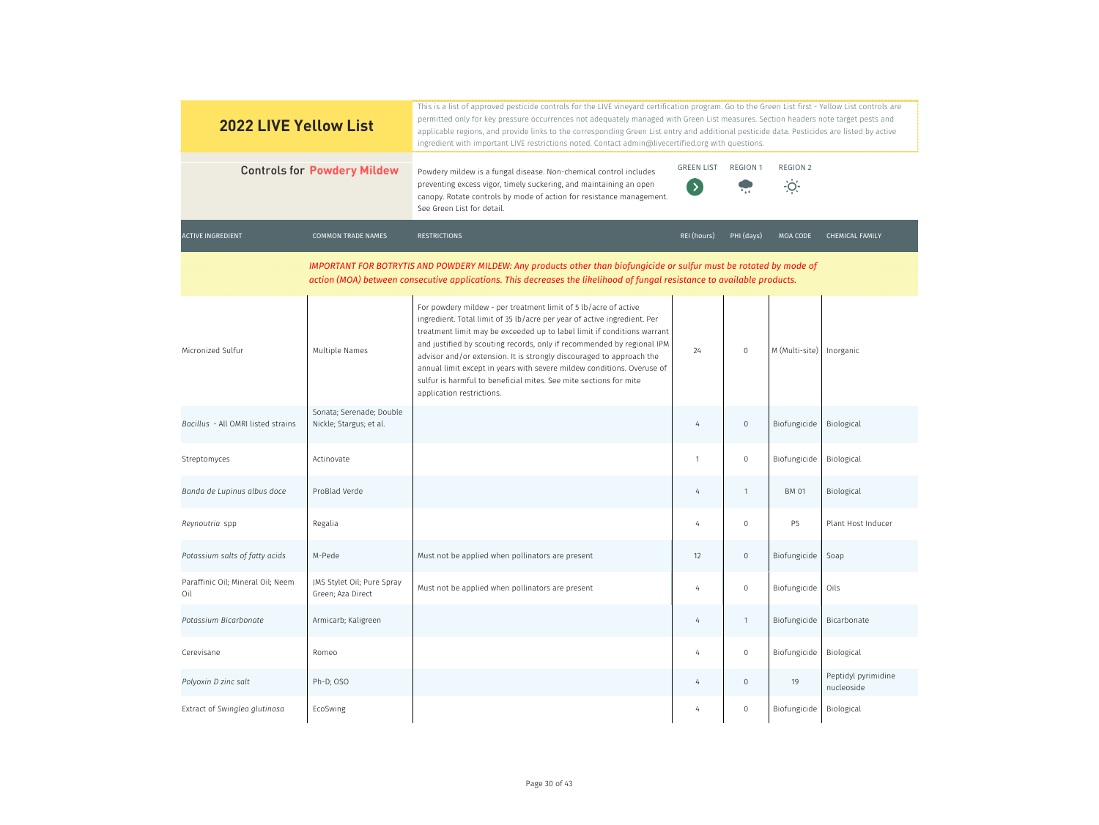| <b>2022 LIVE Yellow List</b>             |                                                     | This is a list of approved pesticide controls for the LIVE vineyard certification program. Go to the Green List first - Yellow List controls are<br>permitted only for key pressure occurrences not adequately managed with Green List measures. Section headers note target pests and<br>applicable regions, and provide links to the corresponding Green List entry and additional pesticide data. Pesticides are listed by active<br>ingredient with important LIVE restrictions noted. Contact admin@livecertified.org with questions.           |                                       |                 |                              |                                   |
|------------------------------------------|-----------------------------------------------------|------------------------------------------------------------------------------------------------------------------------------------------------------------------------------------------------------------------------------------------------------------------------------------------------------------------------------------------------------------------------------------------------------------------------------------------------------------------------------------------------------------------------------------------------------|---------------------------------------|-----------------|------------------------------|-----------------------------------|
| <b>Controls for Powdery Mildew</b>       |                                                     | Powdery mildew is a fungal disease. Non-chemical control includes<br>preventing excess vigor, timely suckering, and maintaining an open<br>canopy. Rotate controls by mode of action for resistance management.<br>See Green List for detail.                                                                                                                                                                                                                                                                                                        | <b>GREEN LIST</b><br>$\left( \right)$ | <b>REGION 1</b> | <b>REGION 2</b><br>$\dot{O}$ |                                   |
| <b>ACTIVE INGREDIENT</b>                 | <b>COMMON TRADE NAMES</b>                           | <b>RESTRICTIONS</b>                                                                                                                                                                                                                                                                                                                                                                                                                                                                                                                                  | REI (hours)                           | PHI (days)      | MOA CODE                     | <b>CHEMICAL FAMILY</b>            |
|                                          |                                                     | IMPORTANT FOR BOTRYTIS AND POWDERY MILDEW: Any products other than biofungicide or sulfur must be rotated by mode of<br>action (MOA) between consecutive applications. This decreases the likelihood of fungal resistance to available products.                                                                                                                                                                                                                                                                                                     |                                       |                 |                              |                                   |
| Micronized Sulfur                        | Multiple Names                                      | For powdery mildew - per treatment limit of 5 lb/acre of active<br>ingredient. Total limit of 35 lb/acre per year of active ingredient. Per<br>treatment limit may be exceeded up to label limit if conditions warrant<br>and justified by scouting records, only if recommended by regional IPM<br>advisor and/or extension. It is strongly discouraged to approach the<br>annual limit except in years with severe mildew conditions. Overuse of<br>sulfur is harmful to beneficial mites. See mite sections for mite<br>application restrictions. | 24                                    | $\overline{0}$  | M (Multi-site)               | Inorganic                         |
| Bacillus - All OMRI listed strains       | Sonata; Serenade; Double<br>Nickle; Stargus; et al. |                                                                                                                                                                                                                                                                                                                                                                                                                                                                                                                                                      | $\overline{4}$                        | $\mathbf 0$     | Biofungicide                 | Biological                        |
| Streptomyces                             | Actinovate                                          |                                                                                                                                                                                                                                                                                                                                                                                                                                                                                                                                                      | 1                                     | $\mathbf{0}$    | Biofungicide                 | Biological                        |
| Banda de Lupinus albus doce              | ProBlad Verde                                       |                                                                                                                                                                                                                                                                                                                                                                                                                                                                                                                                                      | $\overline{4}$                        | -1              | <b>BM 01</b>                 | Biological                        |
| Reynoutria spp                           | Regalia                                             |                                                                                                                                                                                                                                                                                                                                                                                                                                                                                                                                                      |                                       | $\Omega$        | <b>P5</b>                    | Plant Host Inducer                |
| Potassium salts of fatty acids           | M-Pede                                              | Must not be applied when pollinators are present                                                                                                                                                                                                                                                                                                                                                                                                                                                                                                     | 12                                    | $\overline{0}$  | Biofungicide                 | Soap                              |
| Paraffinic Oil; Mineral Oil; Neem<br>Oil | JMS Stylet Oil; Pure Spray<br>Green; Aza Direct     | Must not be applied when pollinators are present                                                                                                                                                                                                                                                                                                                                                                                                                                                                                                     | 4                                     | $\mathbf 0$     | Biofungicide                 | Oils                              |
| Potassium Bicarbonate                    | Armicarb; Kaligreen                                 |                                                                                                                                                                                                                                                                                                                                                                                                                                                                                                                                                      | 4                                     | $\overline{1}$  | Biofungicide                 | Bicarbonate                       |
| Cerevisane                               | Romeo                                               |                                                                                                                                                                                                                                                                                                                                                                                                                                                                                                                                                      | 4                                     | $\overline{0}$  | Biofungicide                 | Biological                        |
| Polyoxin D zinc salt                     | Ph-D; OSO                                           |                                                                                                                                                                                                                                                                                                                                                                                                                                                                                                                                                      | 4                                     | $\overline{0}$  | 19                           | Peptidyl pyrimidine<br>nucleoside |
| Extract of Swinglea glutinosa            | EcoSwing                                            |                                                                                                                                                                                                                                                                                                                                                                                                                                                                                                                                                      | 4                                     | $\overline{0}$  | Biofungicide                 | Biological                        |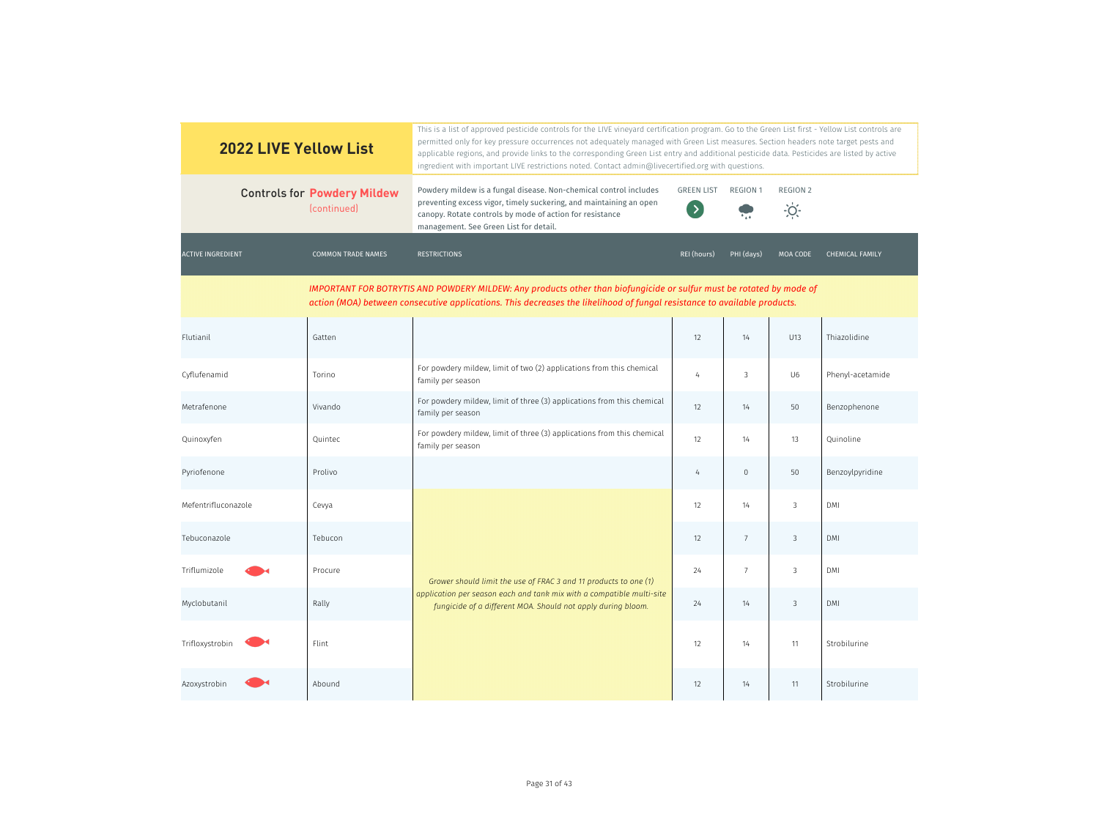| <b>2022 LIVE Yellow List</b> |                                                   | This is a list of approved pesticide controls for the LIVE vineyard certification program. Go to the Green List first - Yellow List controls are<br>permitted only for key pressure occurrences not adequately managed with Green List measures. Section headers note target pests and<br>applicable regions, and provide links to the corresponding Green List entry and additional pesticide data. Pesticides are listed by active<br>ingredient with important LIVE restrictions noted. Contact admin@livecertified.org with questions. |                                    |                 |                                  |                        |
|------------------------------|---------------------------------------------------|--------------------------------------------------------------------------------------------------------------------------------------------------------------------------------------------------------------------------------------------------------------------------------------------------------------------------------------------------------------------------------------------------------------------------------------------------------------------------------------------------------------------------------------------|------------------------------------|-----------------|----------------------------------|------------------------|
|                              | <b>Controls for Powdery Mildew</b><br>(continued) | Powdery mildew is a fungal disease. Non-chemical control includes<br>preventing excess vigor, timely suckering, and maintaining an open<br>canopy. Rotate controls by mode of action for resistance<br>management. See Green List for detail.                                                                                                                                                                                                                                                                                              | <b>GREEN LIST</b><br>$\rightarrow$ | <b>REGION 1</b> | <b>REGION 2</b><br>$\frac{1}{2}$ |                        |
| <b>ACTIVE INGREDIENT</b>     | <b>COMMON TRADE NAMES</b>                         | <b>RESTRICTIONS</b>                                                                                                                                                                                                                                                                                                                                                                                                                                                                                                                        | REI (hours)                        | PHI (days)      | MOA CODE                         | <b>CHEMICAL FAMILY</b> |
|                              |                                                   | IMPORTANT FOR BOTRYTIS AND POWDERY MILDEW: Any products other than biofungicide or sulfur must be rotated by mode of<br>action (MOA) between consecutive applications. This decreases the likelihood of fungal resistance to available products.                                                                                                                                                                                                                                                                                           |                                    |                 |                                  |                        |
| Flutianil                    | Gatten                                            |                                                                                                                                                                                                                                                                                                                                                                                                                                                                                                                                            | 12                                 | 14              | U13                              | Thiazolidine           |
| Cyflufenamid                 | Torino                                            | For powdery mildew, limit of two (2) applications from this chemical<br>family per season                                                                                                                                                                                                                                                                                                                                                                                                                                                  | 4                                  | 3               | U <sub>6</sub>                   | Phenyl-acetamide       |
| Metrafenone                  | Vivando                                           | For powdery mildew, limit of three (3) applications from this chemical<br>family per season                                                                                                                                                                                                                                                                                                                                                                                                                                                | 12                                 | 14              | 50                               | Benzophenone           |
| Quinoxyfen                   | Quintec                                           | For powdery mildew, limit of three (3) applications from this chemical<br>family per season                                                                                                                                                                                                                                                                                                                                                                                                                                                | 12                                 | 14              | 13                               | Quinoline              |
| Pyriofenone                  | Prolivo                                           |                                                                                                                                                                                                                                                                                                                                                                                                                                                                                                                                            | $\overline{4}$                     | $\mathbf 0$     | 50                               | Benzoylpyridine        |
| Mefentrifluconazole          | Cevya                                             |                                                                                                                                                                                                                                                                                                                                                                                                                                                                                                                                            | 12                                 | 14              | $\mathbf{3}$                     | DMI                    |
| Tebuconazole                 | Tebucon                                           |                                                                                                                                                                                                                                                                                                                                                                                                                                                                                                                                            | 12                                 | $\overline{7}$  | $\mathbf{3}$                     | DMI                    |
| Triflumizole                 | Procure                                           | Grower should limit the use of FRAC 3 and 11 products to one (1)                                                                                                                                                                                                                                                                                                                                                                                                                                                                           | 24                                 | 7               | $\mathbf{3}$                     | DMI                    |
| Myclobutanil                 | Rally                                             | application per season each and tank mix with a compatible multi-site<br>fungicide of a different MOA. Should not apply during bloom.                                                                                                                                                                                                                                                                                                                                                                                                      | 24                                 | 14              | $\mathcal{S}$                    | <b>DMI</b>             |
| Trifloxystrobin              | Flint                                             |                                                                                                                                                                                                                                                                                                                                                                                                                                                                                                                                            | 12                                 | 14              | 11                               | Strobilurine           |
| Azoxystrobin                 | Abound                                            |                                                                                                                                                                                                                                                                                                                                                                                                                                                                                                                                            | 12                                 | 14              | 11                               | Strobilurine           |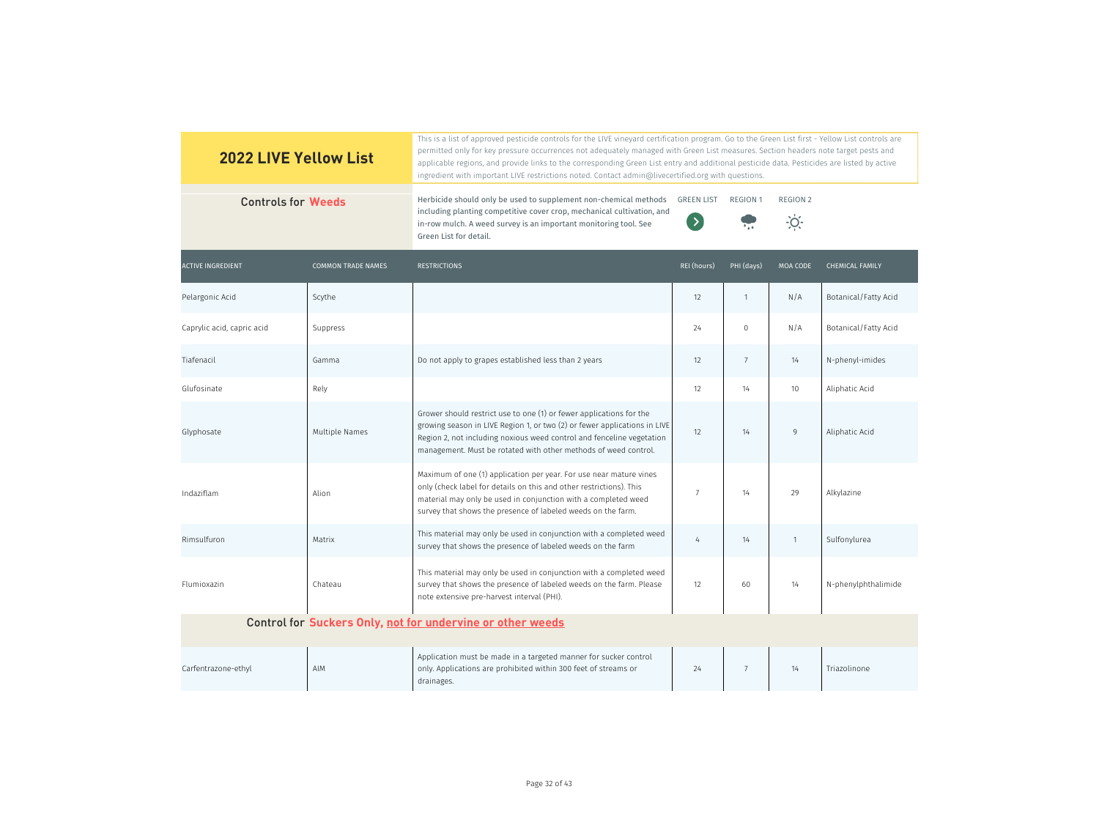| <b>2022 LIVE Yellow List</b> |                           | This is a list of approved pesticide controls for the LIVE vineyard certification program. Go to the Green List first - Yellow List controls are<br>permitted only for key pressure occurrences not adequately managed with Green List measures. Section headers note target pests and<br>applicable regions, and provide links to the corresponding Green List entry and additional pesticide data. Pesticides are listed by active<br>ingredient with important LIVE restrictions noted. Contact admin@livecertified.org with questions. |                                  |                 |                           |                        |
|------------------------------|---------------------------|--------------------------------------------------------------------------------------------------------------------------------------------------------------------------------------------------------------------------------------------------------------------------------------------------------------------------------------------------------------------------------------------------------------------------------------------------------------------------------------------------------------------------------------------|----------------------------------|-----------------|---------------------------|------------------------|
| <b>Controls for Weeds</b>    |                           | Herbicide should only be used to supplement non-chemical methods<br>including planting competitive cover crop, mechanical cultivation, and<br>in-row mulch. A weed survey is an important monitoring tool. See<br>Green List for detail.                                                                                                                                                                                                                                                                                                   | <b>GREEN LIST</b><br>$\langle$ > | <b>REGION 1</b> | REGION 2<br>$\frac{1}{2}$ |                        |
| <b>ACTIVE INGREDIENT</b>     | <b>COMMON TRADE NAMES</b> | <b>RESTRICTIONS</b>                                                                                                                                                                                                                                                                                                                                                                                                                                                                                                                        | REI (hours)                      | PHI (days)      | <b>MOA CODE</b>           | <b>CHEMICAL FAMILY</b> |
| Pelargonic Acid              | Scythe                    |                                                                                                                                                                                                                                                                                                                                                                                                                                                                                                                                            | 12                               | $\mathbf{1}$    | N/A                       | Botanical/Fatty Acid   |
| Caprylic acid, capric acid   | Suppress                  |                                                                                                                                                                                                                                                                                                                                                                                                                                                                                                                                            | 24                               | $\mathbf 0$     | N/A                       | Botanical/Fatty Acid   |
| Tiafenacil                   | Gamma                     | Do not apply to grapes established less than 2 years                                                                                                                                                                                                                                                                                                                                                                                                                                                                                       | 12                               | $7\overline{ }$ | 14                        | N-phenyl-imides        |
| Glufosinate                  | Rely                      |                                                                                                                                                                                                                                                                                                                                                                                                                                                                                                                                            | 12                               | 14              | 10 <sup>°</sup>           | Aliphatic Acid         |
| Glyphosate                   | Multiple Names            | Grower should restrict use to one (1) or fewer applications for the<br>growing season in LIVE Region 1, or two (2) or fewer applications in LIVE<br>Region 2, not including noxious weed control and fenceline vegetation<br>management. Must be rotated with other methods of weed control.                                                                                                                                                                                                                                               | 12                               | 14              | 9                         | Aliphatic Acid         |
| Indaziflam                   | Alion                     | Maximum of one (1) application per year. For use near mature vines<br>only (check label for details on this and other restrictions). This<br>material may only be used in conjunction with a completed weed<br>survey that shows the presence of labeled weeds on the farm.                                                                                                                                                                                                                                                                | 7                                | 14              | 29                        | Alkylazine             |
| Rimsulfuron                  | Matrix                    | This material may only be used in conjunction with a completed weed<br>survey that shows the presence of labeled weeds on the farm                                                                                                                                                                                                                                                                                                                                                                                                         | $\overline{4}$                   | 14              | $\mathbf{1}$              | Sulfonylurea           |
| Flumioxazin                  | Chateau                   | This material may only be used in conjunction with a completed weed<br>survey that shows the presence of labeled weeds on the farm. Please<br>note extensive pre-harvest interval (PHI).                                                                                                                                                                                                                                                                                                                                                   | 12                               | 60              | 14                        | N-phenylphthalimide    |
|                              |                           | Control for Suckers Only, not for undervine or other weeds                                                                                                                                                                                                                                                                                                                                                                                                                                                                                 |                                  |                 |                           |                        |
| Carfentrazone-ethyl          | AIM                       | Application must be made in a targeted manner for sucker control<br>only. Applications are prohibited within 300 feet of streams or<br>drainages.                                                                                                                                                                                                                                                                                                                                                                                          | 24                               | 7               | 14                        | Triazolinone           |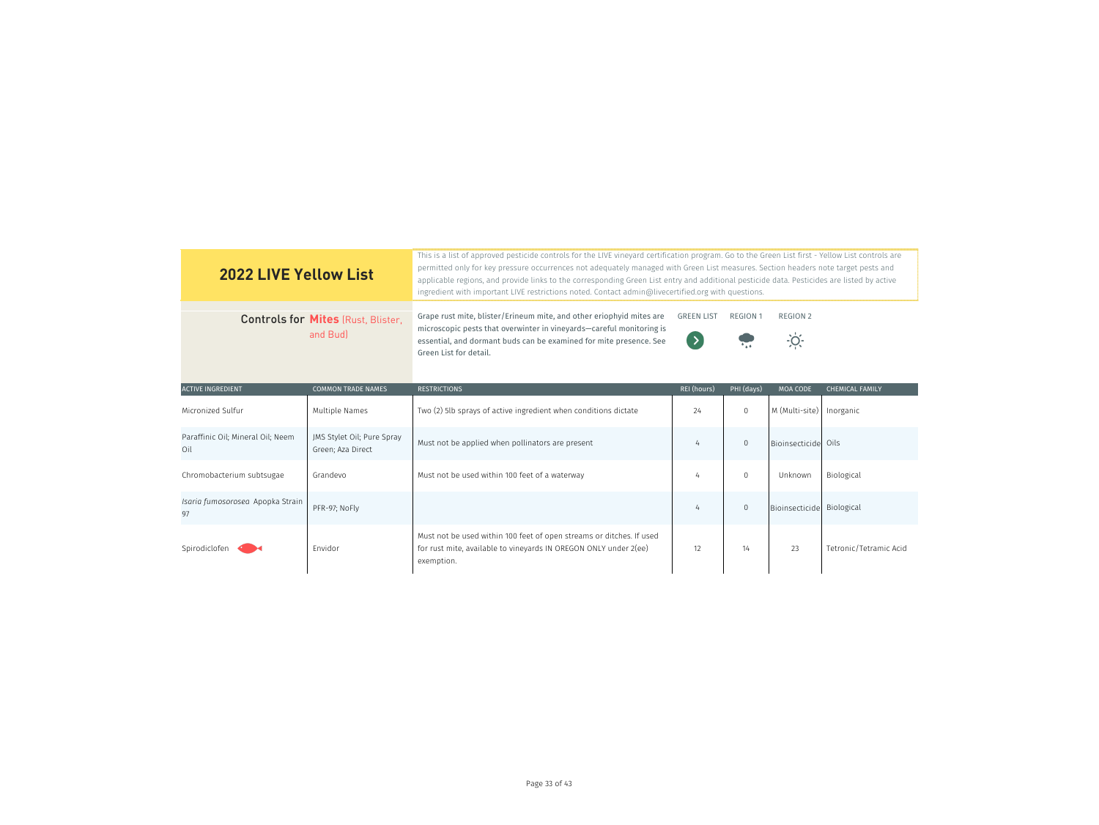| <b>2022 LIVE Yellow List</b>                          |                                                 | This is a list of approved pesticide controls for the LIVE vineyard certification program. Go to the Green List first - Yellow List controls are<br>permitted only for key pressure occurrences not adequately managed with Green List measures. Section headers note target pests and<br>applicable regions, and provide links to the corresponding Green List entry and additional pesticide data. Pesticides are listed by active<br>ingredient with important LIVE restrictions noted. Contact admin@livecertified.org with questions. |                                    |                               |                           |                        |
|-------------------------------------------------------|-------------------------------------------------|--------------------------------------------------------------------------------------------------------------------------------------------------------------------------------------------------------------------------------------------------------------------------------------------------------------------------------------------------------------------------------------------------------------------------------------------------------------------------------------------------------------------------------------------|------------------------------------|-------------------------------|---------------------------|------------------------|
| <b>Controls for Mites (Rust, Blister,</b><br>and Bud) |                                                 | Grape rust mite, blister/Erineum mite, and other eriophyid mites are<br>microscopic pests that overwinter in vineyards-careful monitoring is<br>essential, and dormant buds can be examined for mite presence. See<br>Green List for detail.                                                                                                                                                                                                                                                                                               | <b>GREEN LIST</b><br>$\rightarrow$ | <b>REGION 1</b><br>$\sqrt{4}$ | <b>REGION 2</b><br>$-0$   |                        |
| <b>ACTIVE INGREDIENT</b>                              | <b>COMMON TRADE NAMES</b>                       | <b>RESTRICTIONS</b>                                                                                                                                                                                                                                                                                                                                                                                                                                                                                                                        | REI (hours)                        | PHI (days)                    | <b>MOA CODE</b>           | <b>CHEMICAL FAMILY</b> |
| Micronized Sulfur                                     | Multiple Names                                  | Two (2) 5lb sprays of active ingredient when conditions dictate                                                                                                                                                                                                                                                                                                                                                                                                                                                                            | 24                                 | $\Omega$                      | M (Multi-site)            | Inorganic              |
| Paraffinic Oil; Mineral Oil; Neem<br>Oil              | JMS Stylet Oil; Pure Spray<br>Green; Aza Direct | Must not be applied when pollinators are present                                                                                                                                                                                                                                                                                                                                                                                                                                                                                           | 4                                  | $\Omega$                      | Bioinsecticide Oils       |                        |
| Chromobacterium subtsugae                             | Grandevo                                        | Must not be used within 100 feet of a waterway                                                                                                                                                                                                                                                                                                                                                                                                                                                                                             | 4                                  | $\Omega$                      | Unknown                   | Biological             |
| Isaria fumosorosea Apopka Strain<br>97                | PFR-97; NoFly                                   |                                                                                                                                                                                                                                                                                                                                                                                                                                                                                                                                            | 4                                  | $\mathbf 0$                   | Bioinsecticide Biological |                        |
| Spirodiclofen                                         | Envidor                                         | Must not be used within 100 feet of open streams or ditches. If used<br>for rust mite, available to vineyards IN OREGON ONLY under 2(ee)<br>exemption.                                                                                                                                                                                                                                                                                                                                                                                     | 12                                 | 14                            | 23                        | Tetronic/Tetramic Acid |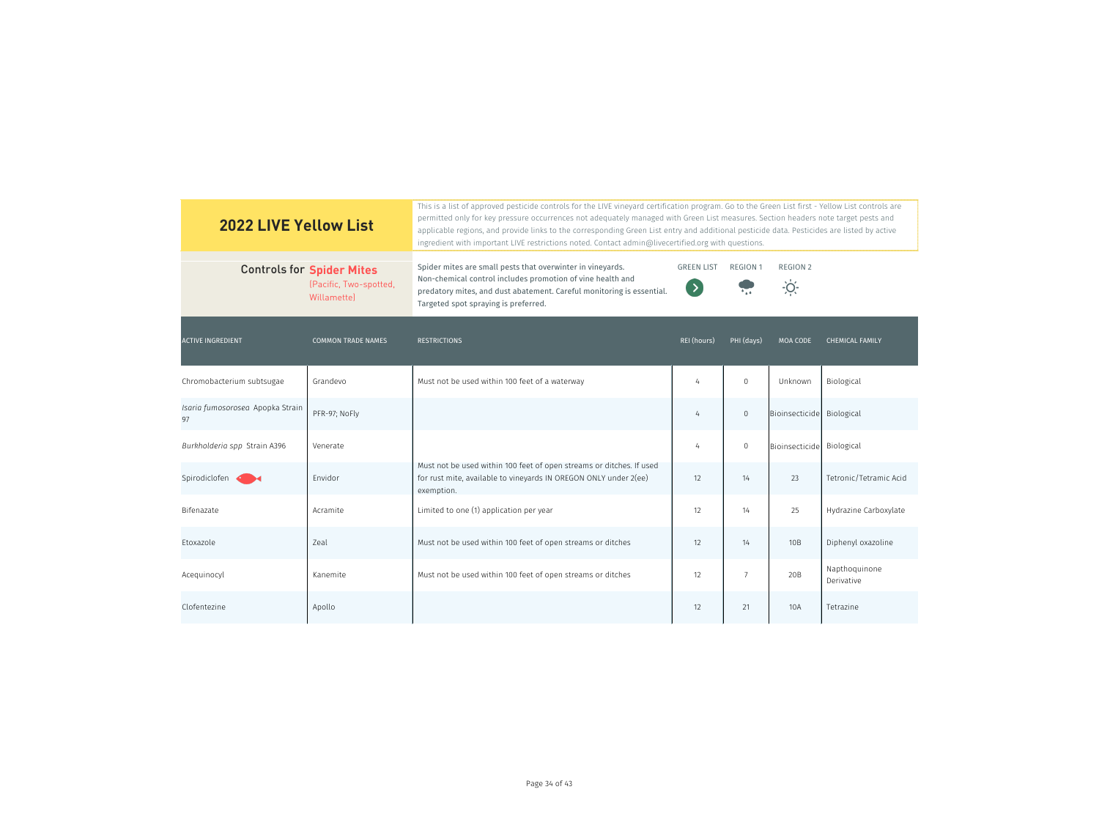| <b>2022 LIVE Yellow List</b>           |                                                                                  | This is a list of approved pesticide controls for the LIVE vinevard certification program. Go to the Green List first - Yellow List controls are<br>permitted only for key pressure occurrences not adequately managed with Green List measures. Section headers note target pests and<br>applicable regions, and provide links to the corresponding Green List entry and additional pesticide data. Pesticides are listed by active<br>ingredient with important LIVE restrictions noted. Contact admin@livecertified.org with questions. |                                |                                       |                                  |                             |  |
|----------------------------------------|----------------------------------------------------------------------------------|--------------------------------------------------------------------------------------------------------------------------------------------------------------------------------------------------------------------------------------------------------------------------------------------------------------------------------------------------------------------------------------------------------------------------------------------------------------------------------------------------------------------------------------------|--------------------------------|---------------------------------------|----------------------------------|-----------------------------|--|
|                                        | <b>Controls for Spider Mites</b><br>(Pacific, Two-spotted,<br><b>Willamette)</b> | Spider mites are small pests that overwinter in vineyards.<br>Non-chemical control includes promotion of vine health and<br>predatory mites, and dust abatement. Careful monitoring is essential.<br>Targeted spot spraying is preferred.                                                                                                                                                                                                                                                                                                  | <b>GREEN LIST</b><br>$\bullet$ | <b>REGION 1</b><br>$\rightarrow$ 4.4. | <b>REGION 2</b><br>$\frac{1}{2}$ |                             |  |
| <b>ACTIVE INGREDIENT</b>               | <b>COMMON TRADE NAMES</b>                                                        | <b>RESTRICTIONS</b>                                                                                                                                                                                                                                                                                                                                                                                                                                                                                                                        | REI (hours)                    | PHI (days)                            | <b>MOA CODE</b>                  | <b>CHEMICAL FAMILY</b>      |  |
| Chromobacterium subtsugae              | Grandevo                                                                         | Must not be used within 100 feet of a waterway                                                                                                                                                                                                                                                                                                                                                                                                                                                                                             | $\overline{4}$                 | $\mathbf 0$                           | Unknown                          | Biological                  |  |
| Isaria fumosorosea Apopka Strain<br>97 | PFR-97; NoFly                                                                    |                                                                                                                                                                                                                                                                                                                                                                                                                                                                                                                                            | 4                              | $\,0\,$                               | Bioinsecticide                   | Biological                  |  |
| Burkholderia spp Strain A396           | Venerate                                                                         |                                                                                                                                                                                                                                                                                                                                                                                                                                                                                                                                            | $\overline{4}$                 | $\mathsf{O}\xspace$                   | Bioinsecticide                   | Biological                  |  |
| Spirodiclofen <                        | Envidor                                                                          | Must not be used within 100 feet of open streams or ditches. If used<br>for rust mite, available to vineyards IN OREGON ONLY under 2(ee)<br>exemption.                                                                                                                                                                                                                                                                                                                                                                                     | 12                             | 14                                    | 23                               | Tetronic/Tetramic Acid      |  |
| Bifenazate                             | Acramite                                                                         | Limited to one (1) application per year                                                                                                                                                                                                                                                                                                                                                                                                                                                                                                    | 12                             | 14                                    | 25                               | Hydrazine Carboxylate       |  |
| Etoxazole                              | Zeal                                                                             | Must not be used within 100 feet of open streams or ditches                                                                                                                                                                                                                                                                                                                                                                                                                                                                                | 12                             | 14                                    | 10B                              | Diphenyl oxazoline          |  |
| Acequinocyl                            | Kanemite                                                                         | Must not be used within 100 feet of open streams or ditches                                                                                                                                                                                                                                                                                                                                                                                                                                                                                | 12                             | $\overline{7}$                        | 20 <sub>B</sub>                  | Napthoquinone<br>Derivative |  |
| Clofentezine                           | Apollo                                                                           |                                                                                                                                                                                                                                                                                                                                                                                                                                                                                                                                            | 12                             | 21                                    | 10A                              | Tetrazine                   |  |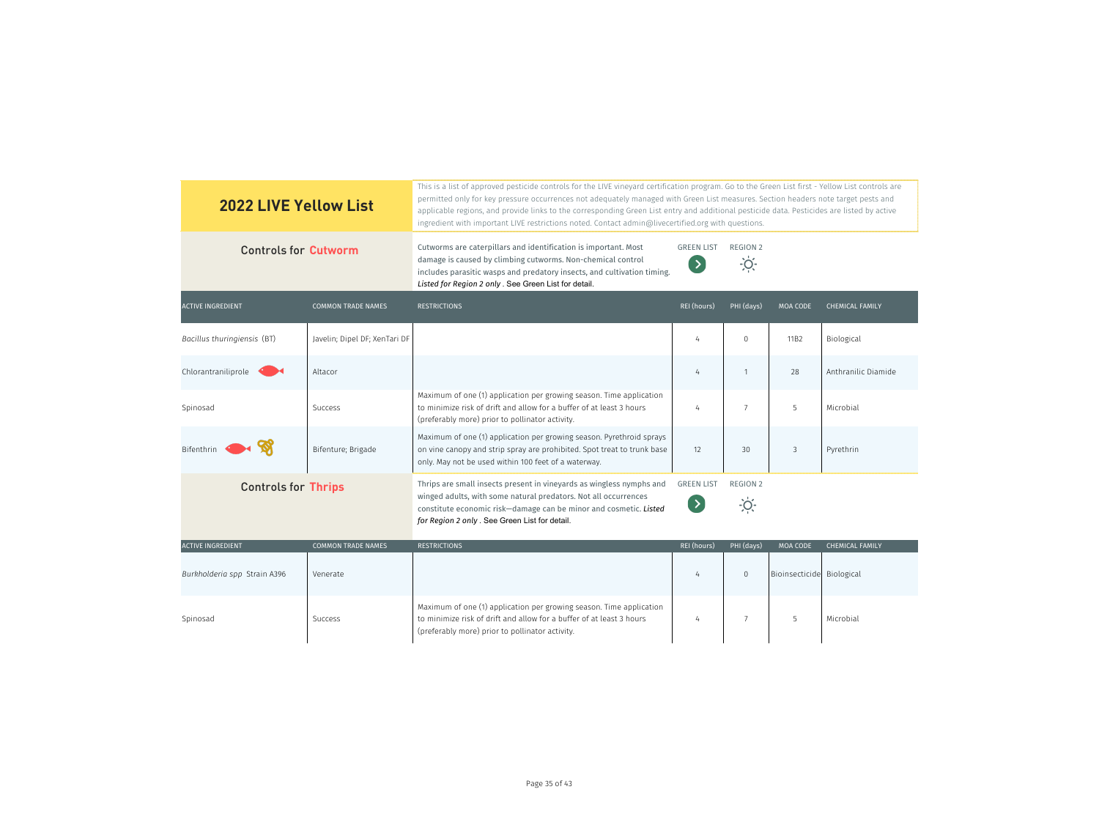| <b>2022 LIVE Yellow List</b> |                               | This is a list of approved pesticide controls for the LIVE vineyard certification program. Go to the Green List first - Yellow List controls are<br>permitted only for key pressure occurrences not adequately managed with Green List measures. Section headers note target pests and<br>applicable regions, and provide links to the corresponding Green List entry and additional pesticide data. Pesticides are listed by active<br>ingredient with important LIVE restrictions noted. Contact admin@livecertified.org with questions. |                                    |                         |                           |                        |
|------------------------------|-------------------------------|--------------------------------------------------------------------------------------------------------------------------------------------------------------------------------------------------------------------------------------------------------------------------------------------------------------------------------------------------------------------------------------------------------------------------------------------------------------------------------------------------------------------------------------------|------------------------------------|-------------------------|---------------------------|------------------------|
| <b>Controls for Cutworm</b>  |                               | Cutworms are caterpillars and identification is important. Most<br>damage is caused by climbing cutworms. Non-chemical control<br>includes parasitic wasps and predatory insects, and cultivation timing.<br>Listed for Region 2 only . See Green List for detail.                                                                                                                                                                                                                                                                         | <b>GREEN LIST</b><br>$\rightarrow$ | REGION 2<br>$\dot{O}$   |                           |                        |
| <b>ACTIVE INGREDIENT</b>     | <b>COMMON TRADE NAMES</b>     | <b>RESTRICTIONS</b>                                                                                                                                                                                                                                                                                                                                                                                                                                                                                                                        | REI (hours)                        | PHI (days)              | <b>MOA CODE</b>           | <b>CHEMICAL FAMILY</b> |
| Bacillus thuringiensis (BT)  | Javelin; Dipel DF; XenTari DF |                                                                                                                                                                                                                                                                                                                                                                                                                                                                                                                                            | $\overline{4}$                     | $\Omega$                | 11B2                      | Biological             |
| Chlorantraniliprole          | Altacor                       |                                                                                                                                                                                                                                                                                                                                                                                                                                                                                                                                            | $\overline{4}$                     | $\mathbf{1}$            | 28                        | Anthranilic Diamide    |
| Spinosad                     | Success                       | Maximum of one (1) application per growing season. Time application<br>to minimize risk of drift and allow for a buffer of at least 3 hours<br>(preferably more) prior to pollinator activity.                                                                                                                                                                                                                                                                                                                                             | $\overline{4}$                     | $\overline{7}$          | 5                         | Microbial              |
| Bifenthrin                   | Bifenture; Brigade            | Maximum of one (1) application per growing season. Pyrethroid sprays<br>on vine canopy and strip spray are prohibited. Spot treat to trunk base<br>only. May not be used within 100 feet of a waterway.                                                                                                                                                                                                                                                                                                                                    | 12                                 | 30                      | 3                         | Pyrethrin              |
| <b>Controls for Thrips</b>   |                               | Thrips are small insects present in vineyards as wingless nymphs and<br>winged adults, with some natural predators. Not all occurrences<br>constitute economic risk-damage can be minor and cosmetic. Listed<br>for Region 2 only . See Green List for detail.                                                                                                                                                                                                                                                                             | <b>GREEN LIST</b><br>$\rightarrow$ | <b>REGION 2</b><br>$-Q$ |                           |                        |
| <b>ACTIVE INGREDIENT</b>     | <b>COMMON TRADE NAMES</b>     | <b>RESTRICTIONS</b>                                                                                                                                                                                                                                                                                                                                                                                                                                                                                                                        | REI (hours)                        | PHI (days)              | <b>MOA CODE</b>           | <b>CHEMICAL FAMILY</b> |
| Burkholderia spp Strain A396 | Venerate                      |                                                                                                                                                                                                                                                                                                                                                                                                                                                                                                                                            | $\overline{4}$                     | $\mathbf 0$             | Bioinsecticide Biological |                        |
| Spinosad                     | <b>Success</b>                | Maximum of one (1) application per growing season. Time application<br>to minimize risk of drift and allow for a buffer of at least 3 hours<br>(preferably more) prior to pollinator activity.                                                                                                                                                                                                                                                                                                                                             | $\overline{4}$                     | $\overline{7}$          | 5                         | Microbial              |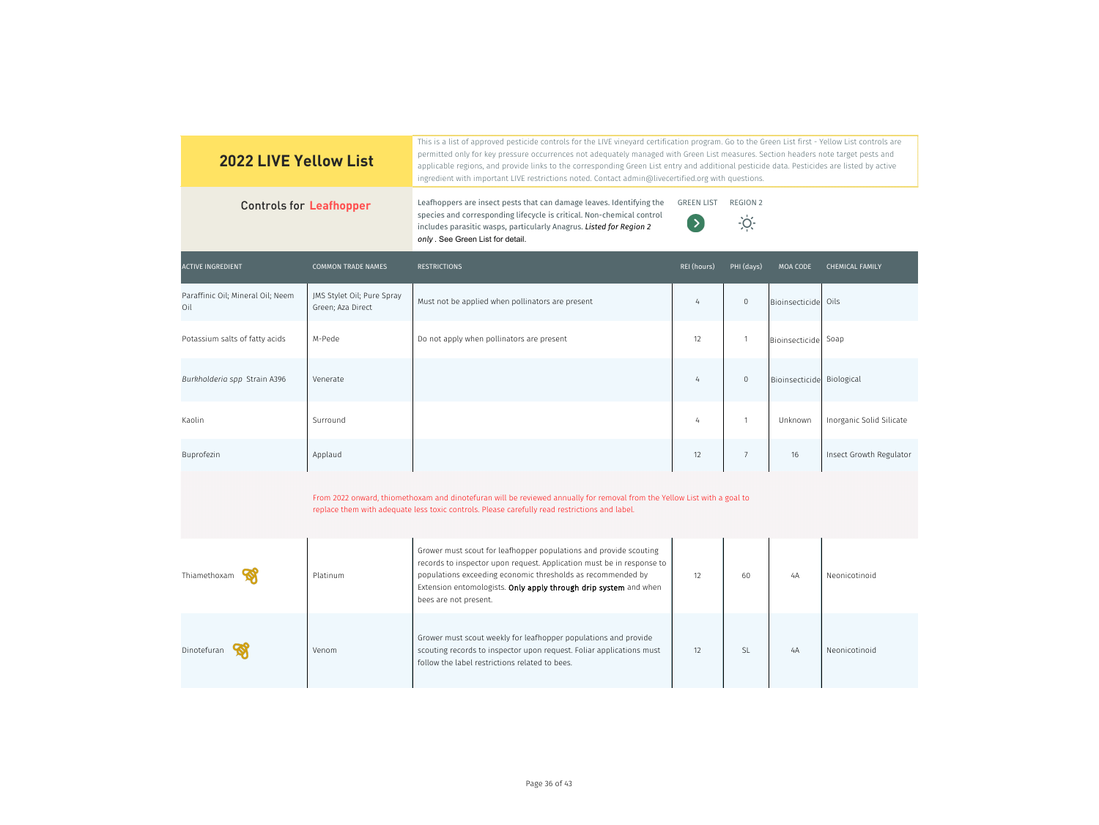| <b>2022 LIVE Yellow List</b>             |                                                 | This is a list of approved pesticide controls for the LIVE vineyard certification program. Go to the Green List first - Yellow List controls are<br>permitted only for key pressure occurrences not adequately managed with Green List measures. Section headers note target pests and<br>applicable regions, and provide links to the corresponding Green List entry and additional pesticide data. Pesticides are listed by active<br>ingredient with important LIVE restrictions noted. Contact admin@livecertified.org with questions. |                                 |                                  |                           |                          |
|------------------------------------------|-------------------------------------------------|--------------------------------------------------------------------------------------------------------------------------------------------------------------------------------------------------------------------------------------------------------------------------------------------------------------------------------------------------------------------------------------------------------------------------------------------------------------------------------------------------------------------------------------------|---------------------------------|----------------------------------|---------------------------|--------------------------|
| <b>Controls for Leafhopper</b>           |                                                 | Leafhoppers are insect pests that can damage leaves. Identifying the<br>species and corresponding lifecycle is critical. Non-chemical control<br>includes parasitic wasps, particularly Anagrus. Listed for Region 2<br>only. See Green List for detail.                                                                                                                                                                                                                                                                                   | <b>GREEN LIST</b><br>$($ $\geq$ | <b>REGION 2</b><br>$\frac{1}{2}$ |                           |                          |
| <b>ACTIVE INGREDIENT</b>                 | <b>COMMON TRADE NAMES</b>                       | <b>RESTRICTIONS</b>                                                                                                                                                                                                                                                                                                                                                                                                                                                                                                                        | REI (hours)                     | PHI (days)                       | MOA CODE                  | <b>CHEMICAL FAMILY</b>   |
| Paraffinic Oil; Mineral Oil; Neem<br>Oil | JMS Stylet Oil; Pure Spray<br>Green; Aza Direct | Must not be applied when pollinators are present                                                                                                                                                                                                                                                                                                                                                                                                                                                                                           | $\frac{1}{4}$                   | $\mathbf 0$                      | Bioinsecticide            | Oils                     |
| Potassium salts of fatty acids           | M-Pede                                          | Do not apply when pollinators are present                                                                                                                                                                                                                                                                                                                                                                                                                                                                                                  | 12                              | $\mathbf{1}$                     | Bioinsecticide Soap       |                          |
| Burkholderia spp Strain A396             | Venerate                                        |                                                                                                                                                                                                                                                                                                                                                                                                                                                                                                                                            | $\overline{4}$                  | $\mathbf 0$                      | Bioinsecticide Biological |                          |
| Kaolin                                   | Surround                                        |                                                                                                                                                                                                                                                                                                                                                                                                                                                                                                                                            | 4                               | $\mathbf{1}$                     | Unknown                   | Inorganic Solid Silicate |
| Buprofezin                               | Applaud                                         |                                                                                                                                                                                                                                                                                                                                                                                                                                                                                                                                            | 12                              | $7\overline{ }$                  | 16                        | Insect Growth Regulator  |
|                                          |                                                 | From 2022 onward, thiomethoxam and dinotefuran will be reviewed annually for removal from the Yellow List with a goal to<br>replace them with adequate less toxic controls. Please carefully read restrictions and label.                                                                                                                                                                                                                                                                                                                  |                                 |                                  |                           |                          |
| Thiamethoxam                             | Platinum                                        | Grower must scout for leafhopper populations and provide scouting<br>records to inspector upon request. Application must be in response to<br>populations exceeding economic thresholds as recommended by<br>Extension entomologists. Only apply through drip system and when<br>bees are not present.                                                                                                                                                                                                                                     | 12                              | 60                               | 4A                        | Neonicotinoid            |
| Dinotefuran                              | Venom                                           | Grower must scout weekly for leafhopper populations and provide<br>scouting records to inspector upon request. Foliar applications must<br>follow the label restrictions related to bees.                                                                                                                                                                                                                                                                                                                                                  | 12                              | <b>SL</b>                        | 4A                        | Neonicotinoid            |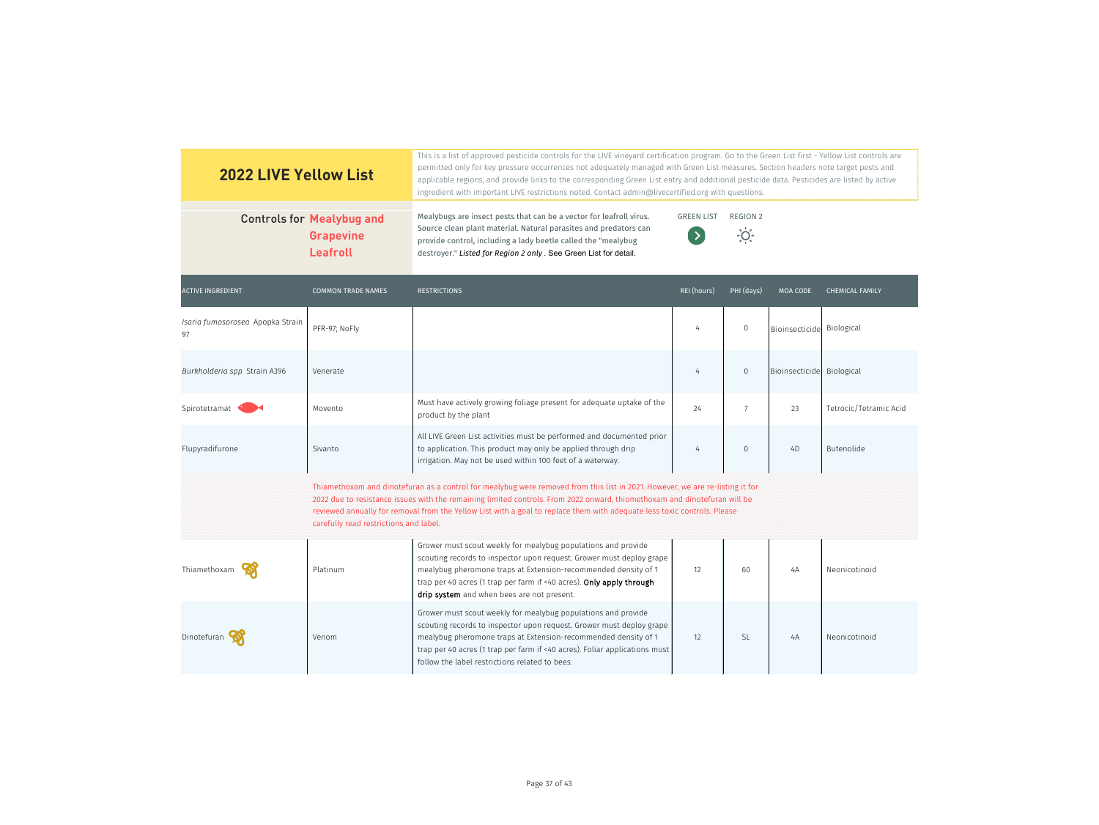| <b>2022 LIVE Yellow List</b>           |                                                                                                                                                                                                                                                                                                                                                                                                                                  | This is a list of approved pesticide controls for the LIVE vineyard certification program. Go to the Green List first - Yellow List controls are<br>permitted only for key pressure occurrences not adequately managed with Green List measures. Section headers note target pests and<br>applicable regions, and provide links to the corresponding Green List entry and additional pesticide data. Pesticides are listed by active<br>ingredient with important LIVE restrictions noted. Contact admin@livecertified.org with questions. |                                    |                                |                           |                        |  |  |
|----------------------------------------|----------------------------------------------------------------------------------------------------------------------------------------------------------------------------------------------------------------------------------------------------------------------------------------------------------------------------------------------------------------------------------------------------------------------------------|--------------------------------------------------------------------------------------------------------------------------------------------------------------------------------------------------------------------------------------------------------------------------------------------------------------------------------------------------------------------------------------------------------------------------------------------------------------------------------------------------------------------------------------------|------------------------------------|--------------------------------|---------------------------|------------------------|--|--|
|                                        | <b>Controls for Mealybug and</b><br><b>Grapevine</b><br>Leafroll                                                                                                                                                                                                                                                                                                                                                                 | Mealybugs are insect pests that can be a vector for leafroll virus.<br>Source clean plant material. Natural parasites and predators can<br>provide control, including a lady beetle called the "mealybug<br>destroyer." Listed for Region 2 only . See Green List for detail.                                                                                                                                                                                                                                                              | <b>GREEN LIST</b><br>$\rightarrow$ | <b>REGION 2</b><br><u>-io:</u> |                           |                        |  |  |
| <b>ACTIVE INGREDIENT</b>               | <b>COMMON TRADE NAMES</b>                                                                                                                                                                                                                                                                                                                                                                                                        | <b>RESTRICTIONS</b>                                                                                                                                                                                                                                                                                                                                                                                                                                                                                                                        | REI (hours)                        | PHI (days)                     | MOA CODE                  | <b>CHEMICAL FAMILY</b> |  |  |
| Isaria fumosorosea Apopka Strain<br>97 | PFR-97; NoFly                                                                                                                                                                                                                                                                                                                                                                                                                    |                                                                                                                                                                                                                                                                                                                                                                                                                                                                                                                                            | 4                                  | $\mathbf 0$                    | Bioinsecticide Biological |                        |  |  |
| Burkholderia spp Strain A396           | Venerate                                                                                                                                                                                                                                                                                                                                                                                                                         |                                                                                                                                                                                                                                                                                                                                                                                                                                                                                                                                            | 4                                  | $\boldsymbol{0}$               | Bioinsecticide Biological |                        |  |  |
| Spirotetramat                          | Movento                                                                                                                                                                                                                                                                                                                                                                                                                          | Must have actively growing foliage present for adequate uptake of the<br>product by the plant                                                                                                                                                                                                                                                                                                                                                                                                                                              | 24                                 | $7\overline{ }$                | 23                        | Tetrocic/Tetramic Acid |  |  |
| Flupyradifurone                        | Sivanto                                                                                                                                                                                                                                                                                                                                                                                                                          | All LIVE Green List activities must be performed and documented prior<br>to application. This product may only be applied through drip<br>irrigation. May not be used within 100 feet of a waterway.                                                                                                                                                                                                                                                                                                                                       | 4                                  | $\mathbf{0}$                   | 4D                        | Butenolide             |  |  |
|                                        | Thiamethoxam and dinotefuran as a control for mealybug were removed from this list in 2021. However, we are re-listing it for<br>2022 due to resistance issues with the remaining limited controls. From 2022 onward, thiomethoxam and dinotefuran will be<br>reviewed annually for removal from the Yellow List with a goal to replace them with adequate less toxic controls. Please<br>carefully read restrictions and label. |                                                                                                                                                                                                                                                                                                                                                                                                                                                                                                                                            |                                    |                                |                           |                        |  |  |
| Thiamethoxam                           | Platinum                                                                                                                                                                                                                                                                                                                                                                                                                         | Grower must scout weekly for mealybug populations and provide<br>scouting records to inspector upon request. Grower must deploy grape<br>mealybug pheromone traps at Extension-recommended density of 1<br>trap per 40 acres (1 trap per farm if <40 acres). Only apply through<br>drip system and when bees are not present.                                                                                                                                                                                                              | 12                                 | 60                             | 4A                        | Neonicotinoid          |  |  |
| Dinotefuran                            | Venom                                                                                                                                                                                                                                                                                                                                                                                                                            | Grower must scout weekly for mealybug populations and provide<br>scouting records to inspector upon request. Grower must deploy grape<br>mealybug pheromone traps at Extension-recommended density of 1<br>trap per 40 acres (1 trap per farm if <40 acres). Foliar applications must<br>follow the label restrictions related to bees.                                                                                                                                                                                                    | 12                                 | <b>SL</b>                      | 4A                        | Neonicotinoid          |  |  |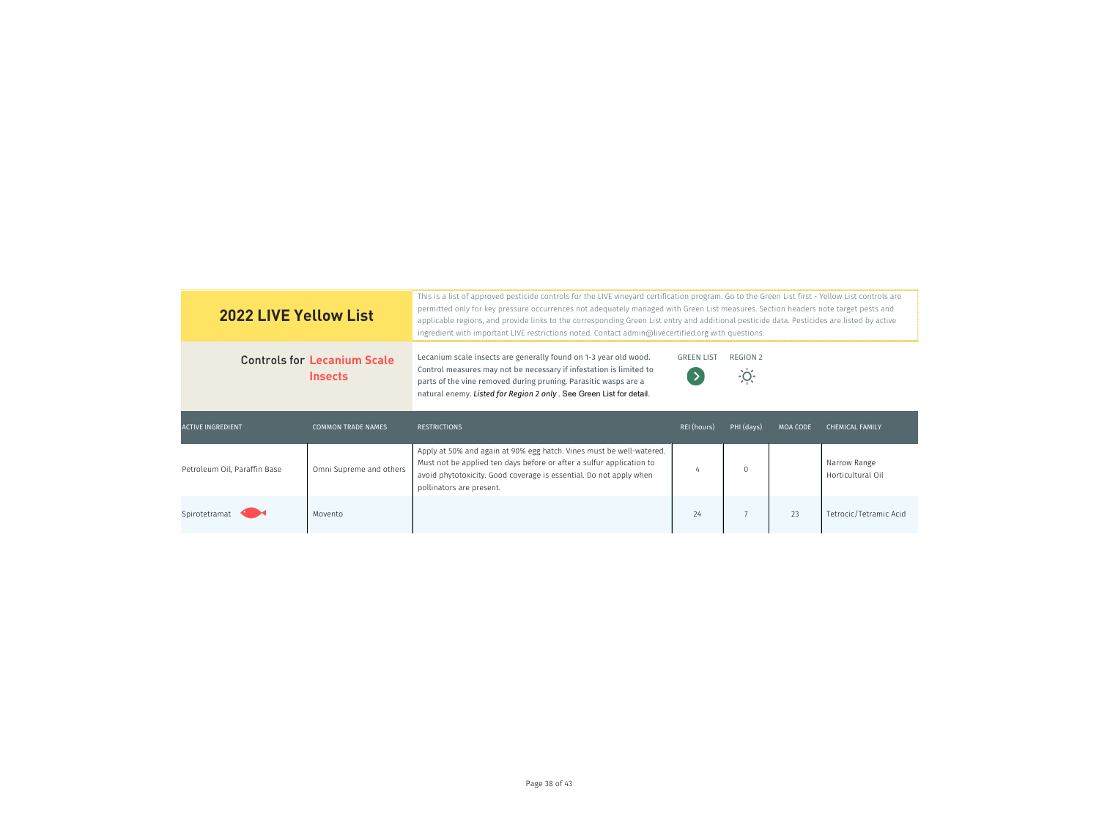| <b>2022 LIVE Yellow List</b>                         |                           | This is a list of approved pesticide controls for the LIVE vineyard certification program. Go to the Green List first - Yellow List controls are<br>permitted only for key pressure occurrences not adequately managed with Green List measures. Section headers note target pests and<br>applicable regions, and provide links to the corresponding Green List entry and additional pesticide data. Pesticides are listed by active<br>ingredient with important LIVE restrictions noted. Contact admin@livecertified.org with questions. |                             |            |                 |                                   |  |
|------------------------------------------------------|---------------------------|--------------------------------------------------------------------------------------------------------------------------------------------------------------------------------------------------------------------------------------------------------------------------------------------------------------------------------------------------------------------------------------------------------------------------------------------------------------------------------------------------------------------------------------------|-----------------------------|------------|-----------------|-----------------------------------|--|
| <b>Controls for Lecanium Scale</b><br><b>Insects</b> |                           | Lecanium scale insects are generally found on 1-3 year old wood.<br>Control measures may not be necessary if infestation is limited to<br>parts of the vine removed during pruning. Parasitic wasps are a<br>natural enemy. Listed for Region 2 only . See Green List for detail.                                                                                                                                                                                                                                                          | <b>GREEN LIST</b><br>$\sum$ | REGION 2   |                 |                                   |  |
|                                                      |                           |                                                                                                                                                                                                                                                                                                                                                                                                                                                                                                                                            |                             |            |                 |                                   |  |
| <b>ACTIVE INGREDIENT</b>                             | <b>COMMON TRADE NAMES</b> | <b>RESTRICTIONS</b>                                                                                                                                                                                                                                                                                                                                                                                                                                                                                                                        | <b>REI</b> (hours)          | PHI (days) | <b>MOA CODE</b> | <b>CHEMICAL FAMILY</b>            |  |
| Petroleum Oil, Paraffin Base                         | Omni Supreme and others   | Apply at 50% and again at 90% egg hatch. Vines must be well-watered.<br>Must not be applied ten days before or after a sulfur application to<br>avoid phytotoxicity. Good coverage is essential. Do not apply when<br>pollinators are present.                                                                                                                                                                                                                                                                                             | 4                           | $\Omega$   |                 | Narrow Range<br>Horticultural Oil |  |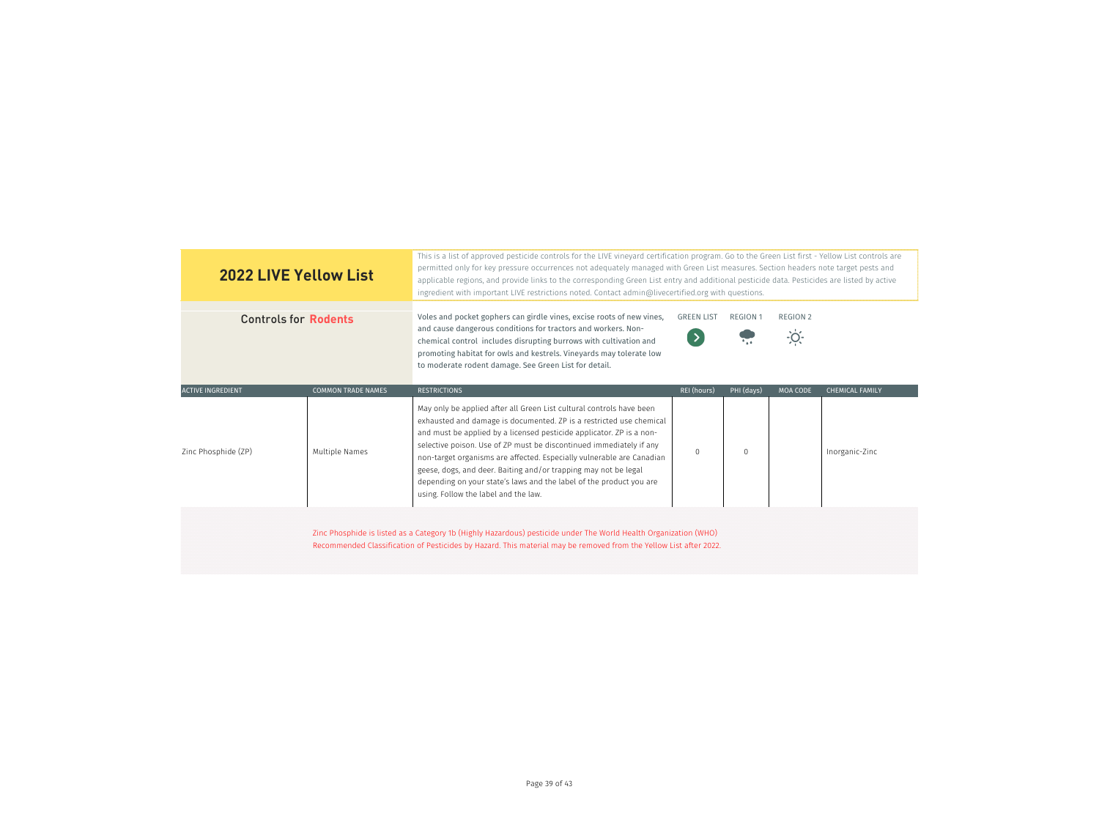| <b>2022 LIVE Yellow List</b> |                           | This is a list of approved pesticide controls for the LIVE vineyard certification program. Go to the Green List first - Yellow List controls are<br>permitted only for key pressure occurrences not adequately managed with Green List measures. Section headers note target pests and<br>applicable regions, and provide links to the corresponding Green List entry and additional pesticide data. Pesticides are listed by active<br>ingredient with important LIVE restrictions noted. Contact admin@livecertified.org with questions.            |                   |                 |                            |                        |
|------------------------------|---------------------------|-------------------------------------------------------------------------------------------------------------------------------------------------------------------------------------------------------------------------------------------------------------------------------------------------------------------------------------------------------------------------------------------------------------------------------------------------------------------------------------------------------------------------------------------------------|-------------------|-----------------|----------------------------|------------------------|
| <b>Controls for Rodents</b>  |                           | Voles and pocket gophers can girdle vines, excise roots of new vines,<br>and cause dangerous conditions for tractors and workers. Non-<br>chemical control includes disrupting burrows with cultivation and<br>promoting habitat for owls and kestrels. Vineyards may tolerate low<br>to moderate rodent damage. See Green List for detail.                                                                                                                                                                                                           | <b>GREEN LIST</b> | <b>REGION 1</b> | REGION 2<br>$\overline{O}$ |                        |
| <b>ACTIVE INGREDIENT</b>     | <b>COMMON TRADE NAMES</b> | <b>RESTRICTIONS</b>                                                                                                                                                                                                                                                                                                                                                                                                                                                                                                                                   | REI (hours)       | PHI (days)      | <b>MOA CODE</b>            | <b>CHEMICAL FAMILY</b> |
| Zinc Phosphide (ZP)          | Multiple Names            | May only be applied after all Green List cultural controls have been<br>exhausted and damage is documented. ZP is a restricted use chemical<br>and must be applied by a licensed pesticide applicator. ZP is a non-<br>selective poison. Use of ZP must be discontinued immediately if any<br>non-target organisms are affected. Especially vulnerable are Canadian<br>geese, dogs, and deer. Baiting and/or trapping may not be legal<br>depending on your state's laws and the label of the product you are<br>using. Follow the label and the law. | $\mathbf 0$       | $\Omega$        |                            | Inorganic-Zinc         |
|                              |                           | Zinc Phosphide is listed as a Category 1b (Highly Hazardous) pesticide under The World Health Organization (WHO)<br>Recommended Classification of Pesticides by Hazard. This material may be removed from the Yellow List after 2022.                                                                                                                                                                                                                                                                                                                 |                   |                 |                            |                        |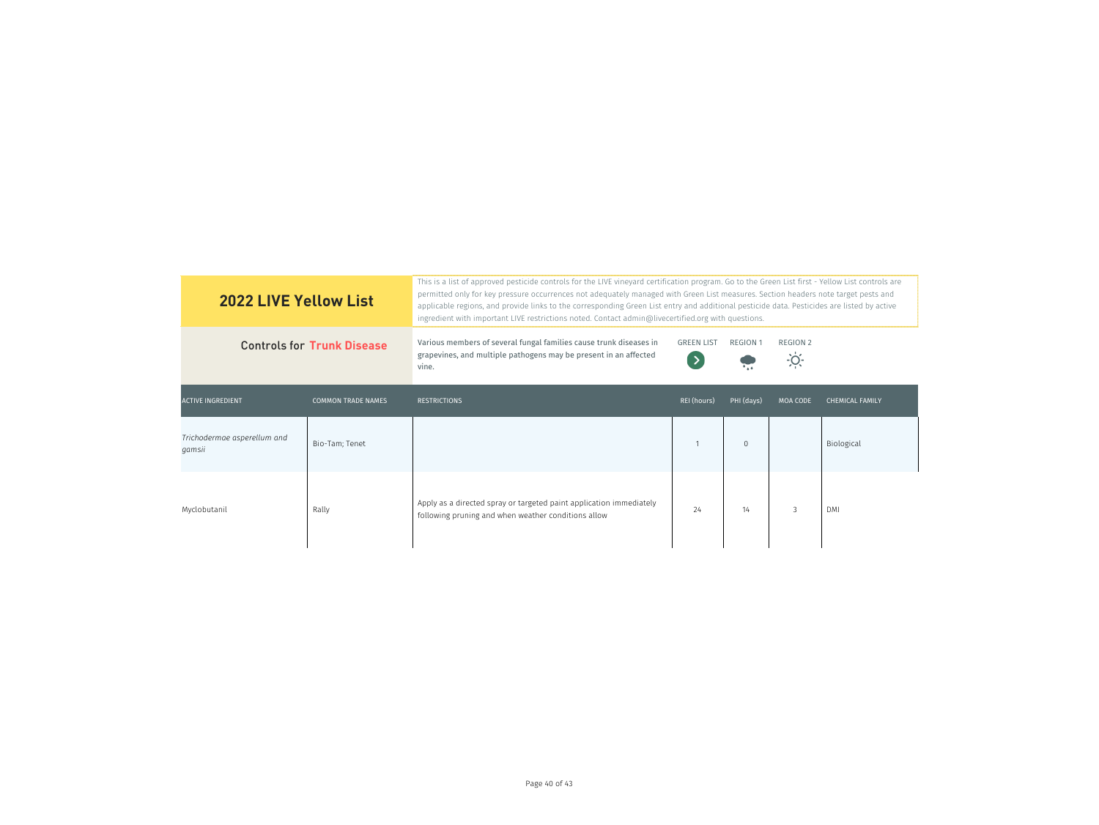| <b>2022 LIVE Yellow List</b>          |                           | This is a list of approved pesticide controls for the LIVE vineyard certification program. Go to the Green List first - Yellow List controls are<br>permitted only for key pressure occurrences not adequately managed with Green List measures. Section headers note target pests and<br>applicable regions, and provide links to the corresponding Green List entry and additional pesticide data. Pesticides are listed by active<br>ingredient with important LIVE restrictions noted. Contact admin@livecertified.org with questions. |                                    |                 |                                  |                        |  |
|---------------------------------------|---------------------------|--------------------------------------------------------------------------------------------------------------------------------------------------------------------------------------------------------------------------------------------------------------------------------------------------------------------------------------------------------------------------------------------------------------------------------------------------------------------------------------------------------------------------------------------|------------------------------------|-----------------|----------------------------------|------------------------|--|
| <b>Controls for Trunk Disease</b>     |                           | Various members of several fungal families cause trunk diseases in<br>grapevines, and multiple pathogens may be present in an affected<br>vine.                                                                                                                                                                                                                                                                                                                                                                                            | <b>GREEN LIST</b><br>$\rightarrow$ | <b>REGION 1</b> | <b>REGION 2</b><br>$\frac{1}{2}$ |                        |  |
| <b>ACTIVE INGREDIENT</b>              | <b>COMMON TRADE NAMES</b> | <b>RESTRICTIONS</b>                                                                                                                                                                                                                                                                                                                                                                                                                                                                                                                        | REI (hours)                        | PHI (days)      | <b>MOA CODE</b>                  | <b>CHEMICAL FAMILY</b> |  |
| Trichodermae asperellum and<br>qamsii | Bio-Tam; Tenet            |                                                                                                                                                                                                                                                                                                                                                                                                                                                                                                                                            |                                    | $\mathbf{0}$    |                                  | Biological             |  |
| Myclobutanil                          | Rally                     | Apply as a directed spray or targeted paint application immediately<br>following pruning and when weather conditions allow                                                                                                                                                                                                                                                                                                                                                                                                                 | 24                                 | 14              | 3                                | <b>DMI</b>             |  |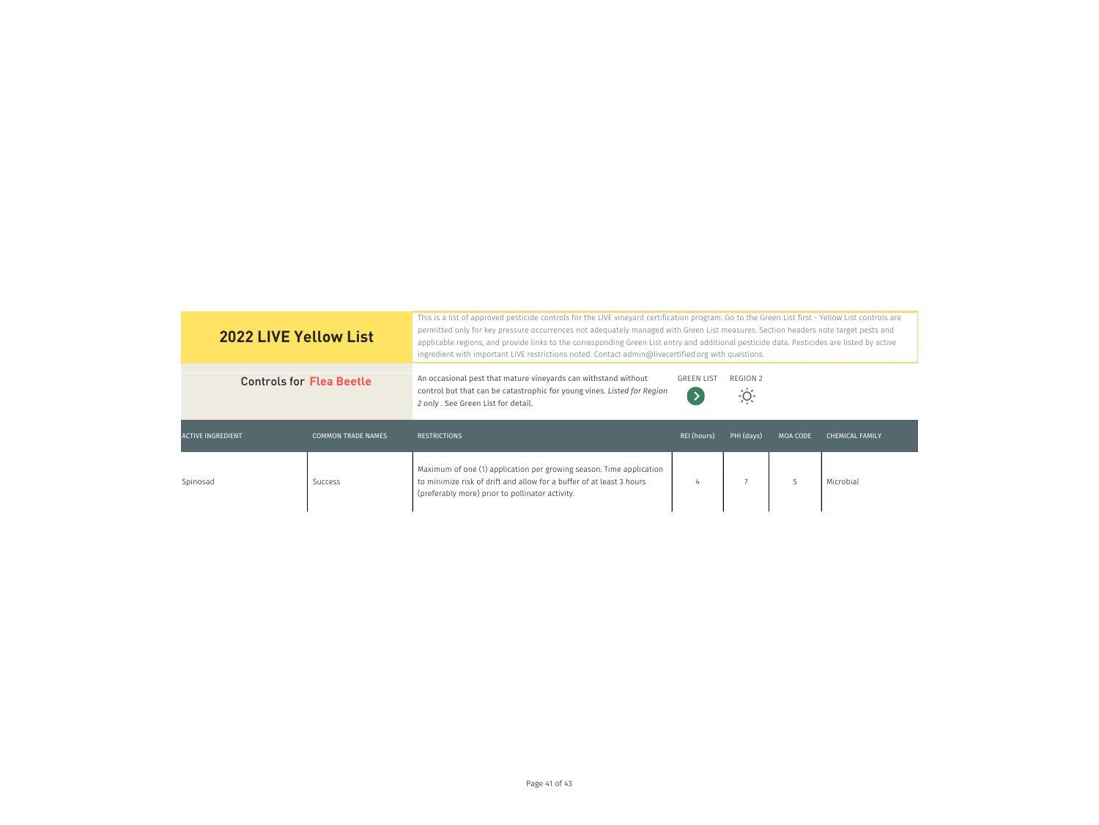| <b>2022 LIVE Yellow List</b>    |                           | This is a list of approved pesticide controls for the LIVE vineyard certification program. Go to the Green List first - Yellow List controls are<br>permitted only for key pressure occurrences not adequately managed with Green List measures. Section headers note target pests and<br>applicable regions, and provide links to the corresponding Green List entry and additional pesticide data. Pesticides are listed by active<br>ingredient with important LIVE restrictions noted. Contact admin@livecertified.org with questions. |                                    |                         |                 |                        |  |
|---------------------------------|---------------------------|--------------------------------------------------------------------------------------------------------------------------------------------------------------------------------------------------------------------------------------------------------------------------------------------------------------------------------------------------------------------------------------------------------------------------------------------------------------------------------------------------------------------------------------------|------------------------------------|-------------------------|-----------------|------------------------|--|
| <b>Controls for Flea Beetle</b> |                           | An occasional pest that mature vineyards can withstand without<br>control but that can be catastrophic for young vines. Listed for Region<br>2 only . See Green List for detail.                                                                                                                                                                                                                                                                                                                                                           | <b>GREEN LIST</b><br>$\rightarrow$ | REGION 2<br><u>-ioʻ</u> |                 |                        |  |
| <b>ACTIVE INGREDIENT</b>        | <b>COMMON TRADE NAMES</b> | <b>RESTRICTIONS</b>                                                                                                                                                                                                                                                                                                                                                                                                                                                                                                                        | REI (hours)                        | PHI (days)              | <b>MOA CODE</b> | <b>CHEMICAL FAMILY</b> |  |
| Spinosad                        | Success                   | Maximum of one (1) application per growing season. Time application<br>to minimize risk of drift and allow for a buffer of at least 3 hours<br>(preferably more) prior to pollinator activity.                                                                                                                                                                                                                                                                                                                                             | 4                                  |                         | 5               | Microbial              |  |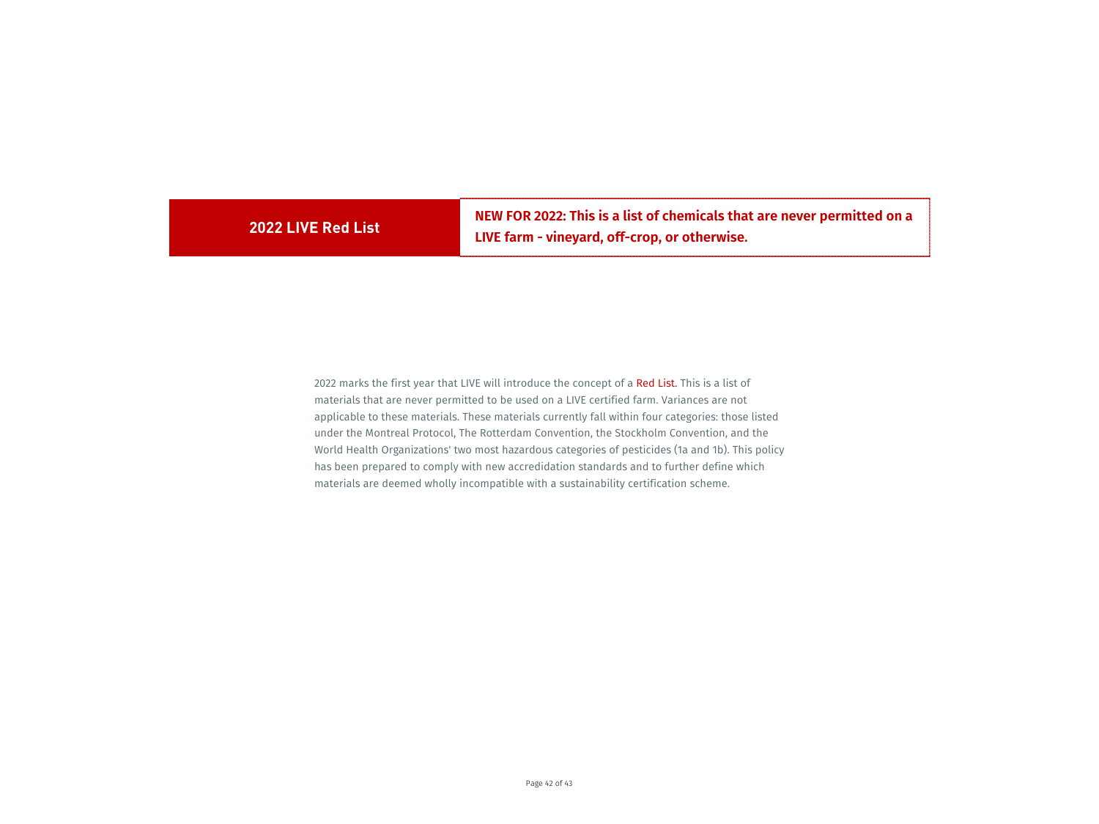**2022 LIVE Red List NEW FOR 2022: This is a list of chemicals that are never permitted on a LIVE farm - vineyard, off-crop, or otherwise.**

2022 marks the first year that LIVE will introduce the concept of a Red List. This is a list of materials that are never permitted to be used on a LIVE certified farm. Variances are not applicable to these materials. These materials currently fall within four categories: those listed under the Montreal Protocol, The Rotterdam Convention, the Stockholm Convention, and the World Health Organizations' two most hazardous categories of pesticides (1a and 1b). This policy has been prepared to comply with new accredidation standards and to further define which materials are deemed wholly incompatible with a sustainability certification scheme.